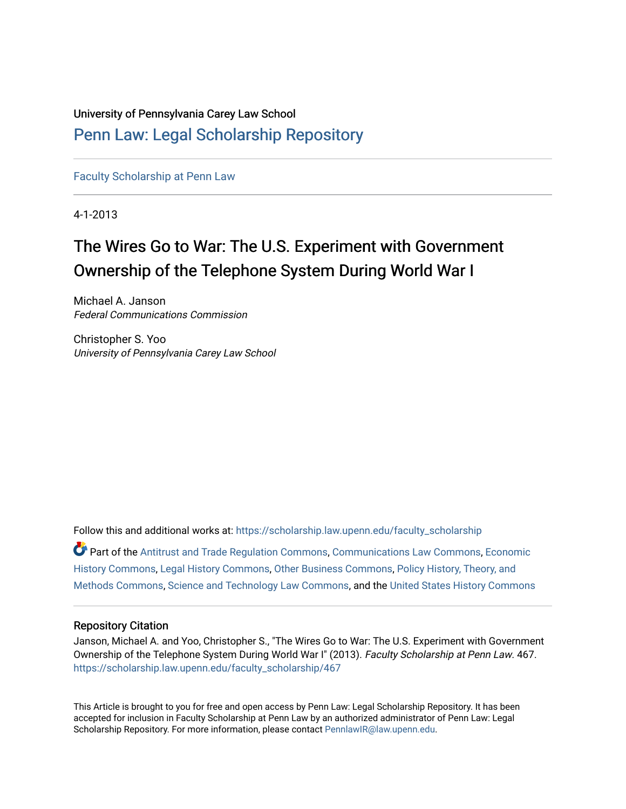## University of Pennsylvania Carey Law School

### [Penn Law: Legal Scholarship Repository](https://scholarship.law.upenn.edu/)

[Faculty Scholarship at Penn Law](https://scholarship.law.upenn.edu/faculty_scholarship)

4-1-2013

# The Wires Go to War: The U.S. Experiment with Government Ownership of the Telephone System During World War I

Michael A. Janson Federal Communications Commission

Christopher S. Yoo University of Pennsylvania Carey Law School

Follow this and additional works at: [https://scholarship.law.upenn.edu/faculty\\_scholarship](https://scholarship.law.upenn.edu/faculty_scholarship?utm_source=scholarship.law.upenn.edu%2Ffaculty_scholarship%2F467&utm_medium=PDF&utm_campaign=PDFCoverPages)  Part of the [Antitrust and Trade Regulation Commons,](http://network.bepress.com/hgg/discipline/911?utm_source=scholarship.law.upenn.edu%2Ffaculty_scholarship%2F467&utm_medium=PDF&utm_campaign=PDFCoverPages) [Communications Law Commons](http://network.bepress.com/hgg/discipline/587?utm_source=scholarship.law.upenn.edu%2Ffaculty_scholarship%2F467&utm_medium=PDF&utm_campaign=PDFCoverPages), [Economic](http://network.bepress.com/hgg/discipline/343?utm_source=scholarship.law.upenn.edu%2Ffaculty_scholarship%2F467&utm_medium=PDF&utm_campaign=PDFCoverPages) [History Commons](http://network.bepress.com/hgg/discipline/343?utm_source=scholarship.law.upenn.edu%2Ffaculty_scholarship%2F467&utm_medium=PDF&utm_campaign=PDFCoverPages), [Legal History Commons,](http://network.bepress.com/hgg/discipline/904?utm_source=scholarship.law.upenn.edu%2Ffaculty_scholarship%2F467&utm_medium=PDF&utm_campaign=PDFCoverPages) [Other Business Commons](http://network.bepress.com/hgg/discipline/647?utm_source=scholarship.law.upenn.edu%2Ffaculty_scholarship%2F467&utm_medium=PDF&utm_campaign=PDFCoverPages), [Policy History, Theory, and](http://network.bepress.com/hgg/discipline/1036?utm_source=scholarship.law.upenn.edu%2Ffaculty_scholarship%2F467&utm_medium=PDF&utm_campaign=PDFCoverPages)  [Methods Commons,](http://network.bepress.com/hgg/discipline/1036?utm_source=scholarship.law.upenn.edu%2Ffaculty_scholarship%2F467&utm_medium=PDF&utm_campaign=PDFCoverPages) [Science and Technology Law Commons](http://network.bepress.com/hgg/discipline/875?utm_source=scholarship.law.upenn.edu%2Ffaculty_scholarship%2F467&utm_medium=PDF&utm_campaign=PDFCoverPages), and the [United States History Commons](http://network.bepress.com/hgg/discipline/495?utm_source=scholarship.law.upenn.edu%2Ffaculty_scholarship%2F467&utm_medium=PDF&utm_campaign=PDFCoverPages) 

#### Repository Citation

Janson, Michael A. and Yoo, Christopher S., "The Wires Go to War: The U.S. Experiment with Government Ownership of the Telephone System During World War I" (2013). Faculty Scholarship at Penn Law. 467. [https://scholarship.law.upenn.edu/faculty\\_scholarship/467](https://scholarship.law.upenn.edu/faculty_scholarship/467?utm_source=scholarship.law.upenn.edu%2Ffaculty_scholarship%2F467&utm_medium=PDF&utm_campaign=PDFCoverPages) 

This Article is brought to you for free and open access by Penn Law: Legal Scholarship Repository. It has been accepted for inclusion in Faculty Scholarship at Penn Law by an authorized administrator of Penn Law: Legal Scholarship Repository. For more information, please contact [PennlawIR@law.upenn.edu.](mailto:PennlawIR@law.upenn.edu)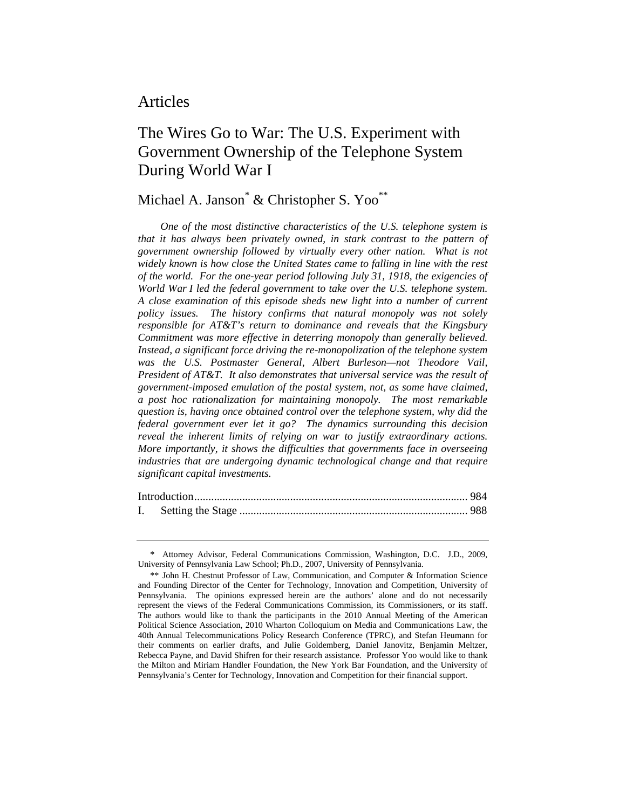### Articles

### The Wires Go to War: The U.S. Experiment with Government Ownership of the Telephone System During World War I

### Michael A. Janson<sup>\*</sup> & Christopher S. Yoo<sup>\*\*</sup>

*One of the most distinctive characteristics of the U.S. telephone system is that it has always been privately owned, in stark contrast to the pattern of government ownership followed by virtually every other nation. What is not widely known is how close the United States came to falling in line with the rest of the world. For the one-year period following July 31, 1918, the exigencies of World War I led the federal government to take over the U.S. telephone system. A close examination of this episode sheds new light into a number of current policy issues. The history confirms that natural monopoly was not solely responsible for AT&T's return to dominance and reveals that the Kingsbury Commitment was more effective in deterring monopoly than generally believed. Instead, a significant force driving the re-monopolization of the telephone system was the U.S. Postmaster General, Albert Burleson—not Theodore Vail, President of AT&T. It also demonstrates that universal service was the result of government-imposed emulation of the postal system, not, as some have claimed, a post hoc rationalization for maintaining monopoly. The most remarkable question is, having once obtained control over the telephone system, why did the federal government ever let it go? The dynamics surrounding this decision reveal the inherent limits of relying on war to justify extraordinary actions. More importantly, it shows the difficulties that governments face in overseeing industries that are undergoing dynamic technological change and that require significant capital investments.* 

 <sup>\*</sup> Attorney Advisor, Federal Communications Commission, Washington, D.C. J.D., 2009, University of Pennsylvania Law School; Ph.D., 2007, University of Pennsylvania.

 <sup>\*\*</sup> John H. Chestnut Professor of Law, Communication, and Computer & Information Science and Founding Director of the Center for Technology, Innovation and Competition, University of Pennsylvania. The opinions expressed herein are the authors' alone and do not necessarily represent the views of the Federal Communications Commission, its Commissioners, or its staff. The authors would like to thank the participants in the 2010 Annual Meeting of the American Political Science Association, 2010 Wharton Colloquium on Media and Communications Law, the 40th Annual Telecommunications Policy Research Conference (TPRC), and Stefan Heumann for their comments on earlier drafts, and Julie Goldemberg, Daniel Janovitz, Benjamin Meltzer, Rebecca Payne, and David Shifren for their research assistance. Professor Yoo would like to thank the Milton and Miriam Handler Foundation, the New York Bar Foundation, and the University of Pennsylvania's Center for Technology, Innovation and Competition for their financial support.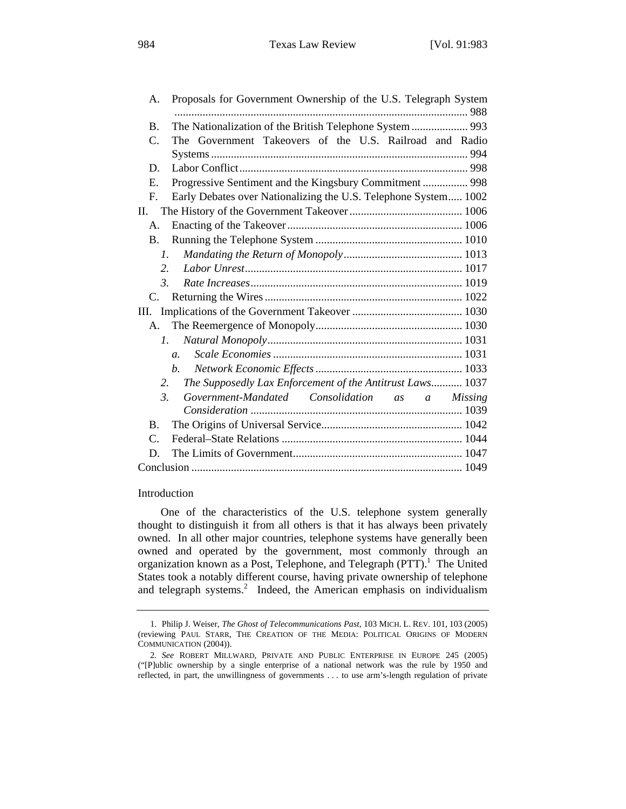| А.               | Proposals for Government Ownership of the U.S. Telegraph System |
|------------------|-----------------------------------------------------------------|
|                  |                                                                 |
| <b>B.</b>        | The Nationalization of the British Telephone System  993        |
| C.               | The Government Takeovers of the U.S. Railroad and Radio         |
|                  |                                                                 |
| D.               |                                                                 |
| E.               | Progressive Sentiment and the Kingsbury Commitment  998         |
| $\mathbf{F}$ .   | Early Debates over Nationalizing the U.S. Telephone System 1002 |
| П.               |                                                                 |
| А.               |                                                                 |
| <b>B.</b>        |                                                                 |
| $\mathcal{I}$ .  |                                                                 |
| $\overline{2}$ . |                                                                 |
| $\mathcal{E}$    |                                                                 |
| $C_{\cdot}$      |                                                                 |
| Ш.               |                                                                 |
| $A_{\cdot}$      |                                                                 |
| $l_{\perp}$      |                                                                 |
|                  | $\overline{a}$ .                                                |
|                  | b.                                                              |
| 2.               | The Supposedly Lax Enforcement of the Antitrust Laws 1037       |
| 3.               | Government-Mandated Consolidation as a Missing                  |
|                  |                                                                 |
| $\mathbf{B}$ .   |                                                                 |
| $\mathsf{C}$ .   |                                                                 |
| D.               |                                                                 |
|                  |                                                                 |
|                  |                                                                 |

Introduction

One of the characteristics of the U.S. telephone system generally thought to distinguish it from all others is that it has always been privately owned. In all other major countries, telephone systems have generally been owned and operated by the government, most commonly through an organization known as a Post, Telephone, and Telegraph (PTT).<sup>1</sup> The United States took a notably different course, having private ownership of telephone and telegraph systems.<sup>2</sup> Indeed, the American emphasis on individualism

<sup>1.</sup> Philip J. Weiser, *The Ghost of Telecommunications Past*, 103 MICH. L. REV. 101, 103 (2005) (reviewing PAUL STARR, THE CREATION OF THE MEDIA: POLITICAL ORIGINS OF MODERN COMMUNICATION (2004)).

<sup>2.</sup> *See* ROBERT MILLWARD, PRIVATE AND PUBLIC ENTERPRISE IN EUROPE 245 (2005) ("[P]ublic ownership by a single enterprise of a national network was the rule by 1950 and reflected, in part, the unwillingness of governments . . . to use arm's-length regulation of private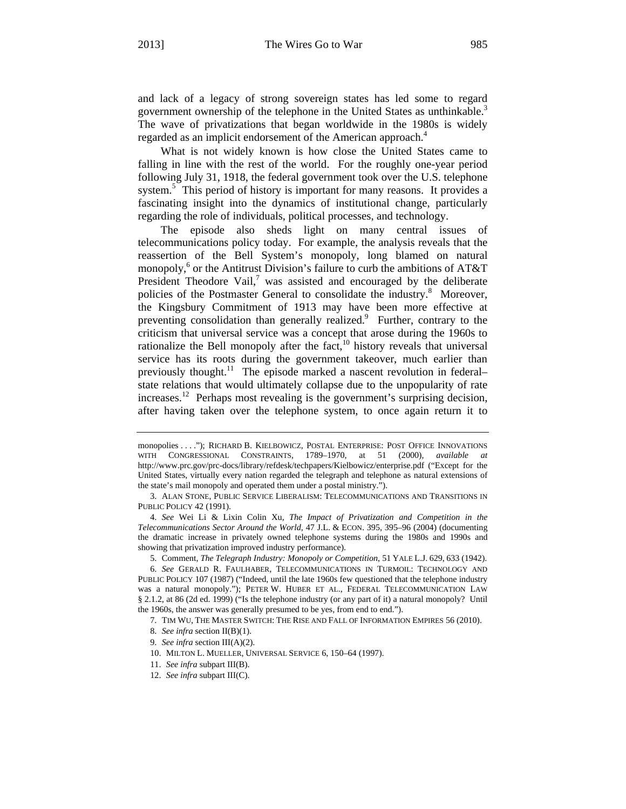and lack of a legacy of strong sovereign states has led some to regard government ownership of the telephone in the United States as unthinkable.<sup>3</sup> The wave of privatizations that began worldwide in the 1980s is widely regarded as an implicit endorsement of the American approach.<sup>4</sup>

What is not widely known is how close the United States came to falling in line with the rest of the world. For the roughly one-year period following July 31, 1918, the federal government took over the U.S. telephone system.<sup>5</sup> This period of history is important for many reasons. It provides a fascinating insight into the dynamics of institutional change, particularly regarding the role of individuals, political processes, and technology.

The episode also sheds light on many central issues of telecommunications policy today. For example, the analysis reveals that the reassertion of the Bell System's monopoly, long blamed on natural monopoly,<sup>6</sup> or the Antitrust Division's failure to curb the ambitions of AT&T President Theodore Vail, $7$  was assisted and encouraged by the deliberate policies of the Postmaster General to consolidate the industry.<sup>8</sup> Moreover, the Kingsbury Commitment of 1913 may have been more effective at preventing consolidation than generally realized.<sup>9</sup> Further, contrary to the criticism that universal service was a concept that arose during the 1960s to rationalize the Bell monopoly after the fact,<sup>10</sup> history reveals that universal service has its roots during the government takeover, much earlier than previously thought.<sup>11</sup> The episode marked a nascent revolution in federal– state relations that would ultimately collapse due to the unpopularity of rate increases.<sup>12</sup> Perhaps most revealing is the government's surprising decision, after having taken over the telephone system, to once again return it to

monopolies . . . ."); RICHARD B. KIELBOWICZ, POSTAL ENTERPRISE: POST OFFICE INNOVATIONS WITH CONGRESSIONAL CONSTRAINTS, 1789–1970, at 51 (2000), *available at* http://www.prc.gov/prc-docs/library/refdesk/techpapers/Kielbowicz/enterprise.pdf ("Except for the United States, virtually every nation regarded the telegraph and telephone as natural extensions of the state's mail monopoly and operated them under a postal ministry.").

<sup>3.</sup> ALAN STONE, PUBLIC SERVICE LIBERALISM: TELECOMMUNICATIONS AND TRANSITIONS IN PUBLIC POLICY 42 (1991).

<sup>4.</sup> *See* Wei Li & Lixin Colin Xu, *The Impact of Privatization and Competition in the Telecommunications Sector Around the World*, 47 J.L. & ECON. 395, 395–96 (2004) (documenting the dramatic increase in privately owned telephone systems during the 1980s and 1990s and showing that privatization improved industry performance).

<sup>5.</sup> Comment, *The Telegraph Industry: Monopoly or Competition*, 51 YALE L.J. 629, 633 (1942).

<sup>6.</sup> *See* GERALD R. FAULHABER, TELECOMMUNICATIONS IN TURMOIL: TECHNOLOGY AND PUBLIC POLICY 107 (1987) ("Indeed, until the late 1960s few questioned that the telephone industry was a natural monopoly."); PETER W. HUBER ET AL., FEDERAL TELECOMMUNICATION LAW § 2.1.2, at 86 (2d ed. 1999) ("Is the telephone industry (or any part of it) a natural monopoly? Until the 1960s, the answer was generally presumed to be yes, from end to end.").

<sup>7.</sup> TIM WU, THE MASTER SWITCH: THE RISE AND FALL OF INFORMATION EMPIRES 56 (2010).

<sup>8.</sup> *See infra* section II(B)(1).

<sup>9.</sup> *See infra* section III(A)(2).

<sup>10.</sup> MILTON L. MUELLER, UNIVERSAL SERVICE 6, 150–64 (1997).

<sup>11.</sup> *See infra* subpart III(B).

<sup>12.</sup> *See infra* subpart III(C).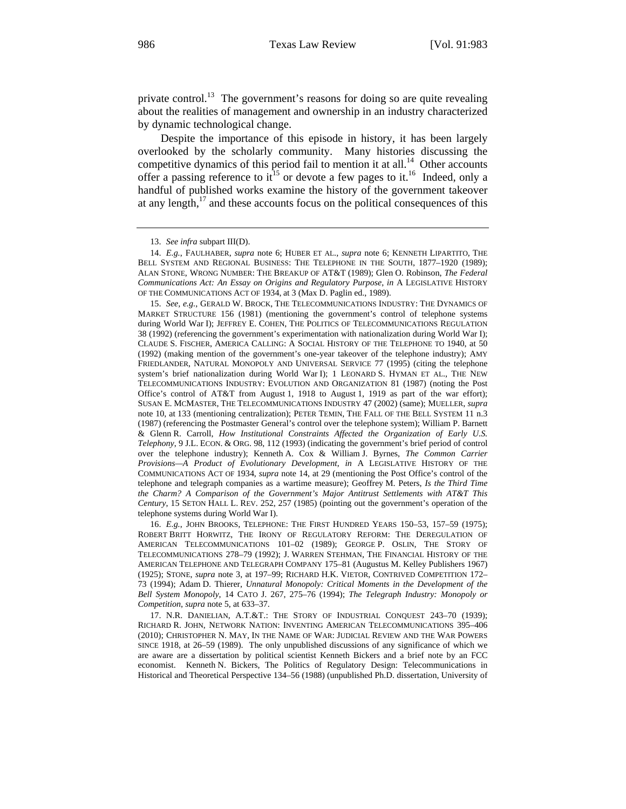private control.<sup>13</sup> The government's reasons for doing so are quite revealing about the realities of management and ownership in an industry characterized by dynamic technological change.

Despite the importance of this episode in history, it has been largely overlooked by the scholarly community. Many histories discussing the competitive dynamics of this period fail to mention it at all.<sup>14</sup> Other accounts offer a passing reference to  $it^{15}$  or devote a few pages to it.<sup>16</sup> Indeed, only a handful of published works examine the history of the government takeover at any length, $17$  and these accounts focus on the political consequences of this

16. *E.g.*, JOHN BROOKS, TELEPHONE: THE FIRST HUNDRED YEARS 150–53, 157–59 (1975); ROBERT BRITT HORWITZ, THE IRONY OF REGULATORY REFORM: THE DEREGULATION OF AMERICAN TELECOMMUNICATIONS 101–02 (1989); GEORGE P. OSLIN, THE STORY OF TELECOMMUNICATIONS 278–79 (1992); J. WARREN STEHMAN, THE FINANCIAL HISTORY OF THE AMERICAN TELEPHONE AND TELEGRAPH COMPANY 175–81 (Augustus M. Kelley Publishers 1967) (1925); STONE, *supra* note 3, at 197–99; RICHARD H.K. VIETOR, CONTRIVED COMPETITION 172– 73 (1994); Adam D. Thierer, *Unnatural Monopoly: Critical Moments in the Development of the Bell System Monopoly*, 14 CATO J. 267, 275–76 (1994); *The Telegraph Industry: Monopoly or Competition*, *supra* note 5, at 633–37.

17. N.R. DANIELIAN, A.T.&T.: THE STORY OF INDUSTRIAL CONQUEST 243–70 (1939); RICHARD R. JOHN, NETWORK NATION: INVENTING AMERICAN TELECOMMUNICATIONS 395–406 (2010); CHRISTOPHER N. MAY, IN THE NAME OF WAR: JUDICIAL REVIEW AND THE WAR POWERS SINCE 1918, at 26–59 (1989). The only unpublished discussions of any significance of which we are aware are a dissertation by political scientist Kenneth Bickers and a brief note by an FCC economist. Kenneth N. Bickers, The Politics of Regulatory Design: Telecommunications in Historical and Theoretical Perspective 134–56 (1988) (unpublished Ph.D. dissertation, University of

<sup>13.</sup> *See infra* subpart III(D).

<sup>14.</sup> *E.g.*, FAULHABER, *supra* note 6; HUBER ET AL., *supra* note 6; KENNETH LIPARTITO, THE BELL SYSTEM AND REGIONAL BUSINESS: THE TELEPHONE IN THE SOUTH, 1877–1920 (1989); ALAN STONE, WRONG NUMBER: THE BREAKUP OF AT&T (1989); Glen O. Robinson, *The Federal Communications Act: An Essay on Origins and Regulatory Purpose*, *in* A LEGISLATIVE HISTORY OF THE COMMUNICATIONS ACT OF 1934, at 3 (Max D. Paglin ed., 1989).

<sup>15.</sup> *See, e.g.*, GERALD W. BROCK, THE TELECOMMUNICATIONS INDUSTRY: THE DYNAMICS OF MARKET STRUCTURE 156 (1981) (mentioning the government's control of telephone systems during World War I); JEFFREY E. COHEN, THE POLITICS OF TELECOMMUNICATIONS REGULATION 38 (1992) (referencing the government's experimentation with nationalization during World War I); CLAUDE S. FISCHER, AMERICA CALLING: A SOCIAL HISTORY OF THE TELEPHONE TO 1940, at 50 (1992) (making mention of the government's one-year takeover of the telephone industry); AMY FRIEDLANDER, NATURAL MONOPOLY AND UNIVERSAL SERVICE 77 (1995) (citing the telephone system's brief nationalization during World War I); 1 LEONARD S. HYMAN ET AL., THE NEW TELECOMMUNICATIONS INDUSTRY: EVOLUTION AND ORGANIZATION 81 (1987) (noting the Post Office's control of AT&T from August 1, 1918 to August 1, 1919 as part of the war effort); SUSAN E. MCMASTER, THE TELECOMMUNICATIONS INDUSTRY 47 (2002) (same); MUELLER, *supra* note 10, at 133 (mentioning centralization); PETER TEMIN, THE FALL OF THE BELL SYSTEM 11 n.3 (1987) (referencing the Postmaster General's control over the telephone system); William P. Barnett & Glenn R. Carroll, *How Institutional Constraints Affected the Organization of Early U.S. Telephony*, 9 J.L. ECON. & ORG. 98, 112 (1993) (indicating the government's brief period of control over the telephone industry); Kenneth A. Cox & William J. Byrnes, *The Common Carrier Provisions—A Product of Evolutionary Development*, *in* A LEGISLATIVE HISTORY OF THE COMMUNICATIONS ACT OF 1934, *supra* note 14, at 29 (mentioning the Post Office's control of the telephone and telegraph companies as a wartime measure); Geoffrey M. Peters, *Is the Third Time the Charm? A Comparison of the Government's Major Antitrust Settlements with AT&T This Century*, 15 SETON HALL L. REV. 252, 257 (1985) (pointing out the government's operation of the telephone systems during World War I).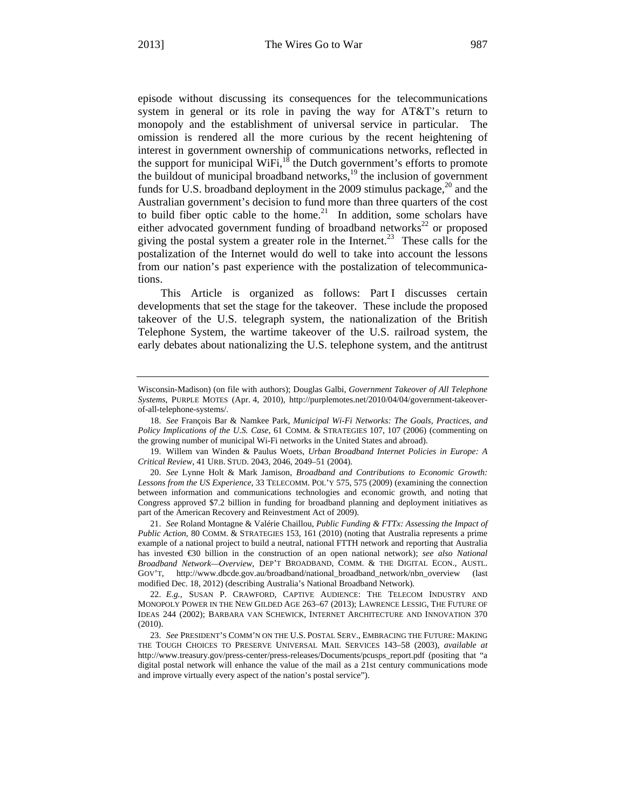episode without discussing its consequences for the telecommunications system in general or its role in paving the way for AT&T's return to monopoly and the establishment of universal service in particular. The omission is rendered all the more curious by the recent heightening of interest in government ownership of communications networks, reflected in the support for municipal WiFi, $^{18}$  the Dutch government's efforts to promote the buildout of municipal broadband networks, $19$  the inclusion of government funds for U.S. broadband deployment in the 2009 stimulus package, $^{20}$  and the Australian government's decision to fund more than three quarters of the cost to build fiber optic cable to the home.<sup>21</sup> In addition, some scholars have either advocated government funding of broadband networks<sup>22</sup> or proposed giving the postal system a greater role in the Internet.<sup>23</sup> These calls for the postalization of the Internet would do well to take into account the lessons from our nation's past experience with the postalization of telecommunications.

This Article is organized as follows: Part I discusses certain developments that set the stage for the takeover. These include the proposed takeover of the U.S. telegraph system, the nationalization of the British Telephone System, the wartime takeover of the U.S. railroad system, the early debates about nationalizing the U.S. telephone system, and the antitrust

Wisconsin-Madison) (on file with authors); Douglas Galbi, *Government Takeover of All Telephone Systems*, PURPLE MOTES (Apr. 4, 2010), http://purplemotes.net/2010/04/04/government-takeoverof-all-telephone-systems/.

<sup>18.</sup> *See* François Bar & Namkee Park, *Municipal Wi-Fi Networks: The Goals, Practices, and Policy Implications of the U.S. Case*, 61 COMM. & STRATEGIES 107, 107 (2006) (commenting on the growing number of municipal Wi-Fi networks in the United States and abroad).

<sup>19.</sup> Willem van Winden & Paulus Woets, *Urban Broadband Internet Policies in Europe: A Critical Review*, 41 URB. STUD. 2043, 2046, 2049–51 (2004).

<sup>20.</sup> *See* Lynne Holt & Mark Jamison, *Broadband and Contributions to Economic Growth: Lessons from the US Experience*, 33 TELECOMM. POL'Y 575, 575 (2009) (examining the connection between information and communications technologies and economic growth, and noting that Congress approved \$7.2 billion in funding for broadband planning and deployment initiatives as part of the American Recovery and Reinvestment Act of 2009).

<sup>21.</sup> *See* Roland Montagne & Valérie Chaillou, *Public Funding & FTTx: Assessing the Impact of Public Action*, 80 COMM. & STRATEGIES 153, 161 (2010) (noting that Australia represents a prime example of a national project to build a neutral, national FTTH network and reporting that Australia has invested €30 billion in the construction of an open national network); *see also National Broadband Network—Overview*, DEP'T BROADBAND, COMM. & THE DIGITAL ECON., AUSTL. GOV'T, http://www.dbcde.gov.au/broadband/national\_broadband\_network/nbn\_overview (last modified Dec. 18, 2012) (describing Australia's National Broadband Network).

<sup>22.</sup> *E.g.*, SUSAN P. CRAWFORD, CAPTIVE AUDIENCE: THE TELECOM INDUSTRY AND MONOPOLY POWER IN THE NEW GILDED AGE 263–67 (2013); LAWRENCE LESSIG, THE FUTURE OF IDEAS 244 (2002); BARBARA VAN SCHEWICK, INTERNET ARCHITECTURE AND INNOVATION 370 (2010).

<sup>23.</sup> *See* PRESIDENT'S COMM'N ON THE U.S. POSTAL SERV., EMBRACING THE FUTURE: MAKING THE TOUGH CHOICES TO PRESERVE UNIVERSAL MAIL SERVICES 143–58 (2003), *available at* http://www.treasury.gov/press-center/press-releases/Documents/pcusps\_report.pdf (positing that "a digital postal network will enhance the value of the mail as a 21st century communications mode and improve virtually every aspect of the nation's postal service").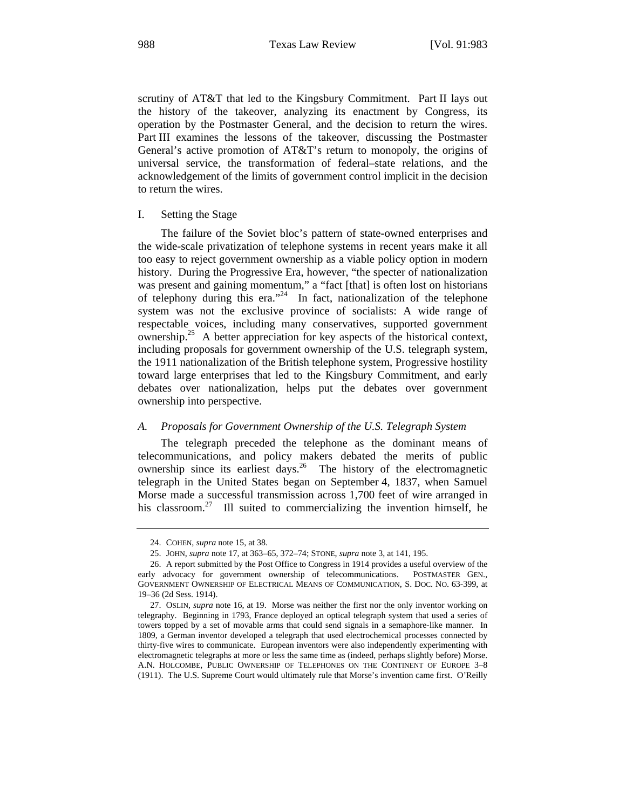scrutiny of AT&T that led to the Kingsbury Commitment. Part II lays out the history of the takeover, analyzing its enactment by Congress, its operation by the Postmaster General, and the decision to return the wires. Part III examines the lessons of the takeover, discussing the Postmaster General's active promotion of AT&T's return to monopoly, the origins of universal service, the transformation of federal–state relations, and the acknowledgement of the limits of government control implicit in the decision to return the wires.

#### I. Setting the Stage

The failure of the Soviet bloc's pattern of state-owned enterprises and the wide-scale privatization of telephone systems in recent years make it all too easy to reject government ownership as a viable policy option in modern history. During the Progressive Era, however, "the specter of nationalization was present and gaining momentum," a "fact [that] is often lost on historians of telephony during this era."<sup>24</sup> In fact, nationalization of the telephone system was not the exclusive province of socialists: A wide range of respectable voices, including many conservatives, supported government ownership.<sup>25</sup> A better appreciation for key aspects of the historical context, including proposals for government ownership of the U.S. telegraph system, the 1911 nationalization of the British telephone system, Progressive hostility toward large enterprises that led to the Kingsbury Commitment, and early debates over nationalization, helps put the debates over government ownership into perspective.

#### *A. Proposals for Government Ownership of the U.S. Telegraph System*

The telegraph preceded the telephone as the dominant means of telecommunications, and policy makers debated the merits of public ownership since its earliest days.26 The history of the electromagnetic telegraph in the United States began on September 4, 1837, when Samuel Morse made a successful transmission across 1,700 feet of wire arranged in his classroom.<sup>27</sup> Ill suited to commercializing the invention himself, he

<sup>24.</sup> COHEN, *supra* note 15, at 38.

<sup>25.</sup> JOHN, *supra* note 17, at 363–65, 372–74; STONE, *supra* note 3, at 141, 195.

<sup>26.</sup> A report submitted by the Post Office to Congress in 1914 provides a useful overview of the early advocacy for government ownership of telecommunications. POSTMASTER GEN., GOVERNMENT OWNERSHIP OF ELECTRICAL MEANS OF COMMUNICATION, S. DOC. NO. 63-399, at 19–36 (2d Sess. 1914).

<sup>27.</sup> OSLIN, *supra* note 16, at 19. Morse was neither the first nor the only inventor working on telegraphy. Beginning in 1793, France deployed an optical telegraph system that used a series of towers topped by a set of movable arms that could send signals in a semaphore-like manner. In 1809, a German inventor developed a telegraph that used electrochemical processes connected by thirty-five wires to communicate. European inventors were also independently experimenting with electromagnetic telegraphs at more or less the same time as (indeed, perhaps slightly before) Morse. A.N. HOLCOMBE, PUBLIC OWNERSHIP OF TELEPHONES ON THE CONTINENT OF EUROPE 3–8 (1911). The U.S. Supreme Court would ultimately rule that Morse's invention came first. O'Reilly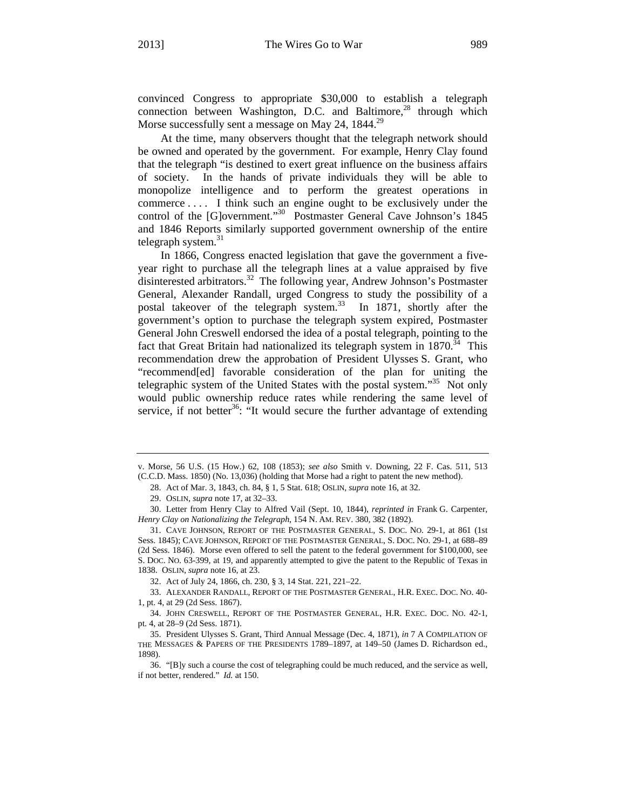convinced Congress to appropriate \$30,000 to establish a telegraph connection between Washington, D.C. and Baltimore, $^{28}$  through which Morse successfully sent a message on May 24, 1844.<sup>29</sup>

At the time, many observers thought that the telegraph network should be owned and operated by the government. For example, Henry Clay found that the telegraph "is destined to exert great influence on the business affairs of society. In the hands of private individuals they will be able to monopolize intelligence and to perform the greatest operations in commerce . . . . I think such an engine ought to be exclusively under the control of the [G]overnment."<sup>30</sup> Postmaster General Cave Johnson's 1845 and 1846 Reports similarly supported government ownership of the entire telegraph system. $31$ 

In 1866, Congress enacted legislation that gave the government a fiveyear right to purchase all the telegraph lines at a value appraised by five disinterested arbitrators.<sup>32</sup> The following year, Andrew Johnson's Postmaster General, Alexander Randall, urged Congress to study the possibility of a postal takeover of the telegraph system.<sup>33</sup> In 1871, shortly after the government's option to purchase the telegraph system expired, Postmaster General John Creswell endorsed the idea of a postal telegraph, pointing to the fact that Great Britain had nationalized its telegraph system in  $1870^{34}$  This recommendation drew the approbation of President Ulysses S. Grant, who "recommend[ed] favorable consideration of the plan for uniting the telegraphic system of the United States with the postal system."<sup>35</sup> Not only would public ownership reduce rates while rendering the same level of service, if not better<sup>36</sup>: "It would secure the further advantage of extending

32. Act of July 24, 1866, ch. 230, § 3, 14 Stat. 221, 221–22.

33. ALEXANDER RANDALL, REPORT OF THE POSTMASTER GENERAL, H.R. EXEC. DOC. NO. 40- 1, pt. 4, at 29 (2d Sess. 1867).

34. JOHN CRESWELL, REPORT OF THE POSTMASTER GENERAL, H.R. EXEC. DOC. NO. 42-1, pt. 4, at 28–9 (2d Sess. 1871).

v. Morse, 56 U.S. (15 How.) 62, 108 (1853); *see also* Smith v. Downing, 22 F. Cas. 511, 513 (C.C.D. Mass. 1850) (No. 13,036) (holding that Morse had a right to patent the new method).

<sup>28.</sup> Act of Mar. 3, 1843, ch. 84, § 1, 5 Stat. 618; OSLIN, *supra* note 16, at 32.

<sup>29.</sup> OSLIN, *supra* note 17, at 32–33.

<sup>30.</sup> Letter from Henry Clay to Alfred Vail (Sept. 10, 1844), *reprinted in* Frank G. Carpenter, *Henry Clay on Nationalizing the Telegraph*, 154 N. AM. REV. 380, 382 (1892).

<sup>31.</sup> CAVE JOHNSON, REPORT OF THE POSTMASTER GENERAL, S. DOC. NO. 29-1, at 861 (1st Sess. 1845); CAVE JOHNSON, REPORT OF THE POSTMASTER GENERAL, S. DOC. NO. 29-1, at 688–89 (2d Sess. 1846). Morse even offered to sell the patent to the federal government for \$100,000, see S. DOC. NO. 63-399, at 19, and apparently attempted to give the patent to the Republic of Texas in 1838. OSLIN, *supra* note 16, at 23.

<sup>35.</sup> President Ulysses S. Grant, Third Annual Message (Dec. 4, 1871), *in* 7 A COMPILATION OF THE MESSAGES & PAPERS OF THE PRESIDENTS 1789–1897, at 149–50 (James D. Richardson ed., 1898).

<sup>36. &</sup>quot;[B]y such a course the cost of telegraphing could be much reduced, and the service as well, if not better, rendered." *Id.* at 150.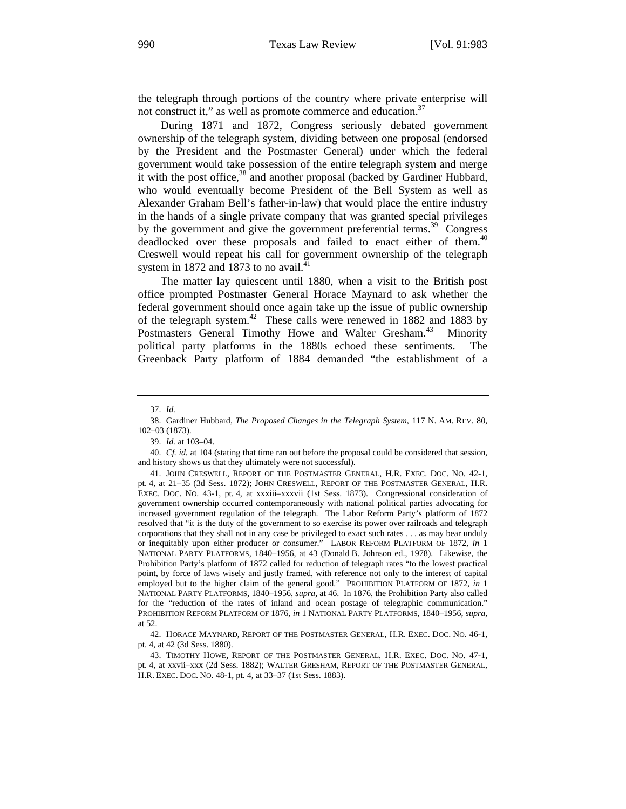the telegraph through portions of the country where private enterprise will not construct it," as well as promote commerce and education.<sup>37</sup>

During 1871 and 1872, Congress seriously debated government ownership of the telegraph system, dividing between one proposal (endorsed by the President and the Postmaster General) under which the federal government would take possession of the entire telegraph system and merge it with the post office,<sup>38</sup> and another proposal (backed by Gardiner Hubbard, who would eventually become President of the Bell System as well as Alexander Graham Bell's father-in-law) that would place the entire industry in the hands of a single private company that was granted special privileges by the government and give the government preferential terms.<sup>39</sup> Congress deadlocked over these proposals and failed to enact either of them.<sup>40</sup> Creswell would repeat his call for government ownership of the telegraph system in 1872 and 1873 to no avail.<sup>41</sup>

The matter lay quiescent until 1880, when a visit to the British post office prompted Postmaster General Horace Maynard to ask whether the federal government should once again take up the issue of public ownership of the telegraph system.42 These calls were renewed in 1882 and 1883 by Postmasters General Timothy Howe and Walter Gresham.<sup>43</sup> Minority political party platforms in the 1880s echoed these sentiments. The Greenback Party platform of 1884 demanded "the establishment of a

<sup>37.</sup> *Id.*

<sup>38.</sup> Gardiner Hubbard, *The Proposed Changes in the Telegraph System*, 117 N. AM. REV. 80, 102–03 (1873).

<sup>39.</sup> *Id.* at 103–04.

<sup>40.</sup> *Cf. id.* at 104 (stating that time ran out before the proposal could be considered that session, and history shows us that they ultimately were not successful).

<sup>41.</sup> JOHN CRESWELL, REPORT OF THE POSTMASTER GENERAL, H.R. EXEC. DOC. NO. 42-1, pt. 4, at 21–35 (3d Sess. 1872); JOHN CRESWELL, REPORT OF THE POSTMASTER GENERAL, H.R. EXEC. DOC. NO. 43-1, pt. 4, at xxxiii–xxxvii (1st Sess. 1873). Congressional consideration of government ownership occurred contemporaneously with national political parties advocating for increased government regulation of the telegraph. The Labor Reform Party's platform of 1872 resolved that "it is the duty of the government to so exercise its power over railroads and telegraph corporations that they shall not in any case be privileged to exact such rates . . . as may bear unduly or inequitably upon either producer or consumer." LABOR REFORM PLATFORM OF 1872, *in* 1 NATIONAL PARTY PLATFORMS, 1840–1956, at 43 (Donald B. Johnson ed., 1978). Likewise, the Prohibition Party's platform of 1872 called for reduction of telegraph rates "to the lowest practical point, by force of laws wisely and justly framed, with reference not only to the interest of capital employed but to the higher claim of the general good." PROHIBITION PLATFORM OF 1872, *in* 1 NATIONAL PARTY PLATFORMS, 1840–1956, *supra*, at 46. In 1876, the Prohibition Party also called for the "reduction of the rates of inland and ocean postage of telegraphic communication." PROHIBITION REFORM PLATFORM OF 1876, *in* 1 NATIONAL PARTY PLATFORMS, 1840–1956, *supra*, at 52.

<sup>42.</sup> HORACE MAYNARD, REPORT OF THE POSTMASTER GENERAL, H.R. EXEC. DOC. NO. 46-1, pt. 4, at 42 (3d Sess. 1880).

<sup>43.</sup> TIMOTHY HOWE, REPORT OF THE POSTMASTER GENERAL, H.R. EXEC. DOC. NO. 47-1, pt. 4, at xxvii–xxx (2d Sess. 1882); WALTER GRESHAM, REPORT OF THE POSTMASTER GENERAL, H.R. EXEC. DOC. NO. 48-1, pt. 4, at 33–37 (1st Sess. 1883).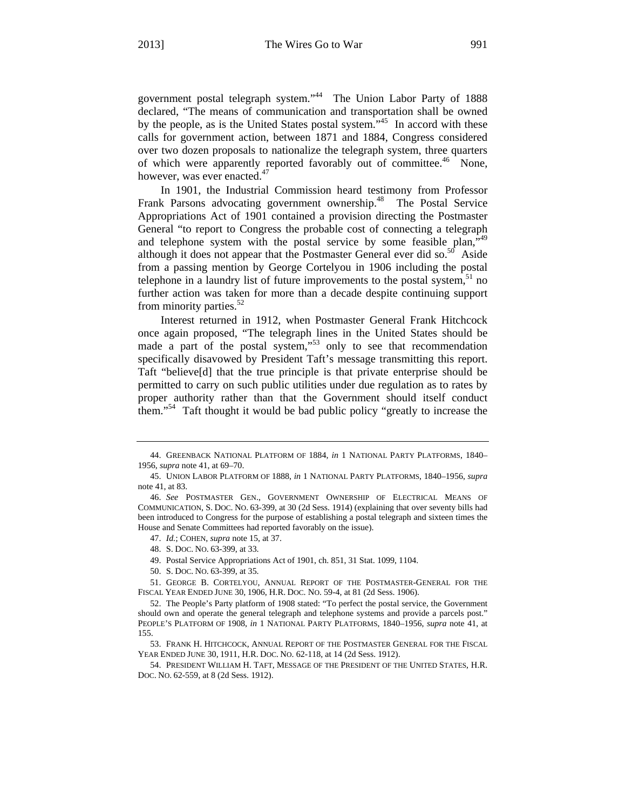government postal telegraph system."<sup>44</sup> The Union Labor Party of 1888 declared, "The means of communication and transportation shall be owned by the people, as is the United States postal system."45 In accord with these calls for government action, between 1871 and 1884, Congress considered over two dozen proposals to nationalize the telegraph system, three quarters of which were apparently reported favorably out of committee.<sup>46</sup> None, however, was ever enacted.<sup>47</sup>

In 1901, the Industrial Commission heard testimony from Professor Frank Parsons advocating government ownership.<sup>48</sup> The Postal Service Appropriations Act of 1901 contained a provision directing the Postmaster General "to report to Congress the probable cost of connecting a telegraph and telephone system with the postal service by some feasible plan,  $x^{49}$ although it does not appear that the Postmaster General ever did so.<sup>50</sup> Aside from a passing mention by George Cortelyou in 1906 including the postal telephone in a laundry list of future improvements to the postal system,  $51$  no further action was taken for more than a decade despite continuing support from minority parties.<sup>52</sup>

Interest returned in 1912, when Postmaster General Frank Hitchcock once again proposed, "The telegraph lines in the United States should be made a part of the postal system,"<sup>53</sup> only to see that recommendation specifically disavowed by President Taft's message transmitting this report. Taft "believe[d] that the true principle is that private enterprise should be permitted to carry on such public utilities under due regulation as to rates by proper authority rather than that the Government should itself conduct them."54 Taft thought it would be bad public policy "greatly to increase the

<sup>44.</sup> GREENBACK NATIONAL PLATFORM OF 1884, *in* 1 NATIONAL PARTY PLATFORMS, 1840– 1956, *supra* note 41, at 69–70.

<sup>45.</sup> UNION LABOR PLATFORM OF 1888, *in* 1 NATIONAL PARTY PLATFORMS, 1840–1956, *supra* note 41, at 83.

<sup>46.</sup> *See* POSTMASTER GEN., GOVERNMENT OWNERSHIP OF ELECTRICAL MEANS OF COMMUNICATION, S. DOC. NO. 63-399, at 30 (2d Sess. 1914) (explaining that over seventy bills had been introduced to Congress for the purpose of establishing a postal telegraph and sixteen times the House and Senate Committees had reported favorably on the issue).

<sup>47.</sup> *Id.*; COHEN, *supra* note 15, at 37.

<sup>48.</sup> S. DOC. NO. 63-399, at 33.

<sup>49.</sup> Postal Service Appropriations Act of 1901, ch. 851, 31 Stat. 1099, 1104.

<sup>50.</sup> S. DOC. NO. 63-399, at 35.

<sup>51.</sup> GEORGE B. CORTELYOU, ANNUAL REPORT OF THE POSTMASTER-GENERAL FOR THE FISCAL YEAR ENDED JUNE 30, 1906, H.R. DOC. NO. 59-4, at 81 (2d Sess. 1906).

<sup>52.</sup> The People's Party platform of 1908 stated: "To perfect the postal service, the Government should own and operate the general telegraph and telephone systems and provide a parcels post." PEOPLE'S PLATFORM OF 1908, *in* 1 NATIONAL PARTY PLATFORMS, 1840–1956, *supra* note 41, at 155.

<sup>53.</sup> FRANK H. HITCHCOCK, ANNUAL REPORT OF THE POSTMASTER GENERAL FOR THE FISCAL YEAR ENDED JUNE 30, 1911, H.R. DOC. NO. 62-118, at 14 (2d Sess. 1912).

<sup>54.</sup> PRESIDENT WILLIAM H. TAFT, MESSAGE OF THE PRESIDENT OF THE UNITED STATES, H.R. DOC. NO. 62-559, at 8 (2d Sess. 1912).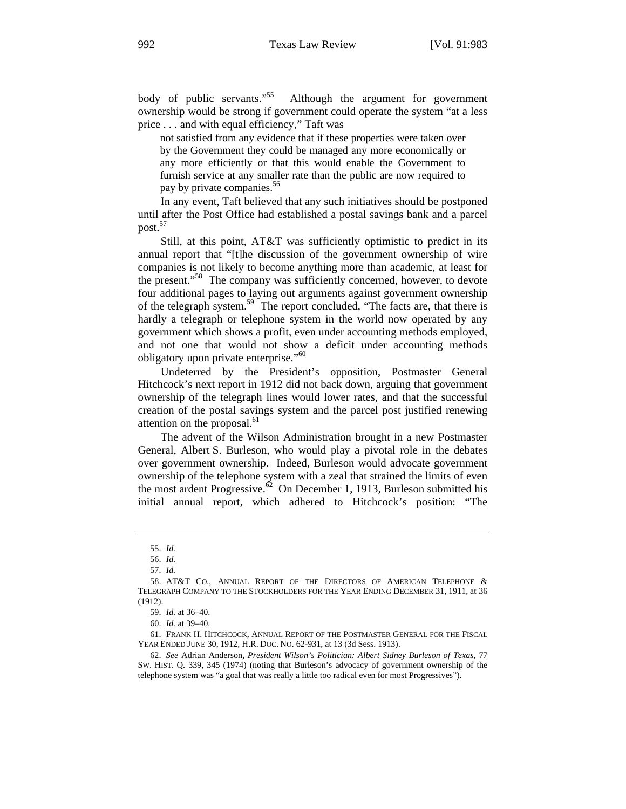body of public servants."<sup>55</sup> Although the argument for government ownership would be strong if government could operate the system "at a less price . . . and with equal efficiency," Taft was

not satisfied from any evidence that if these properties were taken over by the Government they could be managed any more economically or any more efficiently or that this would enable the Government to furnish service at any smaller rate than the public are now required to pay by private companies.<sup>56</sup>

In any event, Taft believed that any such initiatives should be postponed until after the Post Office had established a postal savings bank and a parcel post.<sup>57</sup>

Still, at this point, AT&T was sufficiently optimistic to predict in its annual report that "[t]he discussion of the government ownership of wire companies is not likely to become anything more than academic, at least for the present."<sup>58</sup> The company was sufficiently concerned, however, to devote four additional pages to laying out arguments against government ownership of the telegraph system.<sup>59</sup> The report concluded, "The facts are, that there is hardly a telegraph or telephone system in the world now operated by any government which shows a profit, even under accounting methods employed, and not one that would not show a deficit under accounting methods obligatory upon private enterprise."<sup>60</sup>

Undeterred by the President's opposition, Postmaster General Hitchcock's next report in 1912 did not back down, arguing that government ownership of the telegraph lines would lower rates, and that the successful creation of the postal savings system and the parcel post justified renewing attention on the proposal. $61$ 

The advent of the Wilson Administration brought in a new Postmaster General, Albert S. Burleson, who would play a pivotal role in the debates over government ownership. Indeed, Burleson would advocate government ownership of the telephone system with a zeal that strained the limits of even the most ardent Progressive.<sup>62</sup> On December 1, 1913, Burleson submitted his initial annual report, which adhered to Hitchcock's position: "The

<sup>55.</sup> *Id.*

<sup>56.</sup> *Id.* 

<sup>57.</sup> *Id.* 

<sup>58.</sup> AT&T CO., ANNUAL REPORT OF THE DIRECTORS OF AMERICAN TELEPHONE & TELEGRAPH COMPANY TO THE STOCKHOLDERS FOR THE YEAR ENDING DECEMBER 31, 1911, at 36 (1912).

<sup>59.</sup> *Id.* at 36–40.

<sup>60.</sup> *Id.* at 39–40.

<sup>61.</sup> FRANK H. HITCHCOCK, ANNUAL REPORT OF THE POSTMASTER GENERAL FOR THE FISCAL YEAR ENDED JUNE 30, 1912, H.R. DOC. NO. 62-931, at 13 (3d Sess. 1913).

<sup>62.</sup> *See* Adrian Anderson, *President Wilson's Politician: Albert Sidney Burleson of Texas*, 77 SW. HIST. Q. 339, 345 (1974) (noting that Burleson's advocacy of government ownership of the telephone system was "a goal that was really a little too radical even for most Progressives").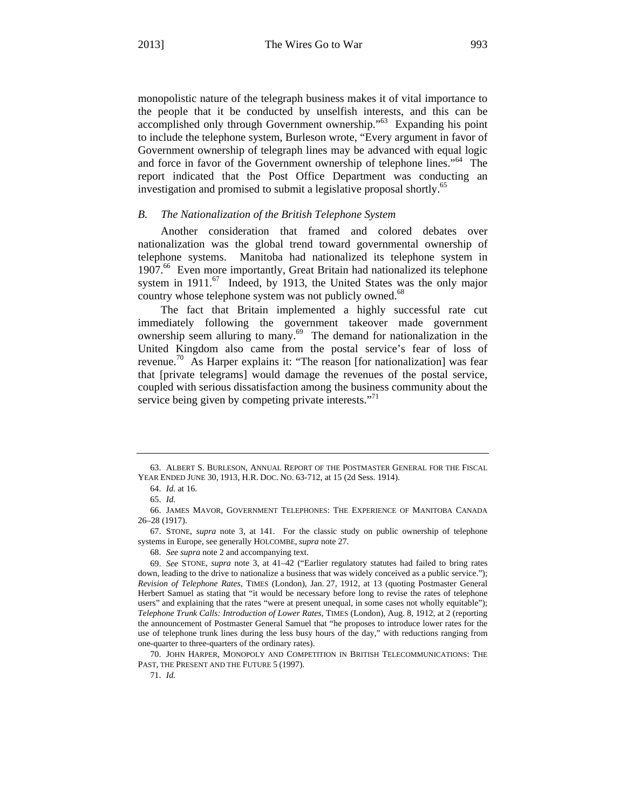monopolistic nature of the telegraph business makes it of vital importance to the people that it be conducted by unselfish interests, and this can be accomplished only through Government ownership."63 Expanding his point to include the telephone system, Burleson wrote, "Every argument in favor of Government ownership of telegraph lines may be advanced with equal logic and force in favor of the Government ownership of telephone lines."<sup>64</sup> The report indicated that the Post Office Department was conducting an investigation and promised to submit a legislative proposal shortly.<sup>65</sup>

#### *B. The Nationalization of the British Telephone System*

Another consideration that framed and colored debates over nationalization was the global trend toward governmental ownership of telephone systems. Manitoba had nationalized its telephone system in 1907.<sup>66</sup> Even more importantly, Great Britain had nationalized its telephone system in  $1911$ .<sup>67</sup> Indeed, by 1913, the United States was the only major country whose telephone system was not publicly owned.<sup>68</sup>

The fact that Britain implemented a highly successful rate cut immediately following the government takeover made government ownership seem alluring to many.<sup>69</sup> The demand for nationalization in the United Kingdom also came from the postal service's fear of loss of revenue.<sup>70</sup> As Harper explains it: "The reason [for nationalization] was fear that [private telegrams] would damage the revenues of the postal service, coupled with serious dissatisfaction among the business community about the service being given by competing private interests."<sup>71</sup>

71. *Id.*

<sup>63.</sup> ALBERT S. BURLESON, ANNUAL REPORT OF THE POSTMASTER GENERAL FOR THE FISCAL YEAR ENDED JUNE 30, 1913, H.R. DOC. NO. 63-712, at 15 (2d Sess. 1914).

<sup>64.</sup> *Id.* at 16.

<sup>65.</sup> *Id.*

<sup>66.</sup> JAMES MAVOR, GOVERNMENT TELEPHONES: THE EXPERIENCE OF MANITOBA CANADA 26–28 (1917).

<sup>67.</sup> STONE, *supra* note 3, at 141. For the classic study on public ownership of telephone systems in Europe, see generally HOLCOMBE, *supra* note 27.

<sup>68.</sup> *See supra* note 2 and accompanying text.

<sup>69.</sup> *See* STONE, *supra* note 3, at 41–42 ("Earlier regulatory statutes had failed to bring rates down, leading to the drive to nationalize a business that was widely conceived as a public service."); *Revision of Telephone Rates*, TIMES (London), Jan. 27, 1912, at 13 (quoting Postmaster General Herbert Samuel as stating that "it would be necessary before long to revise the rates of telephone users" and explaining that the rates "were at present unequal, in some cases not wholly equitable"); *Telephone Trunk Calls: Introduction of Lower Rates*, TIMES (London), Aug. 8, 1912, at 2 (reporting the announcement of Postmaster General Samuel that "he proposes to introduce lower rates for the use of telephone trunk lines during the less busy hours of the day," with reductions ranging from one-quarter to three-quarters of the ordinary rates).

<sup>70.</sup> JOHN HARPER, MONOPOLY AND COMPETITION IN BRITISH TELECOMMUNICATIONS: THE PAST, THE PRESENT AND THE FUTURE 5 (1997).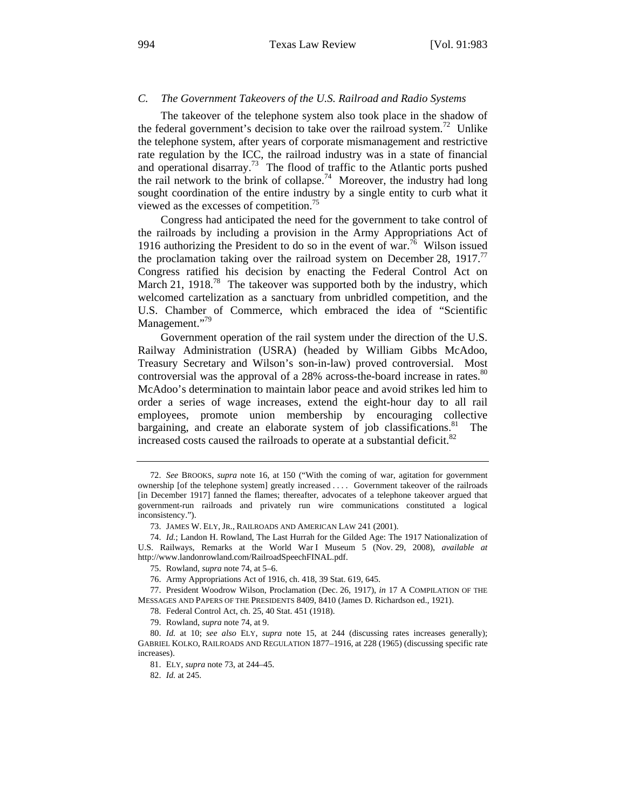#### *C. The Government Takeovers of the U.S. Railroad and Radio Systems*

The takeover of the telephone system also took place in the shadow of the federal government's decision to take over the railroad system.<sup>72</sup> Unlike the telephone system, after years of corporate mismanagement and restrictive rate regulation by the ICC, the railroad industry was in a state of financial and operational disarray.<sup>73</sup> The flood of traffic to the Atlantic ports pushed the rail network to the brink of collapse.<sup>74</sup> Moreover, the industry had long sought coordination of the entire industry by a single entity to curb what it viewed as the excesses of competition.<sup>75</sup>

Congress had anticipated the need for the government to take control of the railroads by including a provision in the Army Appropriations Act of 1916 authorizing the President to do so in the event of war.<sup>76</sup> Wilson issued the proclamation taking over the railroad system on December 28, 1917.<sup>77</sup> Congress ratified his decision by enacting the Federal Control Act on March 21, 1918.<sup>78</sup> The takeover was supported both by the industry, which welcomed cartelization as a sanctuary from unbridled competition, and the U.S. Chamber of Commerce, which embraced the idea of "Scientific Management."<sup>9</sup>

Government operation of the rail system under the direction of the U.S. Railway Administration (USRA) (headed by William Gibbs McAdoo, Treasury Secretary and Wilson's son-in-law) proved controversial. Most controversial was the approval of a 28% across-the-board increase in rates.<sup>80</sup> McAdoo's determination to maintain labor peace and avoid strikes led him to order a series of wage increases, extend the eight-hour day to all rail employees, promote union membership by encouraging collective bargaining, and create an elaborate system of job classifications.<sup>81</sup> The increased costs caused the railroads to operate at a substantial deficit.<sup>82</sup>

78. Federal Control Act, ch. 25, 40 Stat. 451 (1918).

79. Rowland, *supra* note 74, at 9.

80. *Id.* at 10; *see also* ELY, *supra* note 15, at 244 (discussing rates increases generally); GABRIEL KOLKO, RAILROADS AND REGULATION 1877–1916, at 228 (1965) (discussing specific rate increases).

81. ELY, *supra* note 73, at 244–45.

82. *Id.* at 245.

<sup>72.</sup> *See* BROOKS, *supra* note 16, at 150 ("With the coming of war, agitation for government ownership [of the telephone system] greatly increased . . . . Government takeover of the railroads [in December 1917] fanned the flames; thereafter, advocates of a telephone takeover argued that government-run railroads and privately run wire communications constituted a logical inconsistency.").

<sup>73.</sup> JAMES W. ELY, JR., RAILROADS AND AMERICAN LAW 241 (2001).

<sup>74.</sup> *Id.*; Landon H. Rowland, The Last Hurrah for the Gilded Age: The 1917 Nationalization of U.S. Railways, Remarks at the World War I Museum 5 (Nov. 29, 2008), *available at* http://www.landonrowland.com/RailroadSpeechFINAL.pdf.

<sup>75.</sup> Rowland, *supra* note 74, at 5–6.

<sup>76.</sup> Army Appropriations Act of 1916, ch. 418, 39 Stat. 619, 645.

<sup>77.</sup> President Woodrow Wilson, Proclamation (Dec. 26, 1917), *in* 17 A COMPILATION OF THE MESSAGES AND PAPERS OF THE PRESIDENTS 8409, 8410 (James D. Richardson ed., 1921).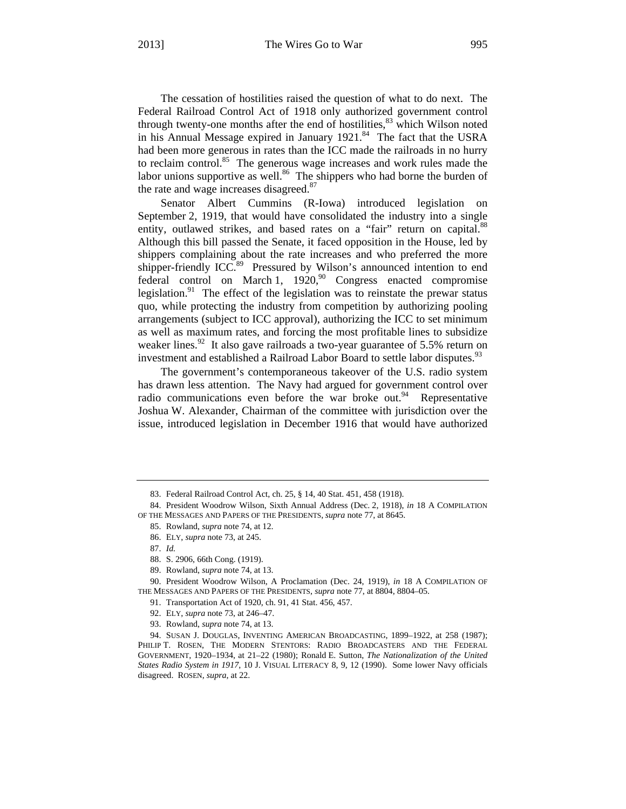The cessation of hostilities raised the question of what to do next. The Federal Railroad Control Act of 1918 only authorized government control through twenty-one months after the end of hostilities, $83$  which Wilson noted in his Annual Message expired in January  $1921$ .<sup>84</sup> The fact that the USRA had been more generous in rates than the ICC made the railroads in no hurry to reclaim control.<sup>85</sup> The generous wage increases and work rules made the labor unions supportive as well.<sup>86</sup> The shippers who had borne the burden of the rate and wage increases disagreed.<sup>87</sup>

Senator Albert Cummins (R-Iowa) introduced legislation on September 2, 1919, that would have consolidated the industry into a single entity, outlawed strikes, and based rates on a "fair" return on capital.<sup>88</sup> Although this bill passed the Senate, it faced opposition in the House, led by shippers complaining about the rate increases and who preferred the more shipper-friendly ICC.<sup>89</sup> Pressured by Wilson's announced intention to end federal control on March 1,  $1920$ ,<sup>90</sup> Congress enacted compromise legislation. $91$  The effect of the legislation was to reinstate the prewar status quo, while protecting the industry from competition by authorizing pooling arrangements (subject to ICC approval), authorizing the ICC to set minimum as well as maximum rates, and forcing the most profitable lines to subsidize weaker lines.<sup>92</sup> It also gave railroads a two-year guarantee of 5.5% return on investment and established a Railroad Labor Board to settle labor disputes.<sup>95</sup>

The government's contemporaneous takeover of the U.S. radio system has drawn less attention. The Navy had argued for government control over radio communications even before the war broke out.<sup>94</sup> Representative Joshua W. Alexander, Chairman of the committee with jurisdiction over the issue, introduced legislation in December 1916 that would have authorized

86. ELY, *supra* note 73, at 245.

<sup>83.</sup> Federal Railroad Control Act, ch. 25, § 14, 40 Stat. 451, 458 (1918).

<sup>84.</sup> President Woodrow Wilson, Sixth Annual Address (Dec. 2, 1918), *in* 18 A COMPILATION OF THE MESSAGES AND PAPERS OF THE PRESIDENTS, *supra* note 77, at 8645.

<sup>85.</sup> Rowland, *supra* note 74, at 12.

<sup>87.</sup> *Id.* 

<sup>88.</sup> S. 2906, 66th Cong. (1919).

<sup>89.</sup> Rowland, *supra* note 74, at 13.

<sup>90.</sup> President Woodrow Wilson, A Proclamation (Dec. 24, 1919), *in* 18 A COMPILATION OF THE MESSAGES AND PAPERS OF THE PRESIDENTS, *supra* note 77, at 8804, 8804–05.

<sup>91.</sup> Transportation Act of 1920, ch. 91, 41 Stat. 456, 457.

<sup>92.</sup> ELY, *supra* note 73, at 246–47.

<sup>93.</sup> Rowland, *supra* note 74, at 13.

<sup>94.</sup> SUSAN J. DOUGLAS, INVENTING AMERICAN BROADCASTING, 1899–1922, at 258 (1987); PHILIP T. ROSEN, THE MODERN STENTORS: RADIO BROADCASTERS AND THE FEDERAL GOVERNMENT, 1920–1934, at 21–22 (1980); Ronald E. Sutton, *The Nationalization of the United States Radio System in 1917*, 10 J. VISUAL LITERACY 8, 9, 12 (1990). Some lower Navy officials disagreed. ROSEN, *supra*, at 22.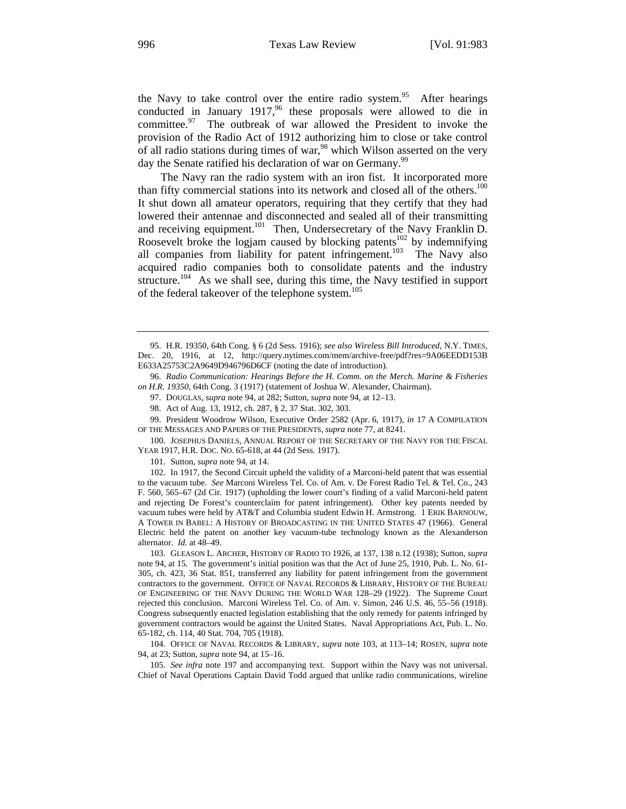the Navy to take control over the entire radio system.<sup>95</sup> After hearings conducted in January 1917,<sup>96</sup> these proposals were allowed to die in committee. $97$  The outbreak of war allowed the President to invoke the provision of the Radio Act of 1912 authorizing him to close or take control of all radio stations during times of war,<sup>98</sup> which Wilson asserted on the very day the Senate ratified his declaration of war on Germany.<sup>99</sup>

The Navy ran the radio system with an iron fist. It incorporated more than fifty commercial stations into its network and closed all of the others.<sup>100</sup> It shut down all amateur operators, requiring that they certify that they had lowered their antennae and disconnected and sealed all of their transmitting and receiving equipment.<sup>101</sup> Then, Undersecretary of the Navy Franklin D. Roosevelt broke the logjam caused by blocking patents<sup>102</sup> by indemnifying all companies from liability for patent infringement.<sup>103</sup> The Navy also acquired radio companies both to consolidate patents and the industry structure.<sup>104</sup> As we shall see, during this time, the Navy testified in support of the federal takeover of the telephone system.<sup>105</sup>

99. President Woodrow Wilson, Executive Order 2582 (Apr. 6, 1917), *in* 17 A COMPILATION OF THE MESSAGES AND PAPERS OF THE PRESIDENTS, *supra* note 77, at 8241.

100. JOSEPHUS DANIELS, ANNUAL REPORT OF THE SECRETARY OF THE NAVY FOR THE FISCAL YEAR 1917, H.R. DOC. NO. 65-618, at 44 (2d Sess. 1917).

101. Sutton, *supra* note 94, at 14.

102. In 1917, the Second Circuit upheld the validity of a Marconi-held patent that was essential to the vacuum tube. *See* Marconi Wireless Tel. Co. of Am. v. De Forest Radio Tel. & Tel. Co., 243 F. 560, 565–67 (2d Cir. 1917) (upholding the lower court's finding of a valid Marconi-held patent and rejecting De Forest's counterclaim for patent infringement). Other key patents needed by vacuum tubes were held by AT&T and Columbia student Edwin H. Armstrong. 1 ERIK BARNOUW, A TOWER IN BABEL: A HISTORY OF BROADCASTING IN THE UNITED STATES 47 (1966). General Electric held the patent on another key vacuum-tube technology known as the Alexanderson alternator. *Id.* at 48–49.

103. GLEASON L. ARCHER, HISTORY OF RADIO TO 1926, at 137, 138 n.12 (1938); Sutton, *supra* note 94, at 15. The government's initial position was that the Act of June 25, 1910, Pub. L. No. 61- 305, ch. 423, 36 Stat. 851, transferred any liability for patent infringement from the government contractors to the government. OFFICE OF NAVAL RECORDS & LIBRARY, HISTORY OF THE BUREAU OF ENGINEERING OF THE NAVY DURING THE WORLD WAR 128–29 (1922). The Supreme Court rejected this conclusion. Marconi Wireless Tel. Co. of Am. v. Simon, 246 U.S. 46, 55–56 (1918). Congress subsequently enacted legislation establishing that the only remedy for patents infringed by government contractors would be against the United States. Naval Appropriations Act, Pub. L. No. 65-182, ch. 114, 40 Stat. 704, 705 (1918).

104. OFFICE OF NAVAL RECORDS & LIBRARY, *supra* note 103, at 113–14; ROSEN, *supra* note 94, at 23; Sutton, *supra* note 94, at 15–16.

105. *See infra* note 197 and accompanying text. Support within the Navy was not universal. Chief of Naval Operations Captain David Todd argued that unlike radio communications, wireline

<sup>95.</sup> H.R. 19350, 64th Cong. § 6 (2d Sess. 1916); *see also Wireless Bill Introduced*, N.Y. TIMES, Dec. 20, 1916, at 12, http://query.nytimes.com/mem/archive-free/pdf?res=9A06EEDD153B E633A25753C2A9649D946796D6CF (noting the date of introduction).

<sup>96.</sup> *Radio Communication: Hearings Before the H. Comm. on the Merch. Marine & Fisheries on H.R. 19350*, 64th Cong. 3 (1917) (statement of Joshua W. Alexander, Chairman).

<sup>97.</sup> DOUGLAS, *supra* note 94, at 282; Sutton, *supra* note 94, at 12–13.

<sup>98.</sup> Act of Aug. 13, 1912, ch. 287, § 2, 37 Stat. 302, 303.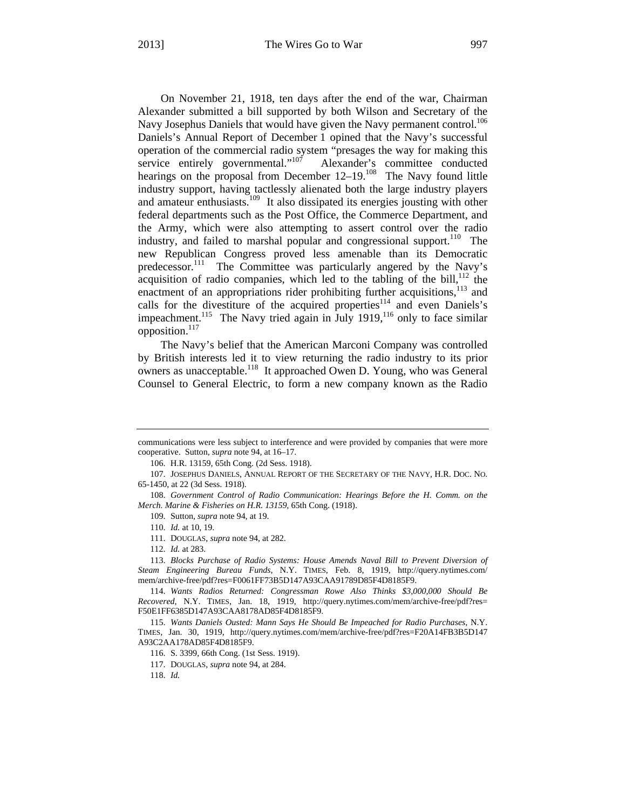On November 21, 1918, ten days after the end of the war, Chairman Alexander submitted a bill supported by both Wilson and Secretary of the Navy Josephus Daniels that would have given the Navy permanent control.<sup>106</sup> Daniels's Annual Report of December 1 opined that the Navy's successful operation of the commercial radio system "presages the way for making this service entirely governmental."<sup>107</sup> Alexander's committee conducted hearings on the proposal from December 12–19.<sup>108</sup> The Navy found little industry support, having tactlessly alienated both the large industry players and amateur enthusiasts.109 It also dissipated its energies jousting with other federal departments such as the Post Office, the Commerce Department, and the Army, which were also attempting to assert control over the radio industry, and failed to marshal popular and congressional support.<sup>110</sup> The new Republican Congress proved less amenable than its Democratic predecessor.<sup>111</sup> The Committee was particularly angered by the Navy's acquisition of radio companies, which led to the tabling of the bill, $^{112}$  the enactment of an appropriations rider prohibiting further acquisitions,<sup>113</sup> and calls for the divestiture of the acquired properties $114$  and even Daniels's impeachment.<sup>115</sup> The Navy tried again in July 1919,<sup>116</sup> only to face similar opposition.<sup>117</sup>

The Navy's belief that the American Marconi Company was controlled by British interests led it to view returning the radio industry to its prior owners as unacceptable.<sup>118</sup> It approached Owen D. Young, who was General Counsel to General Electric, to form a new company known as the Radio

106. H.R. 13159, 65th Cong. (2d Sess. 1918).

109. Sutton, *supra* note 94, at 19.

111. DOUGLAS, *supra* note 94, at 282.

112. *Id.* at 283.

113. *Blocks Purchase of Radio Systems: House Amends Naval Bill to Prevent Diversion of Steam Engineering Bureau Funds*, N.Y. TIMES, Feb. 8, 1919, http://query.nytimes.com/ mem/archive-free/pdf?res=F0061FF73B5D147A93CAA91789D85F4D8185F9.

114. *Wants Radios Returned: Congressman Rowe Also Thinks \$3,000,000 Should Be Recovered*, N.Y. TIMES, Jan. 18, 1919, http://query.nytimes.com/mem/archive-free/pdf?res= F50E1FF6385D147A93CAA8178AD85F4D8185F9.

115. *Wants Daniels Ousted: Mann Says He Should Be Impeached for Radio Purchases*, N.Y. TIMES, Jan. 30, 1919, http://query.nytimes.com/mem/archive-free/pdf?res=F20A14FB3B5D147 A93C2AA178AD85F4D8185F9.

116. S. 3399, 66th Cong. (1st Sess. 1919).

117. DOUGLAS, *supra* note 94, at 284.

118. *Id.*

communications were less subject to interference and were provided by companies that were more cooperative. Sutton, *supra* note 94, at 16–17.

<sup>107.</sup> JOSEPHUS DANIELS, ANNUAL REPORT OF THE SECRETARY OF THE NAVY, H.R. DOC. NO. 65-1450, at 22 (3d Sess. 1918).

<sup>108.</sup> *Government Control of Radio Communication: Hearings Before the H. Comm. on the Merch. Marine & Fisheries on H.R. 13159*, 65th Cong. (1918).

<sup>110.</sup> *Id.* at 10, 19.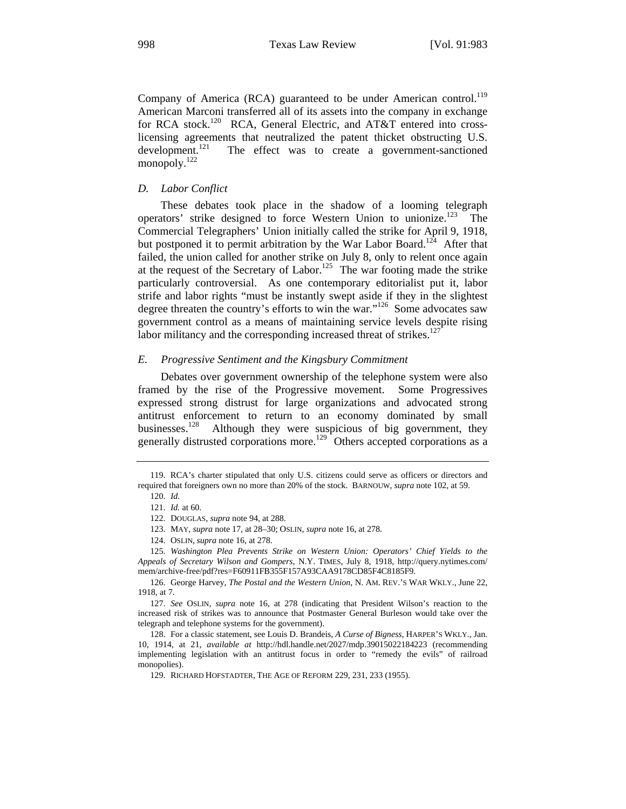Company of America (RCA) guaranteed to be under American control.<sup>119</sup> American Marconi transferred all of its assets into the company in exchange for RCA stock.<sup>120</sup> RCA, General Electric, and AT&T entered into crosslicensing agreements that neutralized the patent thicket obstructing U.S. development.<sup>121</sup> The effect was to create a government-sanctioned monopoly.<sup>122</sup>

#### *D. Labor Conflict*

These debates took place in the shadow of a looming telegraph operators' strike designed to force Western Union to unionize.<sup>123</sup> The Commercial Telegraphers' Union initially called the strike for April 9, 1918, but postponed it to permit arbitration by the War Labor Board.<sup>124</sup> After that failed, the union called for another strike on July 8, only to relent once again at the request of the Secretary of Labor.<sup>125</sup> The war footing made the strike particularly controversial. As one contemporary editorialist put it, labor strife and labor rights "must be instantly swept aside if they in the slightest degree threaten the country's efforts to win the war."<sup>126</sup> Some advocates saw government control as a means of maintaining service levels despite rising labor militancy and the corresponding increased threat of strikes.<sup>127</sup>

#### *E. Progressive Sentiment and the Kingsbury Commitment*

Debates over government ownership of the telephone system were also framed by the rise of the Progressive movement. Some Progressives expressed strong distrust for large organizations and advocated strong antitrust enforcement to return to an economy dominated by small businesses.<sup>128</sup> Although they were suspicious of big government, they Although they were suspicious of big government, they generally distrusted corporations more.<sup>129</sup> Others accepted corporations as a

125. *Washington Plea Prevents Strike on Western Union: Operators' Chief Yields to the Appeals of Secretary Wilson and Gompers*, N.Y. TIMES, July 8, 1918, http://query.nytimes.com/ mem/archive-free/pdf?res=F60911FB355F157A93CAA9178CD85F4C8185F9.

126. George Harvey, *The Postal and the Western Union*, N. AM. REV.'S WAR WKLY., June 22, 1918, at 7.

<sup>119.</sup> RCA's charter stipulated that only U.S. citizens could serve as officers or directors and required that foreigners own no more than 20% of the stock. BARNOUW, *supra* note 102, at 59.

<sup>120.</sup> *Id.*

<sup>121.</sup> *Id.* at 60.

<sup>122.</sup> DOUGLAS, *supra* note 94, at 288.

<sup>123.</sup> MAY, *supra* note 17, at 28–30; OSLIN, *supra* note 16, at 278.

<sup>124.</sup> OSLIN, *supra* note 16, at 278.

<sup>127.</sup> *See* OSLIN, *supra* note 16, at 278 (indicating that President Wilson's reaction to the increased risk of strikes was to announce that Postmaster General Burleson would take over the telegraph and telephone systems for the government).

<sup>128.</sup> For a classic statement, see Louis D. Brandeis, *A Curse of Bigness*, HARPER'S WKLY., Jan. 10, 1914, at 21, *available at* http://hdl.handle.net/2027/mdp.39015022184223 (recommending implementing legislation with an antitrust focus in order to "remedy the evils" of railroad monopolies).

<sup>129.</sup> RICHARD HOFSTADTER, THE AGE OF REFORM 229, 231, 233 (1955).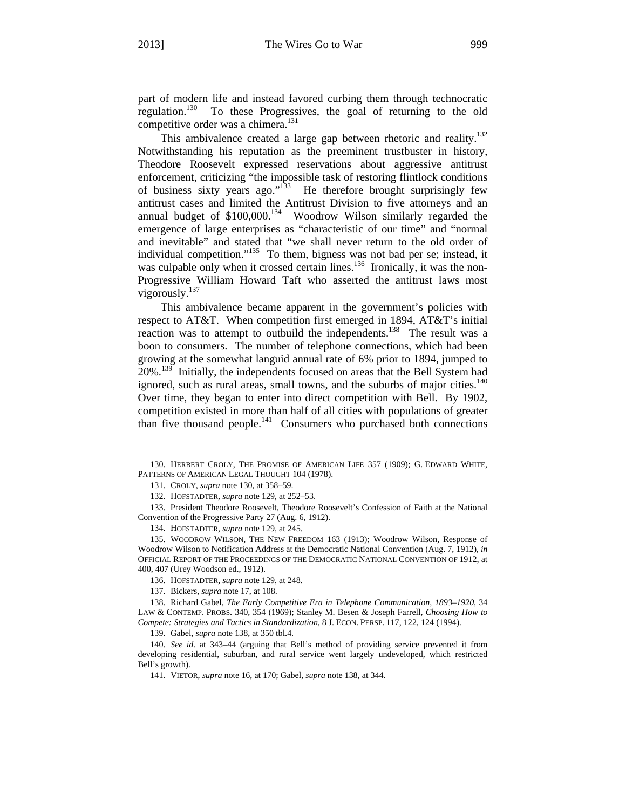part of modern life and instead favored curbing them through technocratic regulation.<sup>130</sup> To these Progressives, the goal of returning to the old competitive order was a chimera.<sup>131</sup>

This ambivalence created a large gap between rhetoric and reality.<sup>132</sup> Notwithstanding his reputation as the preeminent trustbuster in history, Theodore Roosevelt expressed reservations about aggressive antitrust enforcement, criticizing "the impossible task of restoring flintlock conditions of business sixty years ago." $133$  He therefore brought surprisingly few antitrust cases and limited the Antitrust Division to five attorneys and an annual budget of \$100,000.134 Woodrow Wilson similarly regarded the emergence of large enterprises as "characteristic of our time" and "normal and inevitable" and stated that "we shall never return to the old order of individual competition."<sup>135</sup> To them, bigness was not bad per se; instead, it was culpable only when it crossed certain lines.<sup>136</sup> Ironically, it was the non-Progressive William Howard Taft who asserted the antitrust laws most vigorously.<sup>137</sup>

This ambivalence became apparent in the government's policies with respect to AT&T. When competition first emerged in 1894, AT&T's initial reaction was to attempt to outbuild the independents.<sup>138</sup> The result was a boon to consumers. The number of telephone connections, which had been growing at the somewhat languid annual rate of 6% prior to 1894, jumped to 20%.<sup>139</sup> Initially, the independents focused on areas that the Bell System had ignored, such as rural areas, small towns, and the suburbs of major cities. $140$ Over time, they began to enter into direct competition with Bell. By 1902, competition existed in more than half of all cities with populations of greater than five thousand people.<sup>141</sup> Consumers who purchased both connections

<sup>130.</sup> HERBERT CROLY, THE PROMISE OF AMERICAN LIFE 357 (1909); G. EDWARD WHITE, PATTERNS OF AMERICAN LEGAL THOUGHT 104 (1978).

<sup>131.</sup> CROLY, *supra* note 130, at 358–59.

<sup>132.</sup> HOFSTADTER, *supra* note 129, at 252–53.

<sup>133.</sup> President Theodore Roosevelt, Theodore Roosevelt's Confession of Faith at the National Convention of the Progressive Party 27 (Aug. 6, 1912).

<sup>134.</sup> HOFSTADTER, *supra* note 129, at 245.

<sup>135.</sup> WOODROW WILSON, THE NEW FREEDOM 163 (1913); Woodrow Wilson, Response of Woodrow Wilson to Notification Address at the Democratic National Convention (Aug. 7, 1912), *in* OFFICIAL REPORT OF THE PROCEEDINGS OF THE DEMOCRATIC NATIONAL CONVENTION OF 1912, at 400, 407 (Urey Woodson ed., 1912).

<sup>136.</sup> HOFSTADTER, *supra* note 129, at 248.

<sup>137.</sup> Bickers, *supra* note 17, at 108.

<sup>138.</sup> Richard Gabel, *The Early Competitive Era in Telephone Communication, 1893–1920*, 34 LAW & CONTEMP. PROBS. 340, 354 (1969); Stanley M. Besen & Joseph Farrell, *Choosing How to Compete: Strategies and Tactics in Standardization*, 8 J. ECON. PERSP. 117, 122, 124 (1994).

<sup>139.</sup> Gabel, *supra* note 138, at 350 tbl.4.

<sup>140.</sup> *See id.* at 343–44 (arguing that Bell's method of providing service prevented it from developing residential, suburban, and rural service went largely undeveloped, which restricted Bell's growth).

<sup>141.</sup> VIETOR, *supra* note 16, at 170; Gabel, *supra* note 138, at 344.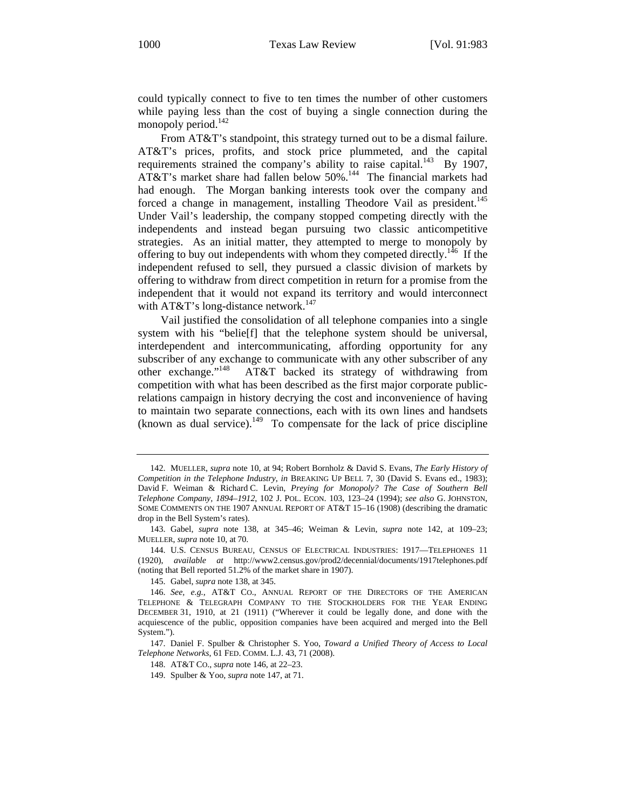could typically connect to five to ten times the number of other customers while paying less than the cost of buying a single connection during the monopoly period.<sup>142</sup>

From AT&T's standpoint, this strategy turned out to be a dismal failure. AT&T's prices, profits, and stock price plummeted, and the capital requirements strained the company's ability to raise capital.<sup>143</sup> By 1907, AT&T's market share had fallen below 50%.<sup>144</sup> The financial markets had had enough. The Morgan banking interests took over the company and forced a change in management, installing Theodore Vail as president.<sup>145</sup> Under Vail's leadership, the company stopped competing directly with the independents and instead began pursuing two classic anticompetitive strategies. As an initial matter, they attempted to merge to monopoly by offering to buy out independents with whom they competed directly.<sup>146</sup> If the independent refused to sell, they pursued a classic division of markets by offering to withdraw from direct competition in return for a promise from the independent that it would not expand its territory and would interconnect with  $AT&T$ 's long-distance network.<sup>147</sup>

Vail justified the consolidation of all telephone companies into a single system with his "belie[f] that the telephone system should be universal, interdependent and intercommunicating, affording opportunity for any subscriber of any exchange to communicate with any other subscriber of any other exchange."148 AT&T backed its strategy of withdrawing from competition with what has been described as the first major corporate publicrelations campaign in history decrying the cost and inconvenience of having to maintain two separate connections, each with its own lines and handsets  $(k)$  (known as dual service).<sup>149</sup> To compensate for the lack of price discipline

<sup>142.</sup> MUELLER, *supra* note 10, at 94; Robert Bornholz & David S. Evans, *The Early History of Competition in the Telephone Industry*, *in* BREAKING UP BELL 7, 30 (David S. Evans ed., 1983); David F. Weiman & Richard C. Levin, *Preying for Monopoly? The Case of Southern Bell Telephone Company, 1894–1912*, 102 J. POL. ECON. 103, 123–24 (1994); *see also* G. JOHNSTON, SOME COMMENTS ON THE 1907 ANNUAL REPORT OF AT&T 15–16 (1908) (describing the dramatic drop in the Bell System's rates).

<sup>143.</sup> Gabel, *supra* note 138, at 345–46; Weiman & Levin, *supra* note 142, at 109–23; MUELLER, *supra* note 10, at 70.

<sup>144.</sup> U.S. CENSUS BUREAU, CENSUS OF ELECTRICAL INDUSTRIES: 1917—TELEPHONES 11 (1920), *available at* http://www2.census.gov/prod2/decennial/documents/1917telephones.pdf (noting that Bell reported 51.2% of the market share in 1907).

<sup>145.</sup> Gabel, *supra* note 138, at 345.

<sup>146.</sup> *See, e.g.*, AT&T CO., ANNUAL REPORT OF THE DIRECTORS OF THE AMERICAN TELEPHONE & TELEGRAPH COMPANY TO THE STOCKHOLDERS FOR THE YEAR ENDING DECEMBER 31, 1910, at 21 (1911) ("Wherever it could be legally done, and done with the acquiescence of the public, opposition companies have been acquired and merged into the Bell System.").

<sup>147.</sup> Daniel F. Spulber & Christopher S. Yoo, *Toward a Unified Theory of Access to Local Telephone Networks*, 61 FED. COMM. L.J. 43, 71 (2008).

<sup>148.</sup> AT&T CO., *supra* note 146, at 22–23.

<sup>149.</sup> Spulber & Yoo, *supra* note 147, at 71.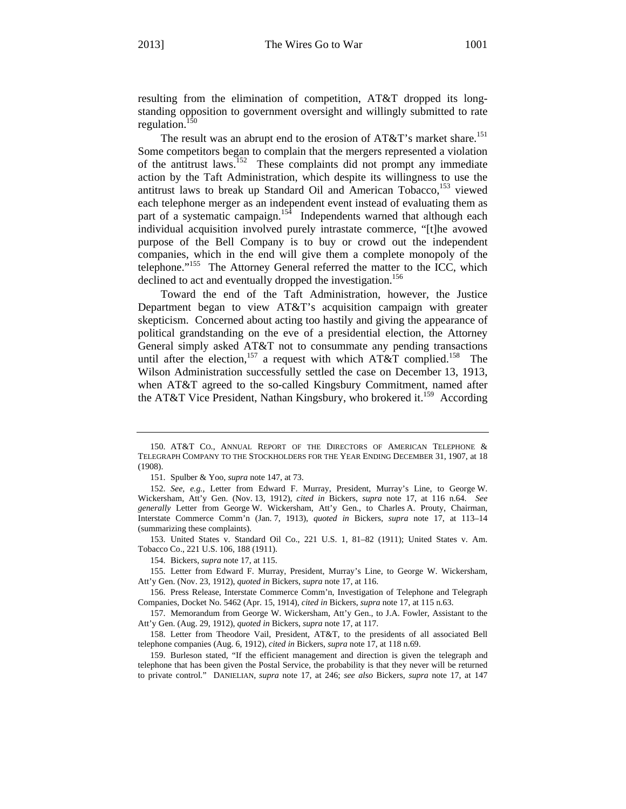resulting from the elimination of competition, AT&T dropped its longstanding opposition to government oversight and willingly submitted to rate regulation. $150$ 

The result was an abrupt end to the erosion of AT&T's market share.<sup>151</sup> Some competitors began to complain that the mergers represented a violation of the antitrust laws.<sup>152</sup> These complaints did not prompt any immediate action by the Taft Administration, which despite its willingness to use the antitrust laws to break up Standard Oil and American Tobacco,<sup>153</sup> viewed each telephone merger as an independent event instead of evaluating them as part of a systematic campaign.<sup>154</sup> Independents warned that although each individual acquisition involved purely intrastate commerce, "[t]he avowed purpose of the Bell Company is to buy or crowd out the independent companies, which in the end will give them a complete monopoly of the telephone."<sup>155</sup> The Attorney General referred the matter to the ICC, which declined to act and eventually dropped the investigation.<sup>156</sup>

Toward the end of the Taft Administration, however, the Justice Department began to view AT&T's acquisition campaign with greater skepticism. Concerned about acting too hastily and giving the appearance of political grandstanding on the eve of a presidential election, the Attorney General simply asked AT&T not to consummate any pending transactions until after the election,<sup>157</sup> a request with which AT&T complied.<sup>158</sup> The Wilson Administration successfully settled the case on December 13, 1913, when AT&T agreed to the so-called Kingsbury Commitment, named after the AT&T Vice President, Nathan Kingsbury, who brokered it.<sup>159</sup> According

<sup>150.</sup> AT&T CO., ANNUAL REPORT OF THE DIRECTORS OF AMERICAN TELEPHONE & TELEGRAPH COMPANY TO THE STOCKHOLDERS FOR THE YEAR ENDING DECEMBER 31, 1907, at 18 (1908).

<sup>151.</sup> Spulber & Yoo, *supra* note 147, at 73.

<sup>152.</sup> *See, e.g.*, Letter from Edward F. Murray, President, Murray's Line, to George W. Wickersham, Att'y Gen. (Nov. 13, 1912), *cited in* Bickers, *supra* note 17, at 116 n.64. *See generally* Letter from George W. Wickersham, Att'y Gen., to Charles A. Prouty, Chairman, Interstate Commerce Comm'n (Jan. 7, 1913), *quoted in* Bickers, *supra* note 17, at 113–14 (summarizing these complaints).

<sup>153.</sup> United States v. Standard Oil Co., 221 U.S. 1, 81–82 (1911); United States v. Am. Tobacco Co., 221 U.S. 106, 188 (1911).

<sup>154.</sup> Bickers, *supra* note 17, at 115.

<sup>155.</sup> Letter from Edward F. Murray, President, Murray's Line, to George W. Wickersham, Att'y Gen. (Nov. 23, 1912), *quoted in* Bickers, *supra* note 17, at 116.

<sup>156.</sup> Press Release, Interstate Commerce Comm'n, Investigation of Telephone and Telegraph Companies, Docket No. 5462 (Apr. 15, 1914), *cited in* Bickers, *supra* note 17, at 115 n.63.

<sup>157.</sup> Memorandum from George W. Wickersham, Att'y Gen., to J.A. Fowler, Assistant to the Att'y Gen. (Aug. 29, 1912), *quoted in* Bickers, *supra* note 17, at 117.

<sup>158.</sup> Letter from Theodore Vail, President, AT&T, to the presidents of all associated Bell telephone companies (Aug. 6, 1912), *cited in* Bickers, *supra* note 17, at 118 n.69.

<sup>159.</sup> Burleson stated, "If the efficient management and direction is given the telegraph and telephone that has been given the Postal Service, the probability is that they never will be returned to private control." DANIELIAN, *supra* note 17, at 246; *see also* Bickers, *supra* note 17, at 147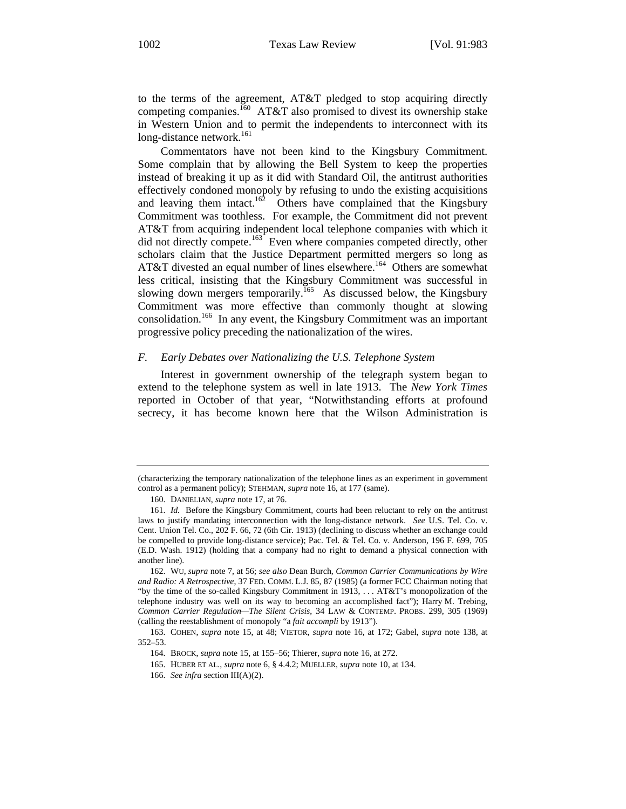to the terms of the agreement, AT&T pledged to stop acquiring directly competing companies.<sup>160</sup> AT&T also promised to divest its ownership stake in Western Union and to permit the independents to interconnect with its long-distance network.<sup>161</sup>

Commentators have not been kind to the Kingsbury Commitment. Some complain that by allowing the Bell System to keep the properties instead of breaking it up as it did with Standard Oil, the antitrust authorities effectively condoned monopoly by refusing to undo the existing acquisitions and leaving them intact.<sup>162</sup> Others have complained that the Kingsbury Commitment was toothless. For example, the Commitment did not prevent AT&T from acquiring independent local telephone companies with which it did not directly compete.<sup>163</sup> Even where companies competed directly, other scholars claim that the Justice Department permitted mergers so long as AT&T divested an equal number of lines elsewhere.<sup>164</sup> Others are somewhat less critical, insisting that the Kingsbury Commitment was successful in slowing down mergers temporarily.<sup>165</sup> As discussed below, the Kingsbury Commitment was more effective than commonly thought at slowing consolidation.166 In any event, the Kingsbury Commitment was an important progressive policy preceding the nationalization of the wires.

#### *F. Early Debates over Nationalizing the U.S. Telephone System*

Interest in government ownership of the telegraph system began to extend to the telephone system as well in late 1913. The *New York Times* reported in October of that year, "Notwithstanding efforts at profound secrecy, it has become known here that the Wilson Administration is

<sup>(</sup>characterizing the temporary nationalization of the telephone lines as an experiment in government control as a permanent policy); STEHMAN, *supra* note 16, at 177 (same).

<sup>160.</sup> DANIELIAN, *supra* note 17, at 76.

<sup>161.</sup> *Id.* Before the Kingsbury Commitment, courts had been reluctant to rely on the antitrust laws to justify mandating interconnection with the long-distance network. *See* U.S. Tel. Co. v. Cent. Union Tel. Co., 202 F. 66, 72 (6th Cir. 1913) (declining to discuss whether an exchange could be compelled to provide long-distance service); Pac. Tel. & Tel. Co. v. Anderson, 196 F. 699, 705 (E.D. Wash. 1912) (holding that a company had no right to demand a physical connection with another line).

<sup>162.</sup> WU, *supra* note 7, at 56; *see also* Dean Burch, *Common Carrier Communications by Wire and Radio: A Retrospective*, 37 FED. COMM. L.J. 85, 87 (1985) (a former FCC Chairman noting that "by the time of the so-called Kingsbury Commitment in 1913, . . . AT&T's monopolization of the telephone industry was well on its way to becoming an accomplished fact"); Harry M. Trebing, *Common Carrier Regulation—The Silent Crisis*, 34 LAW & CONTEMP. PROBS. 299, 305 (1969) (calling the reestablishment of monopoly "a *fait accompli* by 1913").

<sup>163.</sup> COHEN, *supra* note 15, at 48; VIETOR, *supra* note 16, at 172; Gabel, *supra* note 138, at 352–53.

<sup>164.</sup> BROCK, *supra* note 15, at 155–56; Thierer, *supra* note 16, at 272.

<sup>165.</sup> HUBER ET AL., *supra* note 6, § 4.4.2; MUELLER, *supra* note 10, at 134.

<sup>166.</sup> *See infra* section III(A)(2).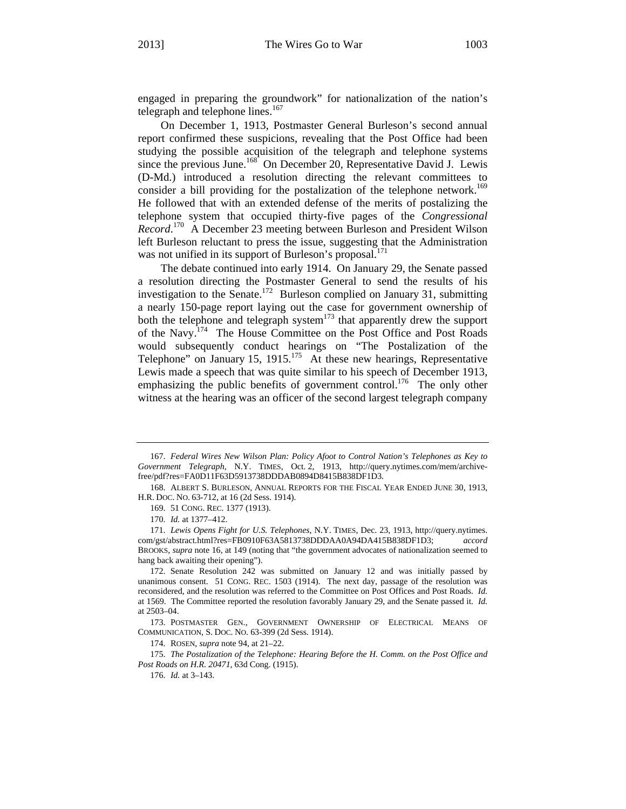engaged in preparing the groundwork" for nationalization of the nation's telegraph and telephone lines.<sup>167</sup>

On December 1, 1913, Postmaster General Burleson's second annual report confirmed these suspicions, revealing that the Post Office had been studying the possible acquisition of the telegraph and telephone systems since the previous June.<sup>168</sup> On December 20, Representative David J. Lewis (D-Md.) introduced a resolution directing the relevant committees to consider a bill providing for the postalization of the telephone network.<sup>169</sup> He followed that with an extended defense of the merits of postalizing the telephone system that occupied thirty-five pages of the *Congressional Record*. 170 A December 23 meeting between Burleson and President Wilson left Burleson reluctant to press the issue, suggesting that the Administration was not unified in its support of Burleson's proposal.<sup>171</sup>

The debate continued into early 1914. On January 29, the Senate passed a resolution directing the Postmaster General to send the results of his investigation to the Senate.<sup>172</sup> Burleson complied on January 31, submitting a nearly 150-page report laying out the case for government ownership of both the telephone and telegraph system<sup>173</sup> that apparently drew the support of the Navy.174 The House Committee on the Post Office and Post Roads would subsequently conduct hearings on "The Postalization of the Telephone" on January 15,  $1915$ <sup>175</sup> At these new hearings, Representative Lewis made a speech that was quite similar to his speech of December 1913, emphasizing the public benefits of government control.<sup>176</sup> The only other witness at the hearing was an officer of the second largest telegraph company

169. 51 CONG. REC. 1377 (1913).

173. POSTMASTER GEN., GOVERNMENT OWNERSHIP OF ELECTRICAL MEANS OF COMMUNICATION, S. DOC. NO. 63-399 (2d Sess. 1914).

174. ROSEN, *supra* note 94, at 21–22.

175. *The Postalization of the Telephone: Hearing Before the H. Comm. on the Post Office and Post Roads on H.R. 20471*, 63d Cong. (1915).

176. *Id.* at 3–143.

<sup>167.</sup> *Federal Wires New Wilson Plan: Policy Afoot to Control Nation's Telephones as Key to Government Telegraph*, N.Y. TIMES, Oct. 2, 1913, http://query.nytimes.com/mem/archivefree/pdf?res=FA0D11F63D5913738DDDAB0894D8415B838DF1D3.

<sup>168.</sup> ALBERT S. BURLESON, ANNUAL REPORTS FOR THE FISCAL YEAR ENDED JUNE 30, 1913, H.R. DOC. NO. 63-712, at 16 (2d Sess. 1914).

<sup>170.</sup> *Id.* at 1377–412.

<sup>171.</sup> *Lewis Opens Fight for U.S. Telephones*, N.Y. TIMES, Dec. 23, 1913, http://query.nytimes. com/gst/abstract.html?res=FB0910F63A5813738DDDAA0A94DA415B838DF1D3; *accord* BROOKS, *supra* note 16, at 149 (noting that "the government advocates of nationalization seemed to hang back awaiting their opening").

<sup>172.</sup> Senate Resolution 242 was submitted on January 12 and was initially passed by unanimous consent. 51 CONG. REC. 1503 (1914). The next day, passage of the resolution was reconsidered, and the resolution was referred to the Committee on Post Offices and Post Roads. *Id.* at 1569. The Committee reported the resolution favorably January 29, and the Senate passed it. *Id.* at 2503–04.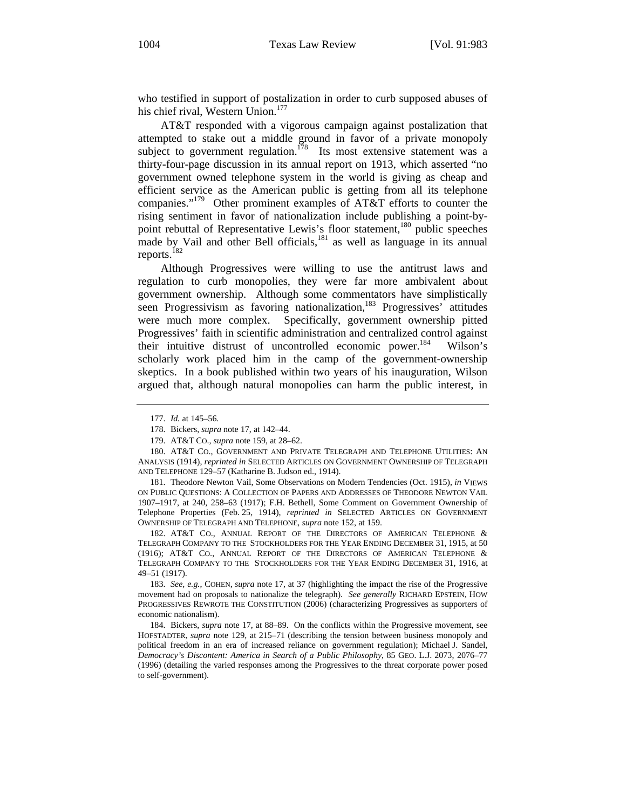who testified in support of postalization in order to curb supposed abuses of his chief rival, Western Union.<sup>177</sup>

AT&T responded with a vigorous campaign against postalization that attempted to stake out a middle ground in favor of a private monopoly subject to government regulation.<sup>178</sup> Its most extensive statement was a thirty-four-page discussion in its annual report on 1913, which asserted "no government owned telephone system in the world is giving as cheap and efficient service as the American public is getting from all its telephone companies."179 Other prominent examples of AT&T efforts to counter the rising sentiment in favor of nationalization include publishing a point-bypoint rebuttal of Representative Lewis's floor statement,<sup>180</sup> public speeches made by Vail and other Bell officials,<sup>181</sup> as well as language in its annual reports.<sup>182</sup>

Although Progressives were willing to use the antitrust laws and regulation to curb monopolies, they were far more ambivalent about government ownership. Although some commentators have simplistically seen Progressivism as favoring nationalization,<sup>183</sup> Progressives' attitudes were much more complex. Specifically, government ownership pitted Progressives' faith in scientific administration and centralized control against their intuitive distrust of uncontrolled economic power.<sup>184</sup> Wilson's scholarly work placed him in the camp of the government-ownership skeptics. In a book published within two years of his inauguration, Wilson argued that, although natural monopolies can harm the public interest, in

181. Theodore Newton Vail, Some Observations on Modern Tendencies (Oct. 1915), *in* VIEWS ON PUBLIC QUESTIONS: A COLLECTION OF PAPERS AND ADDRESSES OF THEODORE NEWTON VAIL 1907–1917, at 240, 258–63 (1917); F.H. Bethell, Some Comment on Government Ownership of Telephone Properties (Feb. 25, 1914), *reprinted in* SELECTED ARTICLES ON GOVERNMENT OWNERSHIP OF TELEGRAPH AND TELEPHONE, *supra* note 152, at 159.

182. AT&T CO., ANNUAL REPORT OF THE DIRECTORS OF AMERICAN TELEPHONE & TELEGRAPH COMPANY TO THE STOCKHOLDERS FOR THE YEAR ENDING DECEMBER 31, 1915, at 50 (1916); AT&T CO., ANNUAL REPORT OF THE DIRECTORS OF AMERICAN TELEPHONE & TELEGRAPH COMPANY TO THE STOCKHOLDERS FOR THE YEAR ENDING DECEMBER 31, 1916, at 49–51 (1917).

183. *See, e.g.*, COHEN, *supra* note 17, at 37 (highlighting the impact the rise of the Progressive movement had on proposals to nationalize the telegraph). *See generally* RICHARD EPSTEIN, HOW PROGRESSIVES REWROTE THE CONSTITUTION (2006) (characterizing Progressives as supporters of economic nationalism).

184. Bickers, *supra* note 17, at 88–89. On the conflicts within the Progressive movement, see HOFSTADTER, *supra* note 129, at 215–71 (describing the tension between business monopoly and political freedom in an era of increased reliance on government regulation); Michael J. Sandel, *Democracy's Discontent: America in Search of a Public Philosophy*, 85 GEO. L.J. 2073, 2076–77 (1996) (detailing the varied responses among the Progressives to the threat corporate power posed to self-government).

<sup>177.</sup> *Id.* at 145–56.

<sup>178.</sup> Bickers, *supra* note 17, at 142–44.

<sup>179.</sup> AT&T CO., *supra* note 159, at 28–62.

<sup>180.</sup> AT&T CO., GOVERNMENT AND PRIVATE TELEGRAPH AND TELEPHONE UTILITIES: AN ANALYSIS (1914), *reprinted in* SELECTED ARTICLES ON GOVERNMENT OWNERSHIP OF TELEGRAPH AND TELEPHONE 129–57 (Katharine B. Judson ed., 1914).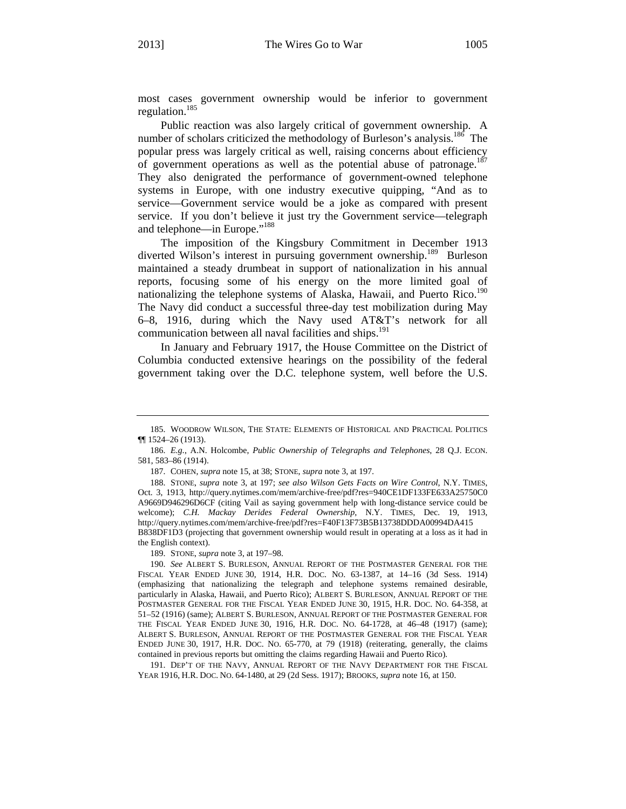most cases government ownership would be inferior to government regulation.185

Public reaction was also largely critical of government ownership. A number of scholars criticized the methodology of Burleson's analysis.<sup>186</sup> The popular press was largely critical as well, raising concerns about efficiency of government operations as well as the potential abuse of patronage.<sup>187</sup> They also denigrated the performance of government-owned telephone systems in Europe, with one industry executive quipping, "And as to service—Government service would be a joke as compared with present service. If you don't believe it just try the Government service—telegraph and telephone—in Europe."188

The imposition of the Kingsbury Commitment in December 1913 diverted Wilson's interest in pursuing government ownership.<sup>189</sup> Burleson maintained a steady drumbeat in support of nationalization in his annual reports, focusing some of his energy on the more limited goal of nationalizing the telephone systems of Alaska, Hawaii, and Puerto Rico.<sup>190</sup> The Navy did conduct a successful three-day test mobilization during May 6–8, 1916, during which the Navy used AT&T's network for all communication between all naval facilities and ships.<sup>191</sup>

In January and February 1917, the House Committee on the District of Columbia conducted extensive hearings on the possibility of the federal government taking over the D.C. telephone system, well before the U.S.

187. COHEN, *supra* note 15, at 38; STONE, *supra* note 3, at 197.

189. STONE, *supra* note 3, at 197–98.

191. DEP'T OF THE NAVY, ANNUAL REPORT OF THE NAVY DEPARTMENT FOR THE FISCAL YEAR 1916, H.R. DOC. NO. 64-1480, at 29 (2d Sess. 1917); BROOKS, *supra* note 16, at 150.

<sup>185.</sup> WOODROW WILSON, THE STATE: ELEMENTS OF HISTORICAL AND PRACTICAL POLITICS ¶¶ 1524–26 (1913).

<sup>186.</sup> *E.g.*, A.N. Holcombe, *Public Ownership of Telegraphs and Telephones*, 28 Q.J. ECON. 581, 583–86 (1914).

<sup>188.</sup> STONE, *supra* note 3, at 197; *see also Wilson Gets Facts on Wire Control*, N.Y. TIMES, Oct. 3, 1913, http://query.nytimes.com/mem/archive-free/pdf?res=940CE1DF133FE633A25750C0 A9669D946296D6CF (citing Vail as saying government help with long-distance service could be welcome); *C.H. Mackay Derides Federal Ownership*, N.Y. TIMES, Dec. 19, 1913, http://query.nytimes.com/mem/archive-free/pdf?res=F40F13F73B5B13738DDDA00994DA415 B838DF1D3 (projecting that government ownership would result in operating at a loss as it had in the English context).

<sup>190.</sup> *See* ALBERT S. BURLESON, ANNUAL REPORT OF THE POSTMASTER GENERAL FOR THE FISCAL YEAR ENDED JUNE 30, 1914, H.R. DOC. NO. 63-1387, at 14–16 (3d Sess. 1914) (emphasizing that nationalizing the telegraph and telephone systems remained desirable, particularly in Alaska, Hawaii, and Puerto Rico); ALBERT S. BURLESON, ANNUAL REPORT OF THE POSTMASTER GENERAL FOR THE FISCAL YEAR ENDED JUNE 30, 1915, H.R. DOC. NO. 64-358, at 51–52 (1916) (same); ALBERT S. BURLESON, ANNUAL REPORT OF THE POSTMASTER GENERAL FOR THE FISCAL YEAR ENDED JUNE 30, 1916, H.R. DOC. NO. 64-1728, at 46–48 (1917) (same); ALBERT S. BURLESON, ANNUAL REPORT OF THE POSTMASTER GENERAL FOR THE FISCAL YEAR ENDED JUNE 30, 1917, H.R. DOC. NO. 65-770, at 79 (1918) (reiterating, generally, the claims contained in previous reports but omitting the claims regarding Hawaii and Puerto Rico).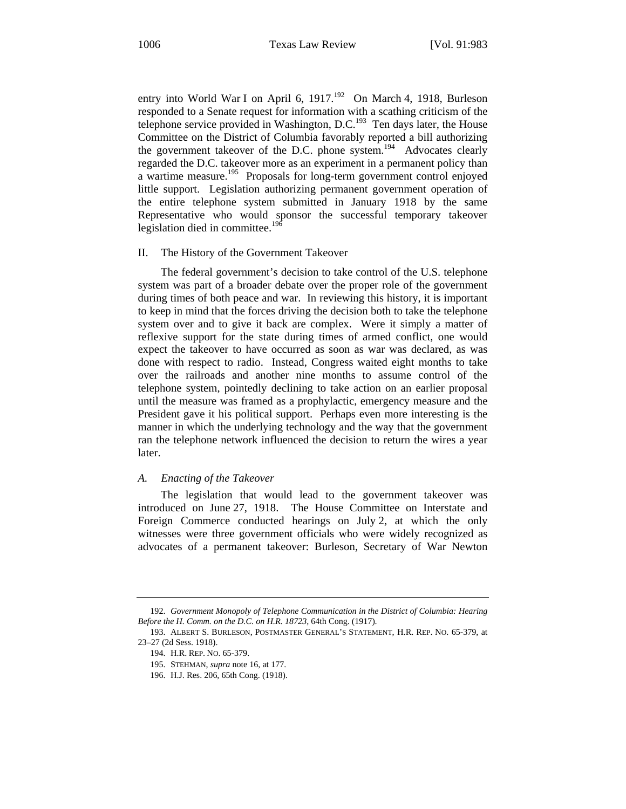entry into World War I on April 6, 1917.<sup>192</sup> On March 4, 1918, Burleson responded to a Senate request for information with a scathing criticism of the telephone service provided in Washington,  $D.C.<sup>193</sup>$  Ten days later, the House Committee on the District of Columbia favorably reported a bill authorizing the government takeover of the D.C. phone system.<sup>194</sup> Advocates clearly regarded the D.C. takeover more as an experiment in a permanent policy than a wartime measure.<sup>195</sup> Proposals for long-term government control enjoyed little support. Legislation authorizing permanent government operation of the entire telephone system submitted in January 1918 by the same Representative who would sponsor the successful temporary takeover legislation died in committee.<sup>196</sup>

#### II. The History of the Government Takeover

The federal government's decision to take control of the U.S. telephone system was part of a broader debate over the proper role of the government during times of both peace and war. In reviewing this history, it is important to keep in mind that the forces driving the decision both to take the telephone system over and to give it back are complex. Were it simply a matter of reflexive support for the state during times of armed conflict, one would expect the takeover to have occurred as soon as war was declared, as was done with respect to radio. Instead, Congress waited eight months to take over the railroads and another nine months to assume control of the telephone system, pointedly declining to take action on an earlier proposal until the measure was framed as a prophylactic, emergency measure and the President gave it his political support. Perhaps even more interesting is the manner in which the underlying technology and the way that the government ran the telephone network influenced the decision to return the wires a year later.

#### *A. Enacting of the Takeover*

The legislation that would lead to the government takeover was introduced on June 27, 1918. The House Committee on Interstate and Foreign Commerce conducted hearings on July 2, at which the only witnesses were three government officials who were widely recognized as advocates of a permanent takeover: Burleson, Secretary of War Newton

<sup>192.</sup> *Government Monopoly of Telephone Communication in the District of Columbia: Hearing Before the H. Comm. on the D.C. on H.R. 18723*, 64th Cong. (1917).

<sup>193.</sup> ALBERT S. BURLESON, POSTMASTER GENERAL'S STATEMENT, H.R. REP. NO. 65-379, at 23–27 (2d Sess. 1918).

<sup>194.</sup> H.R. REP. NO. 65-379.

<sup>195.</sup> STEHMAN, *supra* note 16, at 177.

<sup>196.</sup> H.J. Res. 206, 65th Cong. (1918).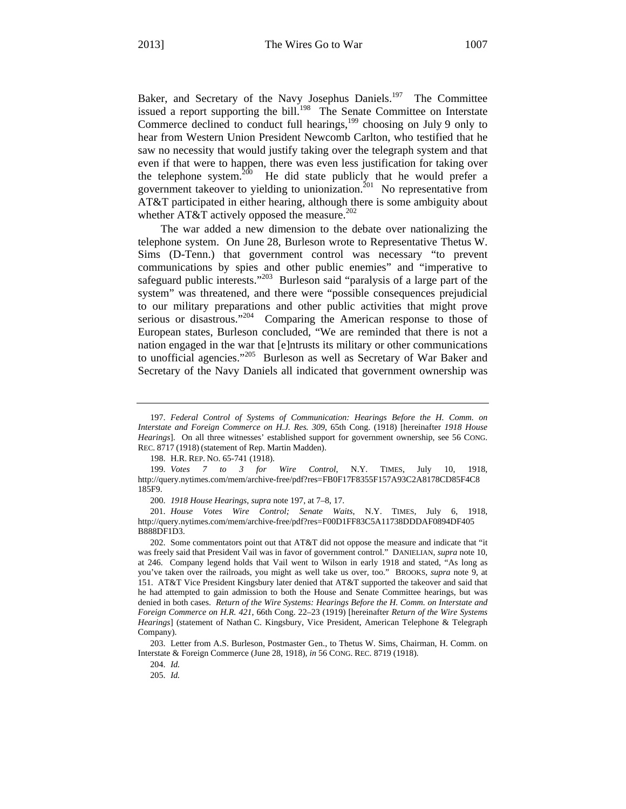Baker, and Secretary of the Navy Josephus Daniels.<sup>197</sup> The Committee issued a report supporting the bill.<sup>198</sup> The Senate Committee on Interstate Commerce declined to conduct full hearings, $199$  choosing on July 9 only to hear from Western Union President Newcomb Carlton, who testified that he saw no necessity that would justify taking over the telegraph system and that even if that were to happen, there was even less justification for taking over the telephone system. $200$  He did state publicly that he would prefer a government takeover to yielding to unionization.<sup>201</sup> No representative from AT&T participated in either hearing, although there is some ambiguity about whether AT&T actively opposed the measure.<sup>202</sup>

The war added a new dimension to the debate over nationalizing the telephone system. On June 28, Burleson wrote to Representative Thetus W. Sims (D-Tenn.) that government control was necessary "to prevent communications by spies and other public enemies" and "imperative to safeguard public interests."<sup>203</sup> Burleson said "paralysis of a large part of the system" was threatened, and there were "possible consequences prejudicial to our military preparations and other public activities that might prove serious or disastrous."<sup>204</sup> Comparing the American response to those of European states, Burleson concluded, "We are reminded that there is not a nation engaged in the war that [e]ntrusts its military or other communications to unofficial agencies."205 Burleson as well as Secretary of War Baker and Secretary of the Navy Daniels all indicated that government ownership was

<sup>197.</sup> *Federal Control of Systems of Communication: Hearings Before the H. Comm. on Interstate and Foreign Commerce on H.J. Res. 309*, 65th Cong. (1918) [hereinafter *1918 House Hearings*]. On all three witnesses' established support for government ownership, see 56 CONG. REC. 8717 (1918) (statement of Rep. Martin Madden).

<sup>198.</sup> H.R. REP. NO. 65-741 (1918).

<sup>199.</sup> *Votes 7 to 3 for Wire Control*, N.Y. TIMES, July 10, 1918, http://query.nytimes.com/mem/archive-free/pdf?res=FB0F17F8355F157A93C2A8178CD85F4C8 185F9.

<sup>200.</sup> *1918 House Hearings*, *supra* note 197, at 7–8, 17.

<sup>201.</sup> *House Votes Wire Control; Senate Waits*, N.Y. TIMES, July 6, 1918, http://query.nytimes.com/mem/archive-free/pdf?res=F00D1FF83C5A11738DDDAF0894DF405 B888DF1D3.

<sup>202.</sup> Some commentators point out that AT&T did not oppose the measure and indicate that "it was freely said that President Vail was in favor of government control." DANIELIAN, *supra* note 10, at 246. Company legend holds that Vail went to Wilson in early 1918 and stated, "As long as you've taken over the railroads, you might as well take us over, too." BROOKS, *supra* note 9, at 151. AT&T Vice President Kingsbury later denied that AT&T supported the takeover and said that he had attempted to gain admission to both the House and Senate Committee hearings, but was denied in both cases. *Return of the Wire Systems: Hearings Before the H. Comm. on Interstate and Foreign Commerce on H.R. 421*, 66th Cong. 22–23 (1919) [hereinafter *Return of the Wire Systems Hearings*] (statement of Nathan C. Kingsbury, Vice President, American Telephone & Telegraph Company).

<sup>203.</sup> Letter from A.S. Burleson, Postmaster Gen., to Thetus W. Sims, Chairman, H. Comm. on Interstate & Foreign Commerce (June 28, 1918), *in* 56 CONG. REC. 8719 (1918).

<sup>204.</sup> *Id.*

<sup>205.</sup> *Id.*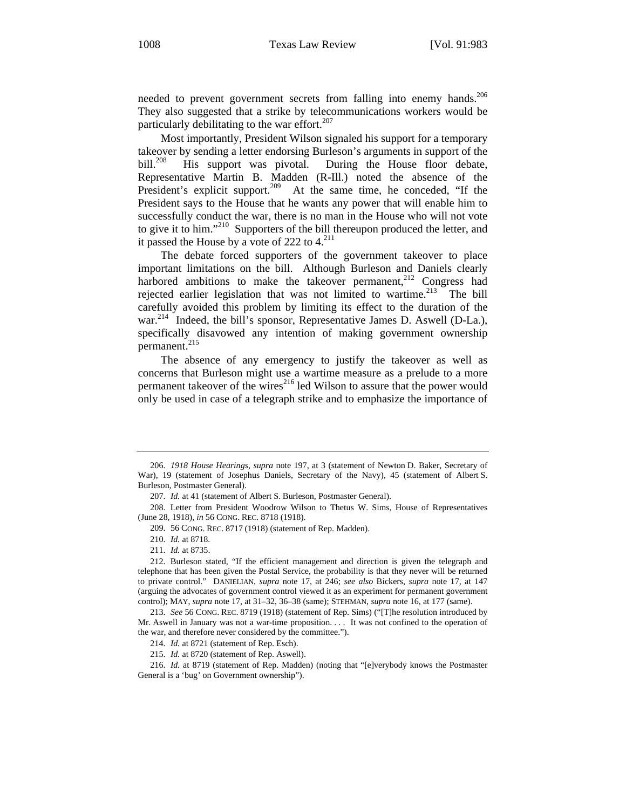needed to prevent government secrets from falling into enemy hands.<sup>206</sup> They also suggested that a strike by telecommunications workers would be particularly debilitating to the war effort. $207$ 

Most importantly, President Wilson signaled his support for a temporary takeover by sending a letter endorsing Burleson's arguments in support of the bill.<sup>208</sup> His support was pivotal. During the House floor debate, Representative Martin B. Madden (R-Ill.) noted the absence of the President's explicit support.<sup>209</sup> At the same time, he conceded, "If the President says to the House that he wants any power that will enable him to successfully conduct the war, there is no man in the House who will not vote to give it to him."210 Supporters of the bill thereupon produced the letter, and it passed the House by a vote of 222 to  $4.^{211}$ 

The debate forced supporters of the government takeover to place important limitations on the bill. Although Burleson and Daniels clearly harbored ambitions to make the takeover permanent,<sup>212</sup> Congress had rejected earlier legislation that was not limited to wartime. $213$  The bill carefully avoided this problem by limiting its effect to the duration of the war.<sup>214</sup> Indeed, the bill's sponsor, Representative James D. Aswell (D-La.), specifically disavowed any intention of making government ownership permanent.<sup>215</sup>

The absence of any emergency to justify the takeover as well as concerns that Burleson might use a wartime measure as a prelude to a more permanent takeover of the wires<sup>216</sup> led Wilson to assure that the power would only be used in case of a telegraph strike and to emphasize the importance of

<sup>206.</sup> *1918 House Hearings*, *supra* note 197, at 3 (statement of Newton D. Baker, Secretary of War), 19 (statement of Josephus Daniels, Secretary of the Navy), 45 (statement of Albert S. Burleson, Postmaster General).

<sup>207.</sup> *Id.* at 41 (statement of Albert S. Burleson, Postmaster General).

<sup>208.</sup> Letter from President Woodrow Wilson to Thetus W. Sims, House of Representatives (June 28, 1918), *in* 56 CONG. REC. 8718 (1918).

<sup>209. 56</sup> CONG. REC. 8717 (1918) (statement of Rep. Madden).

<sup>210.</sup> *Id.* at 8718.

<sup>211.</sup> *Id.* at 8735.

<sup>212.</sup> Burleson stated, "If the efficient management and direction is given the telegraph and telephone that has been given the Postal Service, the probability is that they never will be returned to private control." DANIELIAN, *supra* note 17, at 246; *see also* Bickers, *supra* note 17, at 147 (arguing the advocates of government control viewed it as an experiment for permanent government control); MAY, *supra* note 17, at 31–32, 36–38 (same); STEHMAN, *supra* note 16, at 177 (same).

<sup>213.</sup> *See* 56 CONG. REC. 8719 (1918) (statement of Rep. Sims) ("[T]he resolution introduced by Mr. Aswell in January was not a war-time proposition. . . . It was not confined to the operation of the war, and therefore never considered by the committee.").

<sup>214.</sup> *Id.* at 8721 (statement of Rep. Esch).

<sup>215.</sup> *Id.* at 8720 (statement of Rep. Aswell).

<sup>216.</sup> *Id.* at 8719 (statement of Rep. Madden) (noting that "[e]verybody knows the Postmaster General is a 'bug' on Government ownership").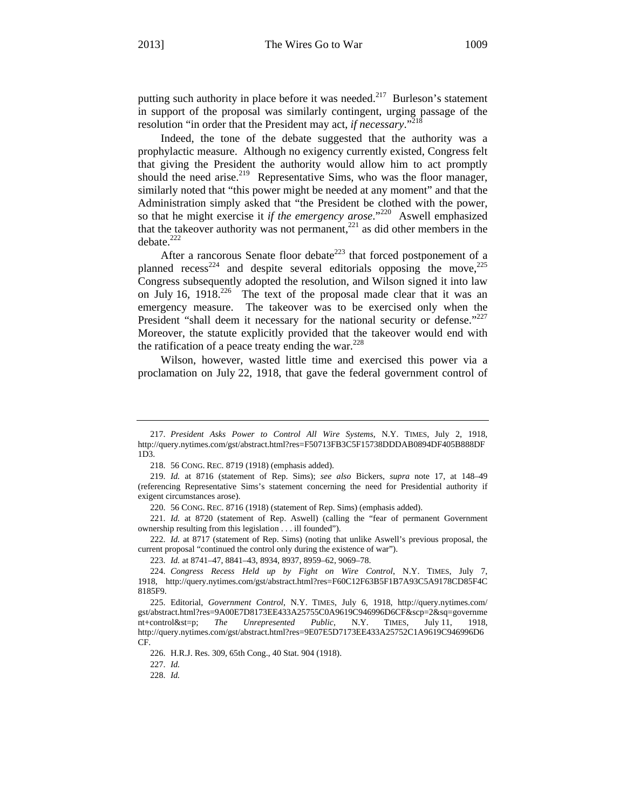putting such authority in place before it was needed.<sup>217</sup> Burleson's statement in support of the proposal was similarly contingent, urging passage of the resolution "in order that the President may act, *if necessary*."<sup>218</sup>

Indeed, the tone of the debate suggested that the authority was a prophylactic measure. Although no exigency currently existed, Congress felt that giving the President the authority would allow him to act promptly should the need arise.<sup>219</sup> Representative Sims, who was the floor manager, similarly noted that "this power might be needed at any moment" and that the Administration simply asked that "the President be clothed with the power, so that he might exercise it *if the emergency arose*."220 Aswell emphasized that the takeover authority was not permanent,<sup>221</sup> as did other members in the debate.<sup>222</sup>

After a rancorous Senate floor debate<sup>223</sup> that forced postponement of a planned recess<sup>224</sup> and despite several editorials opposing the move,  $^{225}$ Congress subsequently adopted the resolution, and Wilson signed it into law on July 16, 1918. $^{226}$  The text of the proposal made clear that it was an emergency measure. The takeover was to be exercised only when the President "shall deem it necessary for the national security or defense."<sup>227</sup> Moreover, the statute explicitly provided that the takeover would end with the ratification of a peace treaty ending the war. $228$ 

Wilson, however, wasted little time and exercised this power via a proclamation on July 22, 1918, that gave the federal government control of

222. *Id.* at 8717 (statement of Rep. Sims) (noting that unlike Aswell's previous proposal, the current proposal "continued the control only during the existence of war").

223. *Id.* at 8741–47, 8841–43, 8934, 8937, 8959–62, 9069–78.

227. *Id.*

<sup>217.</sup> *President Asks Power to Control All Wire Systems*, N.Y. TIMES, July 2, 1918, http://query.nytimes.com/gst/abstract.html?res=F50713FB3C5F15738DDDAB0894DF405B888DF 1D3.

<sup>218. 56</sup> CONG. REC. 8719 (1918) (emphasis added).

<sup>219.</sup> *Id.* at 8716 (statement of Rep. Sims); *see also* Bickers, *supra* note 17, at 148–49 (referencing Representative Sims's statement concerning the need for Presidential authority if exigent circumstances arose).

<sup>220. 56</sup> CONG. REC. 8716 (1918) (statement of Rep. Sims) (emphasis added).

<sup>221.</sup> *Id.* at 8720 (statement of Rep. Aswell) (calling the "fear of permanent Government ownership resulting from this legislation . . . ill founded").

<sup>224.</sup> *Congress Recess Held up by Fight on Wire Control*, N.Y. TIMES, July 7, 1918, http://query.nytimes.com/gst/abstract.html?res=F60C12F63B5F1B7A93C5A9178CD85F4C 8185F9.

<sup>225.</sup> Editorial, *Government Control*, N.Y. TIMES, July 6, 1918, http://query.nytimes.com/ gst/abstract.html?res=9A00E7D8173EE433A25755C0A9619C946996D6CF&scp=2&sq=governme nt+control&st=p; *The Unrepresented Public*, N.Y. TIMES, July 11, 1918, http://query.nytimes.com/gst/abstract.html?res=9E07E5D7173EE433A25752C1A9619C946996D6 CF.

<sup>226.</sup> H.R.J. Res. 309, 65th Cong., 40 Stat. 904 (1918).

<sup>228.</sup> *Id.*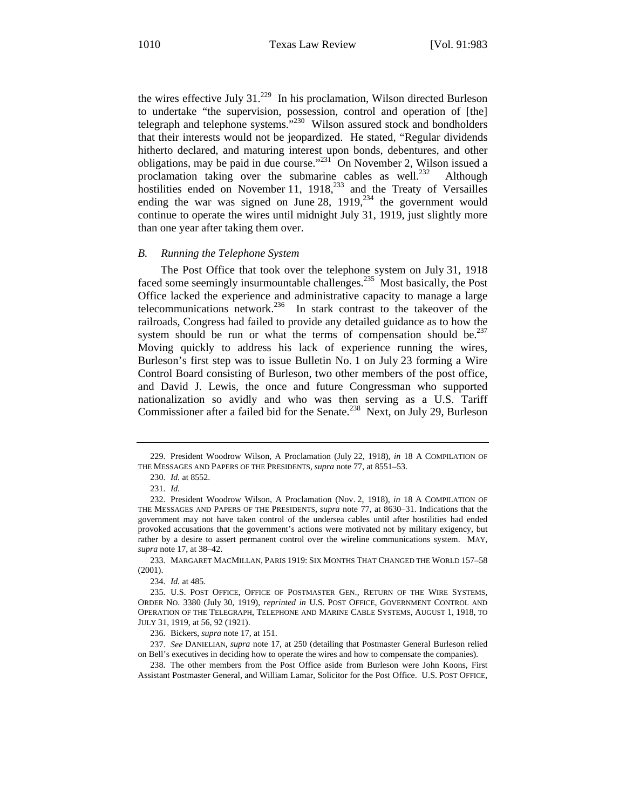the wires effective July  $31.^{229}$  In his proclamation, Wilson directed Burleson to undertake "the supervision, possession, control and operation of [the] telegraph and telephone systems."<sup>230</sup> Wilson assured stock and bondholders that their interests would not be jeopardized. He stated, "Regular dividends hitherto declared, and maturing interest upon bonds, debentures, and other obligations, may be paid in due course."<sup>231</sup> On November 2, Wilson issued a proclamation taking over the submarine cables as well.<sup>232</sup> Although hostilities ended on November 11, 1918,<sup>233</sup> and the Treaty of Versailles ending the war was signed on June 28,  $1919$ ,  $^{234}$  the government would continue to operate the wires until midnight July 31, 1919, just slightly more than one year after taking them over.

#### *B. Running the Telephone System*

The Post Office that took over the telephone system on July 31, 1918 faced some seemingly insurmountable challenges.<sup>235</sup> Most basically, the Post Office lacked the experience and administrative capacity to manage a large telecommunications network.<sup>236</sup> In stark contrast to the takeover of the railroads, Congress had failed to provide any detailed guidance as to how the system should be run or what the terms of compensation should be. $237$ Moving quickly to address his lack of experience running the wires, Burleson's first step was to issue Bulletin No. 1 on July 23 forming a Wire Control Board consisting of Burleson, two other members of the post office, and David J. Lewis, the once and future Congressman who supported nationalization so avidly and who was then serving as a U.S. Tariff Commissioner after a failed bid for the Senate.<sup>238</sup> Next, on July 29, Burleson

<sup>229.</sup> President Woodrow Wilson, A Proclamation (July 22, 1918), *in* 18 A COMPILATION OF THE MESSAGES AND PAPERS OF THE PRESIDENTS, *supra* note 77, at 8551–53.

<sup>230.</sup> *Id.* at 8552.

<sup>231.</sup> *Id.*

<sup>232.</sup> President Woodrow Wilson, A Proclamation (Nov. 2, 1918), *in* 18 A COMPILATION OF THE MESSAGES AND PAPERS OF THE PRESIDENTS, *supra* note 77, at 8630–31. Indications that the government may not have taken control of the undersea cables until after hostilities had ended provoked accusations that the government's actions were motivated not by military exigency, but rather by a desire to assert permanent control over the wireline communications system. MAY, *supra* note 17, at 38–42.

<sup>233.</sup> MARGARET MACMILLAN, PARIS 1919: SIX MONTHS THAT CHANGED THE WORLD 157–58 (2001).

<sup>234.</sup> *Id.* at 485.

<sup>235.</sup> U.S. POST OFFICE, OFFICE OF POSTMASTER GEN., RETURN OF THE WIRE SYSTEMS, ORDER NO. 3380 (July 30, 1919), *reprinted in* U.S. POST OFFICE, GOVERNMENT CONTROL AND OPERATION OF THE TELEGRAPH, TELEPHONE AND MARINE CABLE SYSTEMS, AUGUST 1, 1918, TO JULY 31, 1919, at 56, 92 (1921).

<sup>236.</sup> Bickers, *supra* note 17, at 151.

<sup>237.</sup> *See* DANIELIAN, *supra* note 17, at 250 (detailing that Postmaster General Burleson relied on Bell's executives in deciding how to operate the wires and how to compensate the companies).

<sup>238.</sup> The other members from the Post Office aside from Burleson were John Koons, First Assistant Postmaster General, and William Lamar, Solicitor for the Post Office. U.S. POST OFFICE,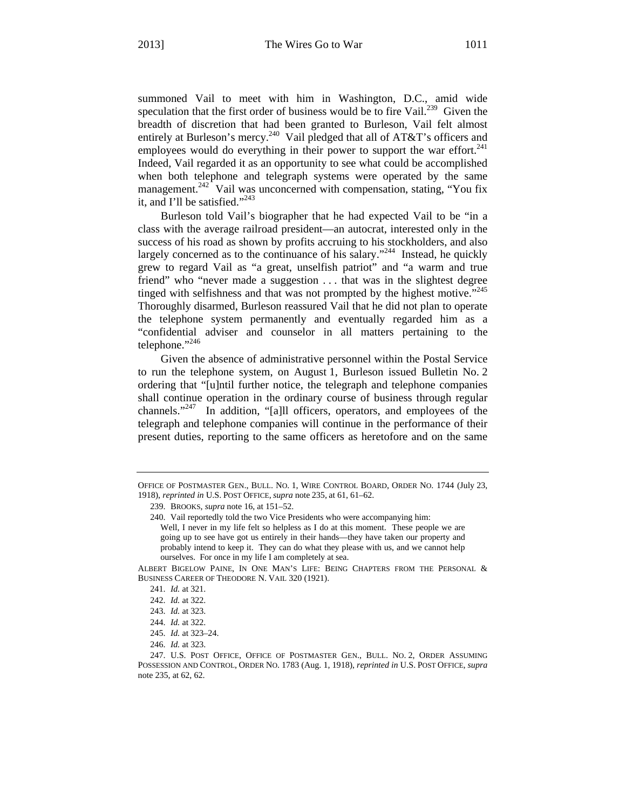summoned Vail to meet with him in Washington, D.C., amid wide speculation that the first order of business would be to fire Vail.<sup>239</sup> Given the breadth of discretion that had been granted to Burleson, Vail felt almost entirely at Burleson's mercy.<sup>240</sup> Vail pledged that all of AT&T's officers and employees would do everything in their power to support the war effort.<sup>241</sup> Indeed, Vail regarded it as an opportunity to see what could be accomplished when both telephone and telegraph systems were operated by the same management.<sup>242</sup> Vail was unconcerned with compensation, stating, "You fix it, and I'll be satisfied." $^{243}$ 

Burleson told Vail's biographer that he had expected Vail to be "in a class with the average railroad president—an autocrat, interested only in the success of his road as shown by profits accruing to his stockholders, and also largely concerned as to the continuance of his salary."<sup>244</sup> Instead, he quickly grew to regard Vail as "a great, unselfish patriot" and "a warm and true friend" who "never made a suggestion . . . that was in the slightest degree tinged with selfishness and that was not prompted by the highest motive."<sup>245</sup> Thoroughly disarmed, Burleson reassured Vail that he did not plan to operate the telephone system permanently and eventually regarded him as a "confidential adviser and counselor in all matters pertaining to the telephone."<sup>246</sup>

Given the absence of administrative personnel within the Postal Service to run the telephone system, on August 1, Burleson issued Bulletin No. 2 ordering that "[u]ntil further notice, the telegraph and telephone companies shall continue operation in the ordinary course of business through regular channels."247 In addition, "[a]ll officers, operators, and employees of the telegraph and telephone companies will continue in the performance of their present duties, reporting to the same officers as heretofore and on the same

ALBERT BIGELOW PAINE, IN ONE MAN'S LIFE: BEING CHAPTERS FROM THE PERSONAL & BUSINESS CAREER OF THEODORE N. VAIL 320 (1921).

OFFICE OF POSTMASTER GEN., BULL. NO. 1, WIRE CONTROL BOARD, ORDER NO. 1744 (July 23, 1918), *reprinted in* U.S. POST OFFICE, *supra* note 235, at 61, 61–62.

<sup>239.</sup> BROOKS, *supra* note 16, at 151–52.

<sup>240.</sup> Vail reportedly told the two Vice Presidents who were accompanying him: Well, I never in my life felt so helpless as I do at this moment. These people we are going up to see have got us entirely in their hands—they have taken our property and probably intend to keep it. They can do what they please with us, and we cannot help ourselves. For once in my life I am completely at sea.

<sup>241.</sup> *Id.* at 321.

<sup>242.</sup> *Id.* at 322.

<sup>243.</sup> *Id.* at 323.

<sup>244.</sup> *Id.* at 322.

<sup>245.</sup> *Id.* at 323–24.

<sup>246.</sup> *Id.* at 323.

<sup>247.</sup> U.S. POST OFFICE, OFFICE OF POSTMASTER GEN., BULL. NO. 2, ORDER ASSUMING POSSESSION AND CONTROL, ORDER NO. 1783 (Aug. 1, 1918), *reprinted in* U.S. POST OFFICE, *supra* note 235, at 62, 62.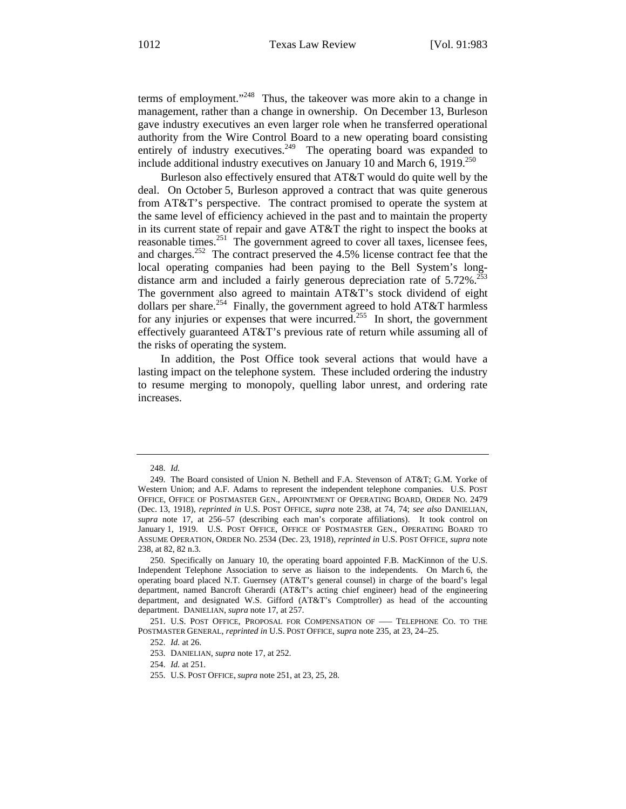terms of employment."<sup>248</sup> Thus, the takeover was more akin to a change in management, rather than a change in ownership. On December 13, Burleson gave industry executives an even larger role when he transferred operational authority from the Wire Control Board to a new operating board consisting entirely of industry executives.<sup>249</sup> The operating board was expanded to include additional industry executives on January 10 and March 6, 1919. $^{250}$ 

Burleson also effectively ensured that AT&T would do quite well by the deal. On October 5, Burleson approved a contract that was quite generous from AT&T's perspective. The contract promised to operate the system at the same level of efficiency achieved in the past and to maintain the property in its current state of repair and gave AT&T the right to inspect the books at reasonable times. $^{251}$  The government agreed to cover all taxes, licensee fees, and charges.252 The contract preserved the 4.5% license contract fee that the local operating companies had been paying to the Bell System's longdistance arm and included a fairly generous depreciation rate of  $5.72\%$ <sup>25</sup> The government also agreed to maintain AT&T's stock dividend of eight dollars per share.<sup>254</sup> Finally, the government agreed to hold AT&T harmless for any injuries or expenses that were incurred.<sup>255</sup> In short, the government effectively guaranteed AT&T's previous rate of return while assuming all of the risks of operating the system.

In addition, the Post Office took several actions that would have a lasting impact on the telephone system. These included ordering the industry to resume merging to monopoly, quelling labor unrest, and ordering rate increases.

254. *Id.* at 251.

<sup>248.</sup> *Id.*

<sup>249.</sup> The Board consisted of Union N. Bethell and F.A. Stevenson of AT&T; G.M. Yorke of Western Union; and A.F. Adams to represent the independent telephone companies. U.S. POST OFFICE, OFFICE OF POSTMASTER GEN., APPOINTMENT OF OPERATING BOARD, ORDER NO. 2479 (Dec. 13, 1918), *reprinted in* U.S. POST OFFICE, *supra* note 238, at 74, 74; *see also* DANIELIAN, *supra* note 17, at 256–57 (describing each man's corporate affiliations). It took control on January 1, 1919. U.S. POST OFFICE, OFFICE OF POSTMASTER GEN., OPERATING BOARD TO ASSUME OPERATION, ORDER NO. 2534 (Dec. 23, 1918), *reprinted in* U.S. POST OFFICE, *supra* note 238, at 82, 82 n.3.

<sup>250.</sup> Specifically on January 10, the operating board appointed F.B. MacKinnon of the U.S. Independent Telephone Association to serve as liaison to the independents. On March 6, the operating board placed N.T. Guernsey (AT&T's general counsel) in charge of the board's legal department, named Bancroft Gherardi (AT&T's acting chief engineer) head of the engineering department, and designated W.S. Gifford (AT&T's Comptroller) as head of the accounting department. DANIELIAN, *supra* note 17, at 257.

<sup>251.</sup> U.S. POST OFFICE, PROPOSAL FOR COMPENSATION OF ––– TELEPHONE CO. TO THE POSTMASTER GENERAL, *reprinted in* U.S. POST OFFICE, *supra* note 235, at 23, 24–25.

<sup>252.</sup> *Id.* at 26.

<sup>253.</sup> DANIELIAN, *supra* note 17, at 252.

<sup>255.</sup> U.S. POST OFFICE, *supra* note 251, at 23, 25, 28.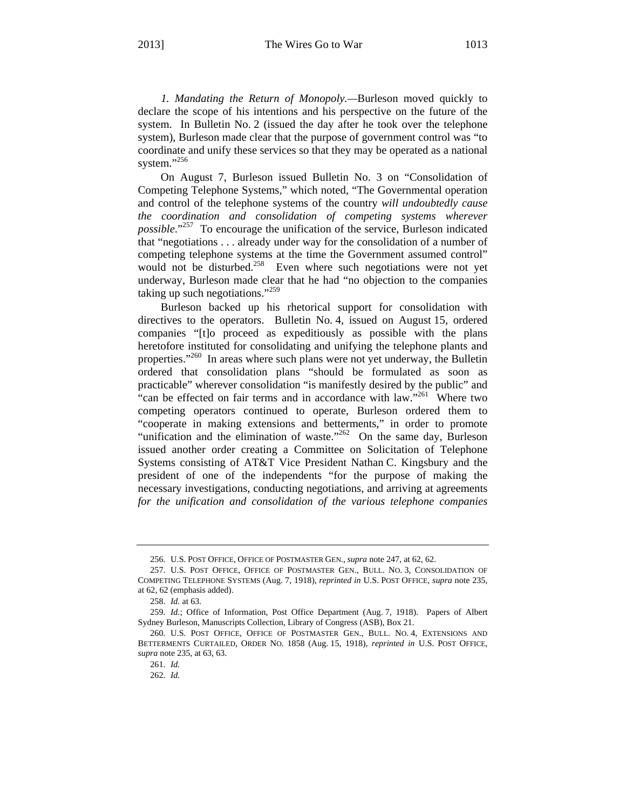*1. Mandating the Return of Monopoly.—*Burleson moved quickly to declare the scope of his intentions and his perspective on the future of the system. In Bulletin No. 2 (issued the day after he took over the telephone system), Burleson made clear that the purpose of government control was "to coordinate and unify these services so that they may be operated as a national system."<sup>256</sup>

On August 7, Burleson issued Bulletin No. 3 on "Consolidation of Competing Telephone Systems," which noted, "The Governmental operation and control of the telephone systems of the country *will undoubtedly cause the coordination and consolidation of competing systems wherever possible*."257 To encourage the unification of the service, Burleson indicated that "negotiations . . . already under way for the consolidation of a number of competing telephone systems at the time the Government assumed control" would not be disturbed.<sup>258</sup> Even where such negotiations were not yet underway, Burleson made clear that he had "no objection to the companies taking up such negotiations."<sup>259</sup>

Burleson backed up his rhetorical support for consolidation with directives to the operators. Bulletin No. 4, issued on August 15, ordered companies "[t]o proceed as expeditiously as possible with the plans heretofore instituted for consolidating and unifying the telephone plants and properties."<sup>260</sup> In areas where such plans were not yet underway, the Bulletin ordered that consolidation plans "should be formulated as soon as practicable" wherever consolidation "is manifestly desired by the public" and "can be effected on fair terms and in accordance with law."<sup>261</sup> Where two competing operators continued to operate, Burleson ordered them to "cooperate in making extensions and betterments," in order to promote "unification and the elimination of waste."<sup>262</sup> On the same day, Burleson issued another order creating a Committee on Solicitation of Telephone Systems consisting of AT&T Vice President Nathan C. Kingsbury and the president of one of the independents "for the purpose of making the necessary investigations, conducting negotiations, and arriving at agreements *for the unification and consolidation of the various telephone companies* 

<sup>256.</sup> U.S. POST OFFICE, OFFICE OF POSTMASTER GEN., *supra* note 247, at 62, 62.

<sup>257.</sup> U.S. POST OFFICE, OFFICE OF POSTMASTER GEN., BULL. NO. 3, CONSOLIDATION OF COMPETING TELEPHONE SYSTEMS (Aug. 7, 1918), *reprinted in* U.S. POST OFFICE, *supra* note 235, at 62, 62 (emphasis added).

<sup>258.</sup> *Id.* at 63.

<sup>259.</sup> *Id.*; Office of Information, Post Office Department (Aug. 7, 1918). Papers of Albert Sydney Burleson, Manuscripts Collection, Library of Congress (ASB), Box 21.

<sup>260.</sup> U.S. POST OFFICE, OFFICE OF POSTMASTER GEN., BULL. NO. 4, EXTENSIONS AND BETTERMENTS CURTAILED, ORDER NO. 1858 (Aug. 15, 1918), *reprinted in* U.S. POST OFFICE, *supra* note 235, at 63, 63.

<sup>261.</sup> *Id.* 

<sup>262.</sup> *Id.*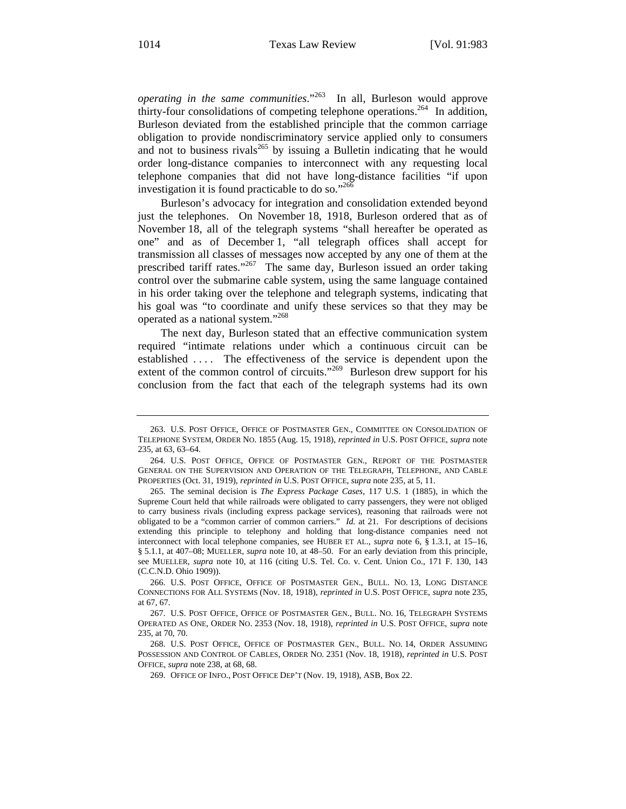*operating in the same communities*."263 In all, Burleson would approve thirty-four consolidations of competing telephone operations.<sup>264</sup> In addition, Burleson deviated from the established principle that the common carriage obligation to provide nondiscriminatory service applied only to consumers and not to business rivals<sup>265</sup> by issuing a Bulletin indicating that he would order long-distance companies to interconnect with any requesting local telephone companies that did not have long-distance facilities "if upon investigation it is found practicable to do so."266

Burleson's advocacy for integration and consolidation extended beyond just the telephones. On November 18, 1918, Burleson ordered that as of November 18, all of the telegraph systems "shall hereafter be operated as one" and as of December 1, "all telegraph offices shall accept for transmission all classes of messages now accepted by any one of them at the prescribed tariff rates."<sup>267</sup> The same day, Burleson issued an order taking control over the submarine cable system, using the same language contained in his order taking over the telephone and telegraph systems, indicating that his goal was "to coordinate and unify these services so that they may be operated as a national system."268

The next day, Burleson stated that an effective communication system required "intimate relations under which a continuous circuit can be established .... The effectiveness of the service is dependent upon the extent of the common control of circuits."<sup>269</sup> Burleson drew support for his conclusion from the fact that each of the telegraph systems had its own

<sup>263.</sup> U.S. POST OFFICE, OFFICE OF POSTMASTER GEN., COMMITTEE ON CONSOLIDATION OF TELEPHONE SYSTEM, ORDER NO. 1855 (Aug. 15, 1918), *reprinted in* U.S. POST OFFICE, *supra* note 235, at 63, 63–64.

<sup>264.</sup> U.S. POST OFFICE, OFFICE OF POSTMASTER GEN., REPORT OF THE POSTMASTER GENERAL ON THE SUPERVISION AND OPERATION OF THE TELEGRAPH, TELEPHONE, AND CABLE PROPERTIES (Oct. 31, 1919), *reprinted in* U.S. POST OFFICE, *supra* note 235, at 5, 11.

<sup>265.</sup> The seminal decision is *The Express Package Cases*, 117 U.S. 1 (1885), in which the Supreme Court held that while railroads were obligated to carry passengers, they were not obliged to carry business rivals (including express package services), reasoning that railroads were not obligated to be a "common carrier of common carriers." *Id.* at 21. For descriptions of decisions extending this principle to telephony and holding that long-distance companies need not interconnect with local telephone companies, see HUBER ET AL., *supra* note 6, § 1.3.1, at 15–16, § 5.1.1, at 407–08; MUELLER, *supra* note 10, at 48–50. For an early deviation from this principle, see MUELLER, *supra* note 10, at 116 (citing U.S. Tel. Co. v. Cent. Union Co., 171 F. 130, 143 (C.C.N.D. Ohio 1909)).

<sup>266.</sup> U.S. POST OFFICE, OFFICE OF POSTMASTER GEN., BULL. NO. 13, LONG DISTANCE CONNECTIONS FOR ALL SYSTEMS (Nov. 18, 1918), *reprinted in* U.S. POST OFFICE, *supra* note 235, at 67, 67.

<sup>267.</sup> U.S. POST OFFICE, OFFICE OF POSTMASTER GEN., BULL. NO. 16, TELEGRAPH SYSTEMS OPERATED AS ONE, ORDER NO. 2353 (Nov. 18, 1918), *reprinted in* U.S. POST OFFICE, *supra* note 235, at 70, 70.

<sup>268.</sup> U.S. POST OFFICE, OFFICE OF POSTMASTER GEN., BULL. NO. 14, ORDER ASSUMING POSSESSION AND CONTROL OF CABLES, ORDER NO. 2351 (Nov. 18, 1918), *reprinted in* U.S. POST OFFICE, *supra* note 238, at 68, 68.

<sup>269.</sup> OFFICE OF INFO., POST OFFICE DEP'T (Nov. 19, 1918), ASB, Box 22.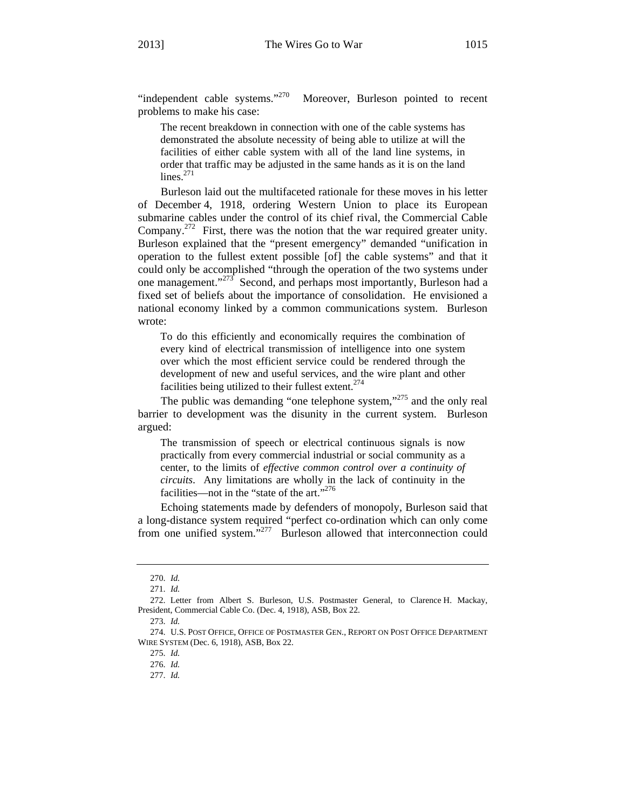"independent cable systems."<sup>270</sup> Moreover, Burleson pointed to recent problems to make his case:

The recent breakdown in connection with one of the cable systems has demonstrated the absolute necessity of being able to utilize at will the facilities of either cable system with all of the land line systems, in order that traffic may be adjusted in the same hands as it is on the land  $lines.<sup>271</sup>$ 

Burleson laid out the multifaceted rationale for these moves in his letter of December 4, 1918, ordering Western Union to place its European submarine cables under the control of its chief rival, the Commercial Cable Company.<sup>272</sup> First, there was the notion that the war required greater unity. Burleson explained that the "present emergency" demanded "unification in operation to the fullest extent possible [of] the cable systems" and that it could only be accomplished "through the operation of the two systems under one management."<sup>273</sup> Second, and perhaps most importantly, Burleson had a fixed set of beliefs about the importance of consolidation. He envisioned a national economy linked by a common communications system. Burleson wrote:

To do this efficiently and economically requires the combination of every kind of electrical transmission of intelligence into one system over which the most efficient service could be rendered through the development of new and useful services, and the wire plant and other facilities being utilized to their fullest extent. $274$ 

The public was demanding "one telephone system,"<sup>275</sup> and the only real barrier to development was the disunity in the current system. Burleson argued:

The transmission of speech or electrical continuous signals is now practically from every commercial industrial or social community as a center, to the limits of *effective common control over a continuity of circuits*. Any limitations are wholly in the lack of continuity in the facilities—not in the "state of the art."<sup>276</sup>

Echoing statements made by defenders of monopoly, Burleson said that a long-distance system required "perfect co-ordination which can only come from one unified system."<sup>277</sup> Burleson allowed that interconnection could

<sup>270.</sup> *Id.* 

<sup>271.</sup> *Id.* 

<sup>272.</sup> Letter from Albert S. Burleson, U.S. Postmaster General, to Clarence H. Mackay, President, Commercial Cable Co. (Dec. 4, 1918), ASB, Box 22.

<sup>273.</sup> *Id.*

<sup>274.</sup> U.S. POST OFFICE, OFFICE OF POSTMASTER GEN., REPORT ON POST OFFICE DEPARTMENT WIRE SYSTEM (Dec. 6, 1918), ASB, Box 22.

<sup>275.</sup> *Id.* 

<sup>276.</sup> *Id.* 

<sup>277.</sup> *Id.*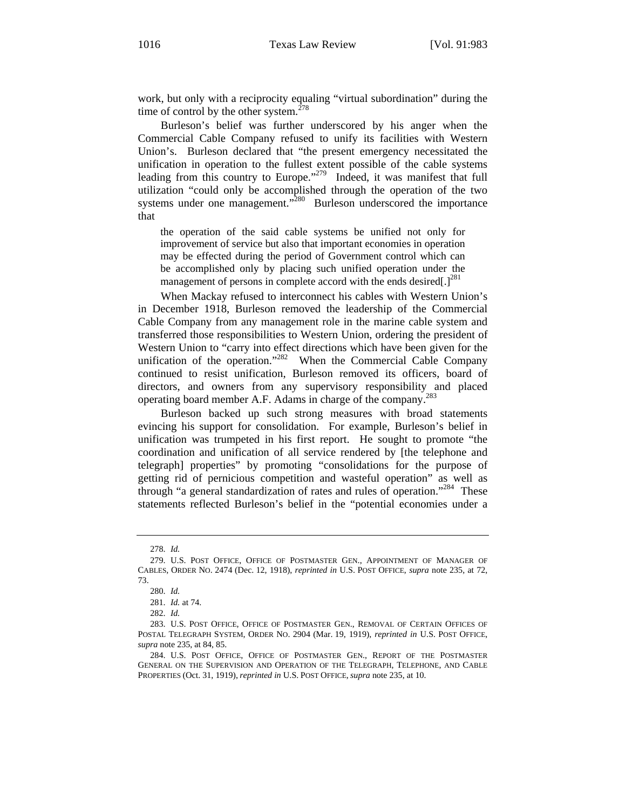work, but only with a reciprocity equaling "virtual subordination" during the time of control by the other system. $278$ 

Burleson's belief was further underscored by his anger when the Commercial Cable Company refused to unify its facilities with Western Union's. Burleson declared that "the present emergency necessitated the unification in operation to the fullest extent possible of the cable systems leading from this country to Europe."<sup>279</sup> Indeed, it was manifest that full utilization "could only be accomplished through the operation of the two systems under one management."<sup>280</sup> Burleson underscored the importance that

the operation of the said cable systems be unified not only for improvement of service but also that important economies in operation may be effected during the period of Government control which can be accomplished only by placing such unified operation under the management of persons in complete accord with the ends desired[.]<sup>281</sup>

When Mackay refused to interconnect his cables with Western Union's in December 1918, Burleson removed the leadership of the Commercial Cable Company from any management role in the marine cable system and transferred those responsibilities to Western Union, ordering the president of Western Union to "carry into effect directions which have been given for the unification of the operation."<sup>282</sup> When the Commercial Cable Company continued to resist unification, Burleson removed its officers, board of directors, and owners from any supervisory responsibility and placed operating board member A.F. Adams in charge of the company.<sup>283</sup>

Burleson backed up such strong measures with broad statements evincing his support for consolidation. For example, Burleson's belief in unification was trumpeted in his first report. He sought to promote "the coordination and unification of all service rendered by [the telephone and telegraph] properties" by promoting "consolidations for the purpose of getting rid of pernicious competition and wasteful operation" as well as through "a general standardization of rates and rules of operation."<sup>284</sup> These statements reflected Burleson's belief in the "potential economies under a

<sup>278.</sup> *Id.* 

<sup>279.</sup> U.S. POST OFFICE, OFFICE OF POSTMASTER GEN., APPOINTMENT OF MANAGER OF CABLES, ORDER NO. 2474 (Dec. 12, 1918), *reprinted in* U.S. POST OFFICE, *supra* note 235, at 72, 73.

<sup>280.</sup> *Id.* 

<sup>281.</sup> *Id.* at 74.

<sup>282.</sup> *Id.* 

<sup>283.</sup> U.S. POST OFFICE, OFFICE OF POSTMASTER GEN., REMOVAL OF CERTAIN OFFICES OF POSTAL TELEGRAPH SYSTEM, ORDER NO. 2904 (Mar. 19, 1919), *reprinted in* U.S. POST OFFICE, *supra* note 235, at 84, 85.

<sup>284.</sup> U.S. POST OFFICE, OFFICE OF POSTMASTER GEN., REPORT OF THE POSTMASTER GENERAL ON THE SUPERVISION AND OPERATION OF THE TELEGRAPH, TELEPHONE, AND CABLE PROPERTIES (Oct. 31, 1919), *reprinted in* U.S. POST OFFICE, *supra* note 235, at 10.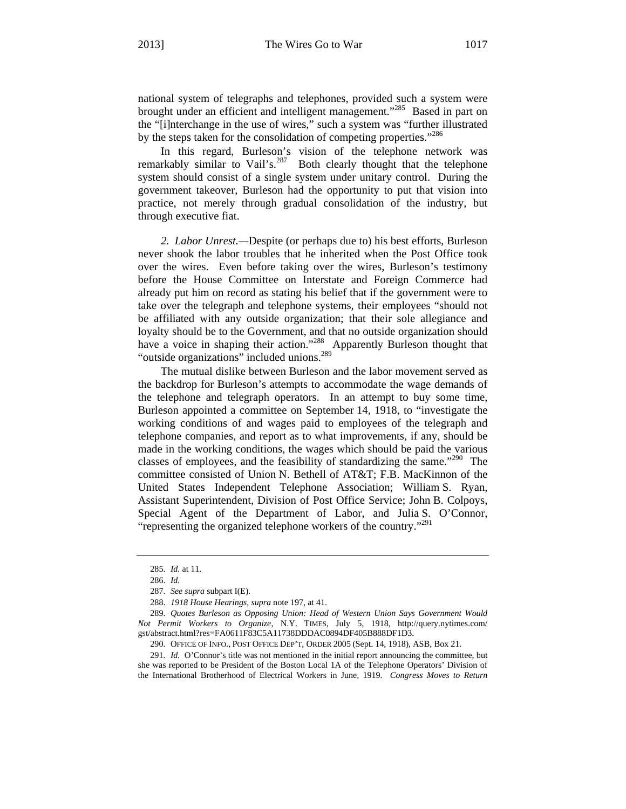national system of telegraphs and telephones, provided such a system were brought under an efficient and intelligent management."<sup>285</sup> Based in part on the "[i]nterchange in the use of wires," such a system was "further illustrated by the steps taken for the consolidation of competing properties."<sup>286</sup>

In this regard, Burleson's vision of the telephone network was remarkably similar to Vail's.<sup>287</sup> Both clearly thought that the telephone system should consist of a single system under unitary control. During the government takeover, Burleson had the opportunity to put that vision into practice, not merely through gradual consolidation of the industry, but through executive fiat.

*2. Labor Unrest.—*Despite (or perhaps due to) his best efforts, Burleson never shook the labor troubles that he inherited when the Post Office took over the wires. Even before taking over the wires, Burleson's testimony before the House Committee on Interstate and Foreign Commerce had already put him on record as stating his belief that if the government were to take over the telegraph and telephone systems, their employees "should not be affiliated with any outside organization; that their sole allegiance and loyalty should be to the Government, and that no outside organization should have a voice in shaping their action."<sup>288</sup> Apparently Burleson thought that "outside organizations" included unions.<sup>289</sup>

The mutual dislike between Burleson and the labor movement served as the backdrop for Burleson's attempts to accommodate the wage demands of the telephone and telegraph operators. In an attempt to buy some time, Burleson appointed a committee on September 14, 1918, to "investigate the working conditions of and wages paid to employees of the telegraph and telephone companies, and report as to what improvements, if any, should be made in the working conditions, the wages which should be paid the various classes of employees, and the feasibility of standardizing the same."<sup>290</sup> The committee consisted of Union N. Bethell of AT&T; F.B. MacKinnon of the United States Independent Telephone Association; William S. Ryan, Assistant Superintendent, Division of Post Office Service; John B. Colpoys, Special Agent of the Department of Labor, and Julia S. O'Connor, "representing the organized telephone workers of the country."<sup>291</sup>

<sup>285.</sup> *Id.* at 11.

<sup>286.</sup> *Id.*

<sup>287.</sup> *See supra* subpart I(E).

<sup>288.</sup> *1918 House Hearings*, *supra* note 197, at 41.

<sup>289.</sup> *Quotes Burleson as Opposing Union: Head of Western Union Says Government Would Not Permit Workers to Organize*, N.Y. TIMES, July 5, 1918, http://query.nytimes.com/ gst/abstract.html?res=FA0611F83C5A11738DDDAC0894DF405B888DF1D3.

<sup>290.</sup> OFFICE OF INFO., POST OFFICE DEP'T, ORDER 2005 (Sept. 14, 1918), ASB, Box 21.

<sup>291.</sup> *Id.* O'Connor's title was not mentioned in the initial report announcing the committee, but she was reported to be President of the Boston Local 1A of the Telephone Operators' Division of the International Brotherhood of Electrical Workers in June, 1919. *Congress Moves to Return*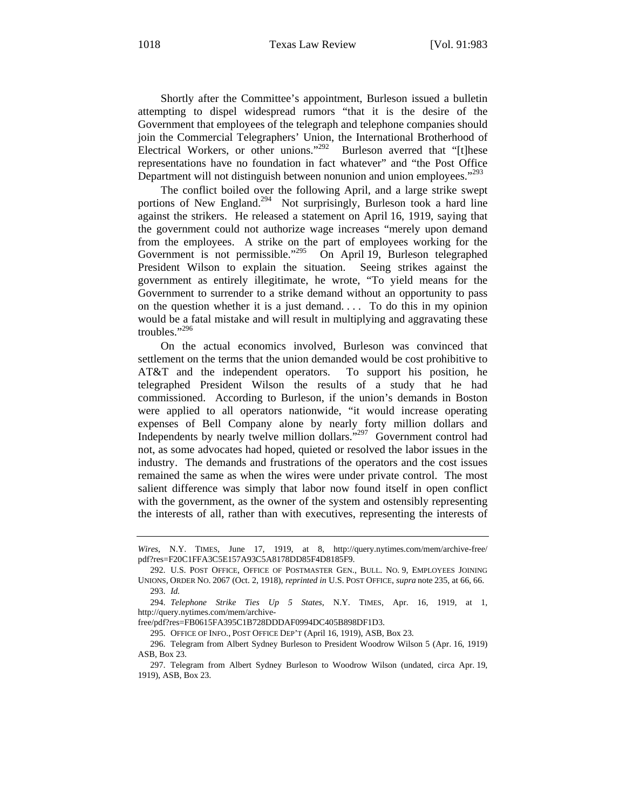Shortly after the Committee's appointment, Burleson issued a bulletin attempting to dispel widespread rumors "that it is the desire of the Government that employees of the telegraph and telephone companies should join the Commercial Telegraphers' Union, the International Brotherhood of Electrical Workers, or other unions."<sup>292</sup> Burleson averred that "[t]hese representations have no foundation in fact whatever" and "the Post Office Department will not distinguish between nonunion and union employees."<sup>293</sup>

The conflict boiled over the following April, and a large strike swept portions of New England.<sup>294</sup> Not surprisingly, Burleson took a hard line against the strikers. He released a statement on April 16, 1919, saying that the government could not authorize wage increases "merely upon demand from the employees. A strike on the part of employees working for the Government is not permissible."<sup>295</sup> On April 19, Burleson telegraphed President Wilson to explain the situation. Seeing strikes against the government as entirely illegitimate, he wrote, "To yield means for the Government to surrender to a strike demand without an opportunity to pass on the question whether it is a just demand. . . . To do this in my opinion would be a fatal mistake and will result in multiplying and aggravating these troubles."296

On the actual economics involved, Burleson was convinced that settlement on the terms that the union demanded would be cost prohibitive to AT&T and the independent operators. To support his position, he telegraphed President Wilson the results of a study that he had commissioned. According to Burleson, if the union's demands in Boston were applied to all operators nationwide, "it would increase operating expenses of Bell Company alone by nearly forty million dollars and Independents by nearly twelve million dollars."297 Government control had not, as some advocates had hoped, quieted or resolved the labor issues in the industry. The demands and frustrations of the operators and the cost issues remained the same as when the wires were under private control. The most salient difference was simply that labor now found itself in open conflict with the government, as the owner of the system and ostensibly representing the interests of all, rather than with executives, representing the interests of

free/pdf?res=FB0615FA395C1B728DDDAF0994DC405B898DF1D3.

295. OFFICE OF INFO., POST OFFICE DEP'T (April 16, 1919), ASB, Box 23.

*Wires*, N.Y. TIMES, June 17, 1919, at 8, http://query.nytimes.com/mem/archive-free/ pdf?res=F20C1FFA3C5E157A93C5A8178DD85F4D8185F9.

<sup>292.</sup> U.S. POST OFFICE, OFFICE OF POSTMASTER GEN., BULL. NO. 9, EMPLOYEES JOINING UNIONS, ORDER NO. 2067 (Oct. 2, 1918), *reprinted in* U.S. POST OFFICE, *supra* note 235, at 66, 66. 293. *Id.* 

<sup>294.</sup> *Telephone Strike Ties Up 5 States*, N.Y. TIMES, Apr. 16, 1919, at 1, http://query.nytimes.com/mem/archive-

<sup>296.</sup> Telegram from Albert Sydney Burleson to President Woodrow Wilson 5 (Apr. 16, 1919) ASB, Box 23.

<sup>297.</sup> Telegram from Albert Sydney Burleson to Woodrow Wilson (undated, circa Apr. 19, 1919), ASB, Box 23.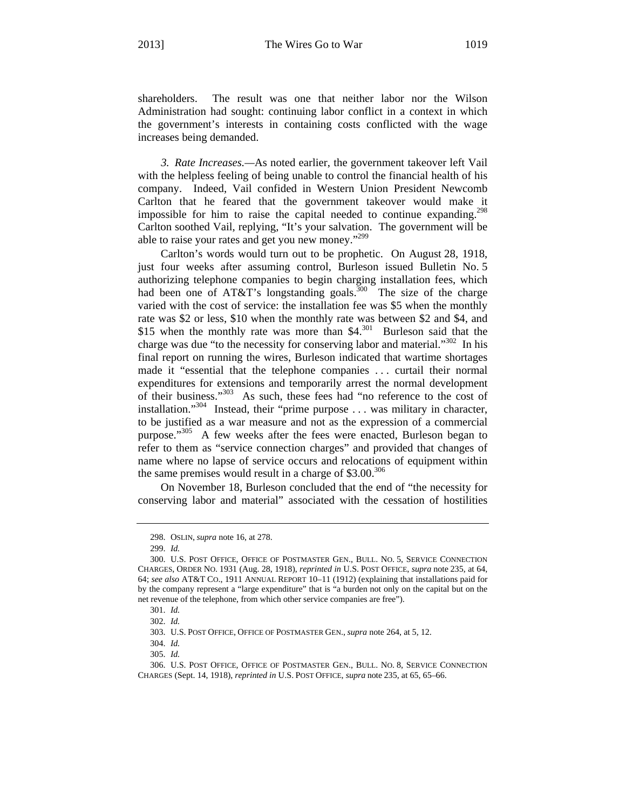shareholders. The result was one that neither labor nor the Wilson Administration had sought: continuing labor conflict in a context in which the government's interests in containing costs conflicted with the wage increases being demanded.

*3. Rate Increases.—*As noted earlier, the government takeover left Vail with the helpless feeling of being unable to control the financial health of his company. Indeed, Vail confided in Western Union President Newcomb Carlton that he feared that the government takeover would make it impossible for him to raise the capital needed to continue expanding.<sup>298</sup> Carlton soothed Vail, replying, "It's your salvation. The government will be able to raise your rates and get you new money."<sup>299</sup>

Carlton's words would turn out to be prophetic. On August 28, 1918, just four weeks after assuming control, Burleson issued Bulletin No. 5 authorizing telephone companies to begin charging installation fees, which had been one of  $AT&T$ 's longstanding goals.<sup>300</sup> The size of the charge varied with the cost of service: the installation fee was \$5 when the monthly rate was \$2 or less, \$10 when the monthly rate was between \$2 and \$4, and \$15 when the monthly rate was more than  $$4$ .<sup>301</sup> Burleson said that the charge was due "to the necessity for conserving labor and material."302 In his final report on running the wires, Burleson indicated that wartime shortages made it "essential that the telephone companies . . . curtail their normal expenditures for extensions and temporarily arrest the normal development of their business."303 As such, these fees had "no reference to the cost of installation."304 Instead, their "prime purpose . . . was military in character, to be justified as a war measure and not as the expression of a commercial purpose."<sup>305</sup> A few weeks after the fees were enacted, Burleson began to refer to them as "service connection charges" and provided that changes of name where no lapse of service occurs and relocations of equipment within the same premises would result in a charge of  $$3.00.^{306}$ 

On November 18, Burleson concluded that the end of "the necessity for conserving labor and material" associated with the cessation of hostilities

<sup>298.</sup> OSLIN, *supra* note 16, at 278.

<sup>299.</sup> *Id.*

<sup>300.</sup> U.S. POST OFFICE, OFFICE OF POSTMASTER GEN., BULL. NO. 5, SERVICE CONNECTION CHARGES, ORDER NO. 1931 (Aug. 28, 1918), *reprinted in* U.S. POST OFFICE, *supra* note 235, at 64, 64; *see also* AT&T CO., 1911 ANNUAL REPORT 10–11 (1912) (explaining that installations paid for by the company represent a "large expenditure" that is "a burden not only on the capital but on the net revenue of the telephone, from which other service companies are free").

<sup>301.</sup> *Id.*

<sup>302.</sup> *Id.* 

<sup>303.</sup> U.S. POST OFFICE, OFFICE OF POSTMASTER GEN., *supra* note 264, at 5, 12.

<sup>304.</sup> *Id.* 

<sup>305.</sup> *Id.* 

<sup>306.</sup> U.S. POST OFFICE, OFFICE OF POSTMASTER GEN., BULL. NO. 8, SERVICE CONNECTION CHARGES (Sept. 14, 1918), *reprinted in* U.S. POST OFFICE, *supra* note 235, at 65, 65–66.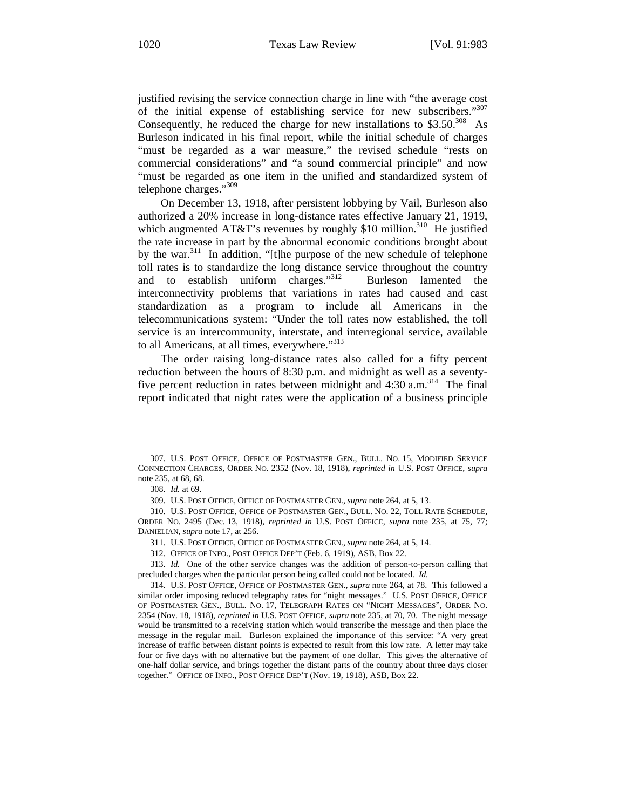justified revising the service connection charge in line with "the average cost of the initial expense of establishing service for new subscribers."307 Consequently, he reduced the charge for new installations to  $$3.50<sup>308</sup>$  As Burleson indicated in his final report, while the initial schedule of charges "must be regarded as a war measure," the revised schedule "rests on commercial considerations" and "a sound commercial principle" and now "must be regarded as one item in the unified and standardized system of telephone charges."<sup>309</sup>

On December 13, 1918, after persistent lobbying by Vail, Burleson also authorized a 20% increase in long-distance rates effective January 21, 1919, which augmented AT&T's revenues by roughly \$10 million.<sup>310</sup> He justified the rate increase in part by the abnormal economic conditions brought about by the war. $311$  In addition, "[t]he purpose of the new schedule of telephone toll rates is to standardize the long distance service throughout the country and to establish uniform charges."<sup>312</sup> Burleson lamented the interconnectivity problems that variations in rates had caused and cast standardization as a program to include all Americans in the telecommunications system: "Under the toll rates now established, the toll service is an intercommunity, interstate, and interregional service, available to all Americans, at all times, everywhere."<sup>313</sup>

The order raising long-distance rates also called for a fifty percent reduction between the hours of 8:30 p.m. and midnight as well as a seventyfive percent reduction in rates between midnight and  $4:30$  a.m.<sup>314</sup> The final report indicated that night rates were the application of a business principle

313. *Id.* One of the other service changes was the addition of person-to-person calling that precluded charges when the particular person being called could not be located. *Id.* 

<sup>307.</sup> U.S. POST OFFICE, OFFICE OF POSTMASTER GEN., BULL. NO. 15, MODIFIED SERVICE CONNECTION CHARGES, ORDER NO. 2352 (Nov. 18, 1918), *reprinted in* U.S. POST OFFICE, *supra* note 235, at 68, 68.

<sup>308.</sup> *Id.* at 69.

<sup>309.</sup> U.S. POST OFFICE, OFFICE OF POSTMASTER GEN., *supra* note 264, at 5, 13.

<sup>310.</sup> U.S. POST OFFICE, OFFICE OF POSTMASTER GEN., BULL. NO. 22, TOLL RATE SCHEDULE, ORDER NO. 2495 (Dec. 13, 1918), *reprinted in* U.S. POST OFFICE, *supra* note 235, at 75, 77; DANIELIAN, *supra* note 17, at 256.

<sup>311.</sup> U.S. POST OFFICE, OFFICE OF POSTMASTER GEN., *supra* note 264, at 5, 14.

<sup>312.</sup> OFFICE OF INFO., POST OFFICE DEP'T (Feb. 6, 1919), ASB, Box 22.

<sup>314.</sup> U.S. POST OFFICE, OFFICE OF POSTMASTER GEN., *supra* note 264, at 78. This followed a similar order imposing reduced telegraphy rates for "night messages." U.S. POST OFFICE, OFFICE OF POSTMASTER GEN., BULL. NO. 17, TELEGRAPH RATES ON "NIGHT MESSAGES", ORDER NO. 2354 (Nov. 18, 1918), *reprinted in* U.S. POST OFFICE, *supra* note 235, at 70, 70. The night message would be transmitted to a receiving station which would transcribe the message and then place the message in the regular mail. Burleson explained the importance of this service: "A very great increase of traffic between distant points is expected to result from this low rate. A letter may take four or five days with no alternative but the payment of one dollar. This gives the alternative of one-half dollar service, and brings together the distant parts of the country about three days closer together." OFFICE OF INFO., POST OFFICE DEP'T (Nov. 19, 1918), ASB, Box 22.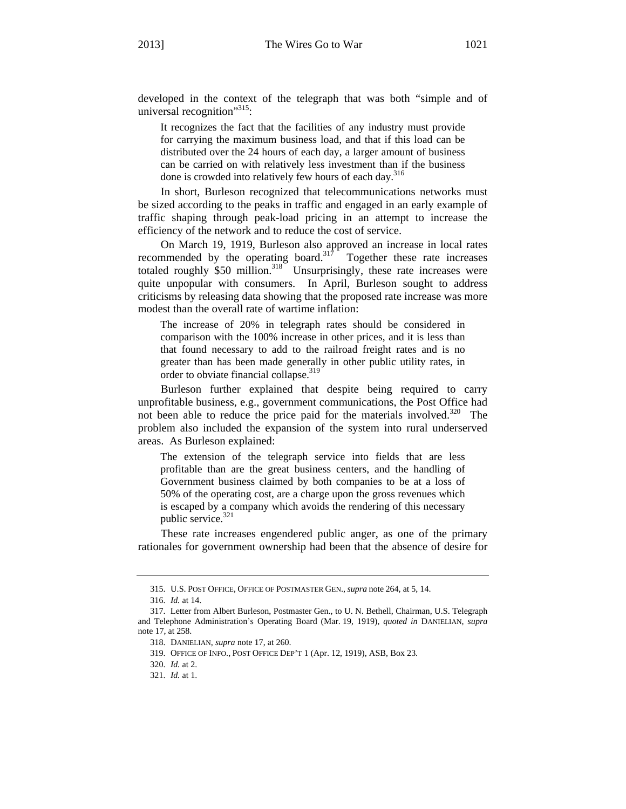developed in the context of the telegraph that was both "simple and of universal recognition"<sup>315</sup>:

It recognizes the fact that the facilities of any industry must provide for carrying the maximum business load, and that if this load can be distributed over the 24 hours of each day, a larger amount of business can be carried on with relatively less investment than if the business done is crowded into relatively few hours of each day.<sup>316</sup>

In short, Burleson recognized that telecommunications networks must be sized according to the peaks in traffic and engaged in an early example of traffic shaping through peak-load pricing in an attempt to increase the efficiency of the network and to reduce the cost of service.

On March 19, 1919, Burleson also approved an increase in local rates recommended by the operating board. $317$  Together these rate increases totaled roughly  $$50$  million.<sup>318</sup> Unsurprisingly, these rate increases were quite unpopular with consumers. In April, Burleson sought to address criticisms by releasing data showing that the proposed rate increase was more modest than the overall rate of wartime inflation:

The increase of 20% in telegraph rates should be considered in comparison with the 100% increase in other prices, and it is less than that found necessary to add to the railroad freight rates and is no greater than has been made generally in other public utility rates, in order to obviate financial collapse.<sup>319</sup>

Burleson further explained that despite being required to carry unprofitable business, e.g., government communications, the Post Office had not been able to reduce the price paid for the materials involved.<sup>320</sup> The problem also included the expansion of the system into rural underserved areas. As Burleson explained:

The extension of the telegraph service into fields that are less profitable than are the great business centers, and the handling of Government business claimed by both companies to be at a loss of 50% of the operating cost, are a charge upon the gross revenues which is escaped by a company which avoids the rendering of this necessary public service.<sup>321</sup>

These rate increases engendered public anger, as one of the primary rationales for government ownership had been that the absence of desire for

<sup>315.</sup> U.S. POST OFFICE, OFFICE OF POSTMASTER GEN., *supra* note 264, at 5, 14.

<sup>316.</sup> *Id.* at 14.

<sup>317.</sup> Letter from Albert Burleson, Postmaster Gen., to U. N. Bethell, Chairman, U.S. Telegraph and Telephone Administration's Operating Board (Mar. 19, 1919), *quoted in* DANIELIAN, *supra* note 17, at 258.

<sup>318.</sup> DANIELIAN, *supra* note 17, at 260.

<sup>319.</sup> OFFICE OF INFO., POST OFFICE DEP'T 1 (Apr. 12, 1919), ASB, Box 23.

<sup>320.</sup> *Id.* at 2.

<sup>321.</sup> *Id.* at 1.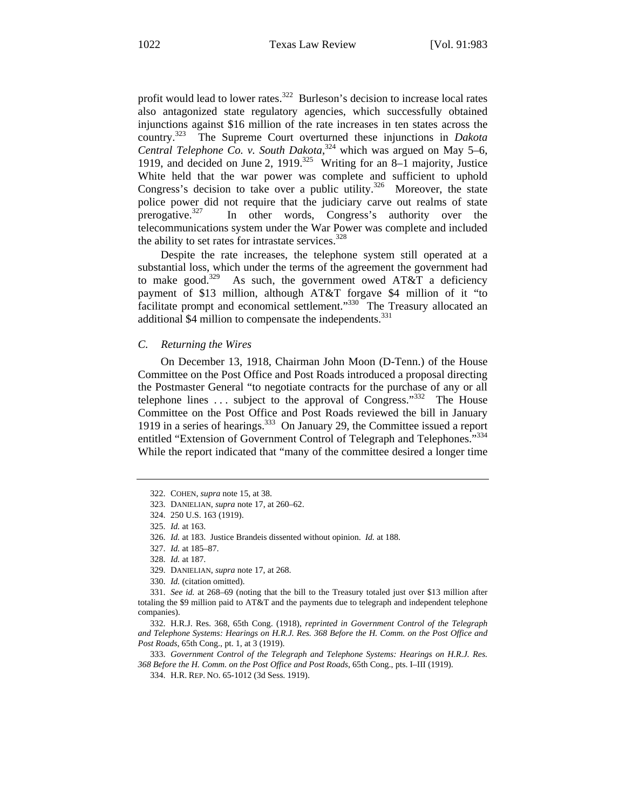profit would lead to lower rates. $322$  Burleson's decision to increase local rates also antagonized state regulatory agencies, which successfully obtained injunctions against \$16 million of the rate increases in ten states across the country.323 The Supreme Court overturned these injunctions in *Dakota*  Central Telephone Co. v. South Dakota,<sup>324</sup> which was argued on May 5–6, 1919, and decided on June 2, 1919.<sup>325</sup> Writing for an 8–1 majority, Justice White held that the war power was complete and sufficient to uphold Congress's decision to take over a public utility.<sup>326</sup> Moreover, the state police power did not require that the judiciary carve out realms of state prerogative.<sup>327</sup> In other words, Congress's authority over the telecommunications system under the War Power was complete and included the ability to set rates for intrastate services. $328$ 

Despite the rate increases, the telephone system still operated at a substantial loss, which under the terms of the agreement the government had to make good.<sup>329</sup> As such, the government owed AT&T a deficiency payment of \$13 million, although AT&T forgave \$4 million of it "to facilitate prompt and economical settlement."330 The Treasury allocated an additional \$4 million to compensate the independents.<sup>331</sup>

#### *C. Returning the Wires*

On December 13, 1918, Chairman John Moon (D-Tenn.) of the House Committee on the Post Office and Post Roads introduced a proposal directing the Postmaster General "to negotiate contracts for the purchase of any or all telephone lines ... subject to the approval of Congress."<sup>332</sup> The House Committee on the Post Office and Post Roads reviewed the bill in January 1919 in a series of hearings.<sup>333</sup> On January 29, the Committee issued a report entitled "Extension of Government Control of Telegraph and Telephones."<sup>334</sup> While the report indicated that "many of the committee desired a longer time

333. *Government Control of the Telegraph and Telephone Systems: Hearings on H.R.J. Res. 368 Before the H. Comm. on the Post Office and Post Roads*, 65th Cong., pts. I–III (1919).

<sup>322.</sup> COHEN, *supra* note 15, at 38.

<sup>323.</sup> DANIELIAN, *supra* note 17, at 260–62.

<sup>324. 250</sup> U.S. 163 (1919).

<sup>325.</sup> *Id.* at 163.

<sup>326.</sup> *Id.* at 183. Justice Brandeis dissented without opinion. *Id.* at 188.

<sup>327.</sup> *Id.* at 185–87.

<sup>328.</sup> *Id.* at 187.

<sup>329.</sup> DANIELIAN, *supra* note 17, at 268.

<sup>330.</sup> *Id.* (citation omitted).

<sup>331.</sup> *See id.* at 268–69 (noting that the bill to the Treasury totaled just over \$13 million after totaling the \$9 million paid to AT&T and the payments due to telegraph and independent telephone companies).

<sup>332.</sup> H.R.J. Res. 368, 65th Cong. (1918), *reprinted in Government Control of the Telegraph and Telephone Systems: Hearings on H.R.J. Res. 368 Before the H. Comm. on the Post Office and Post Roads*, 65th Cong., pt. 1, at 3 (1919).

<sup>334.</sup> H.R. REP. NO. 65-1012 (3d Sess. 1919).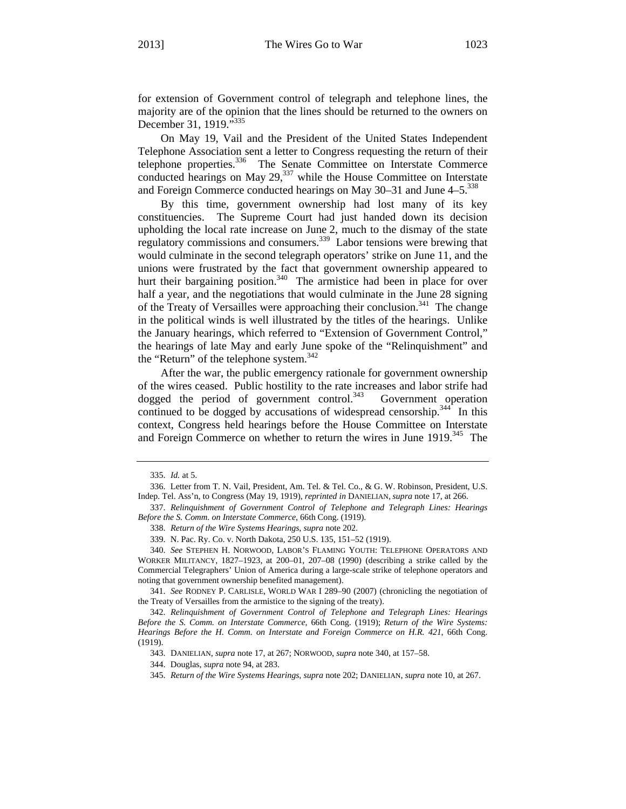for extension of Government control of telegraph and telephone lines, the majority are of the opinion that the lines should be returned to the owners on December 31, 1919."<sup>335</sup>

On May 19, Vail and the President of the United States Independent Telephone Association sent a letter to Congress requesting the return of their telephone properties.<sup>336</sup> The Senate Committee on Interstate Commerce conducted hearings on May  $29<sub>1</sub><sup>337</sup>$  while the House Committee on Interstate and Foreign Commerce conducted hearings on May  $30-31$  and June  $4-5.^{338}$ 

By this time, government ownership had lost many of its key constituencies. The Supreme Court had just handed down its decision upholding the local rate increase on June 2, much to the dismay of the state regulatory commissions and consumers.<sup>339</sup> Labor tensions were brewing that would culminate in the second telegraph operators' strike on June 11, and the unions were frustrated by the fact that government ownership appeared to hurt their bargaining position.<sup>340</sup> The armistice had been in place for over half a year, and the negotiations that would culminate in the June 28 signing of the Treaty of Versailles were approaching their conclusion.<sup>341</sup> The change in the political winds is well illustrated by the titles of the hearings. Unlike the January hearings, which referred to "Extension of Government Control," the hearings of late May and early June spoke of the "Relinquishment" and the "Return" of the telephone system.<sup>342</sup>

After the war, the public emergency rationale for government ownership of the wires ceased. Public hostility to the rate increases and labor strife had dogged the period of government control.<sup>343</sup> Government operation continued to be dogged by accusations of widespread censorship.<sup>344</sup> In this context, Congress held hearings before the House Committee on Interstate and Foreign Commerce on whether to return the wires in June 1919.<sup>345</sup> The

<sup>335.</sup> *Id.* at 5.

<sup>336.</sup> Letter from T. N. Vail, President, Am. Tel. & Tel. Co., & G. W. Robinson, President, U.S. Indep. Tel. Ass'n, to Congress (May 19, 1919), *reprinted in* DANIELIAN, *supra* note 17, at 266.

<sup>337.</sup> *Relinquishment of Government Control of Telephone and Telegraph Lines: Hearings Before the S. Comm. on Interstate Commerce*, 66th Cong. (1919).

<sup>338.</sup> *Return of the Wire Systems Hearings*, *supra* note 202.

<sup>339.</sup> N. Pac. Ry. Co. v. North Dakota, 250 U.S. 135, 151–52 (1919).

<sup>340.</sup> *See* STEPHEN H. NORWOOD, LABOR'S FLAMING YOUTH: TELEPHONE OPERATORS AND WORKER MILITANCY, 1827–1923, at 200–01, 207–08 (1990) (describing a strike called by the Commercial Telegraphers' Union of America during a large-scale strike of telephone operators and noting that government ownership benefited management).

<sup>341.</sup> *See* RODNEY P. CARLISLE, WORLD WAR I 289–90 (2007) (chronicling the negotiation of the Treaty of Versailles from the armistice to the signing of the treaty).

<sup>342.</sup> *Relinquishment of Government Control of Telephone and Telegraph Lines: Hearings Before the S. Comm. on Interstate Commerce*, 66th Cong. (1919); *Return of the Wire Systems: Hearings Before the H. Comm. on Interstate and Foreign Commerce on H.R. 421*, 66th Cong. (1919).

<sup>343.</sup> DANIELIAN, *supra* note 17, at 267; NORWOOD, *supra* note 340, at 157–58.

<sup>344.</sup> Douglas, *supra* note 94, at 283.

<sup>345.</sup> *Return of the Wire Systems Hearings*, *supra* note 202; DANIELIAN, *supra* note 10, at 267.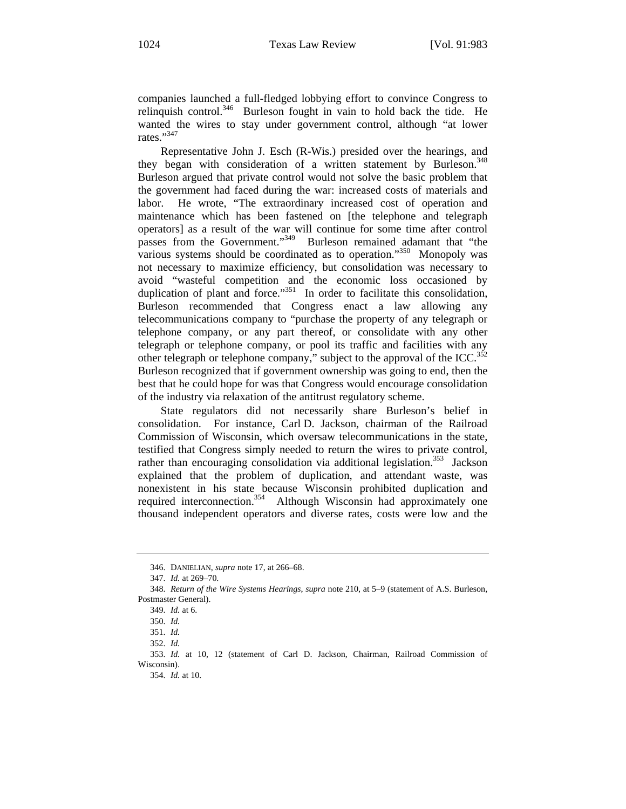companies launched a full-fledged lobbying effort to convince Congress to relinquish control.<sup>346</sup> Burleson fought in vain to hold back the tide. He wanted the wires to stay under government control, although "at lower rates."<sup>347</sup>

Representative John J. Esch (R-Wis.) presided over the hearings, and they began with consideration of a written statement by Burleson.<sup>348</sup> Burleson argued that private control would not solve the basic problem that the government had faced during the war: increased costs of materials and labor. He wrote, "The extraordinary increased cost of operation and maintenance which has been fastened on [the telephone and telegraph operators] as a result of the war will continue for some time after control passes from the Government."<sup>349</sup> Burleson remained adamant that "the various systems should be coordinated as to operation."350 Monopoly was not necessary to maximize efficiency, but consolidation was necessary to avoid "wasteful competition and the economic loss occasioned by duplication of plant and force."<sup>351</sup> In order to facilitate this consolidation, Burleson recommended that Congress enact a law allowing any telecommunications company to "purchase the property of any telegraph or telephone company, or any part thereof, or consolidate with any other telegraph or telephone company, or pool its traffic and facilities with any other telegraph or telephone company," subject to the approval of the  $ICC.^{352}$ Burleson recognized that if government ownership was going to end, then the best that he could hope for was that Congress would encourage consolidation of the industry via relaxation of the antitrust regulatory scheme.

State regulators did not necessarily share Burleson's belief in consolidation. For instance, Carl D. Jackson, chairman of the Railroad Commission of Wisconsin, which oversaw telecommunications in the state, testified that Congress simply needed to return the wires to private control, rather than encouraging consolidation via additional legislation.<sup>353</sup> Jackson explained that the problem of duplication, and attendant waste, was nonexistent in his state because Wisconsin prohibited duplication and required interconnection.<sup>354</sup> Although Wisconsin had approximately one thousand independent operators and diverse rates, costs were low and the

<sup>346.</sup> DANIELIAN, *supra* note 17, at 266–68.

<sup>347.</sup> *Id.* at 269–70.

<sup>348.</sup> *Return of the Wire Systems Hearings*, *supra* note 210, at 5–9 (statement of A.S. Burleson, Postmaster General).

<sup>349.</sup> *Id.* at 6.

<sup>350.</sup> *Id.* 

<sup>351.</sup> *Id.* 

<sup>352.</sup> *Id.* 

<sup>353.</sup> *Id.* at 10, 12 (statement of Carl D. Jackson, Chairman, Railroad Commission of Wisconsin).

<sup>354.</sup> *Id.* at 10.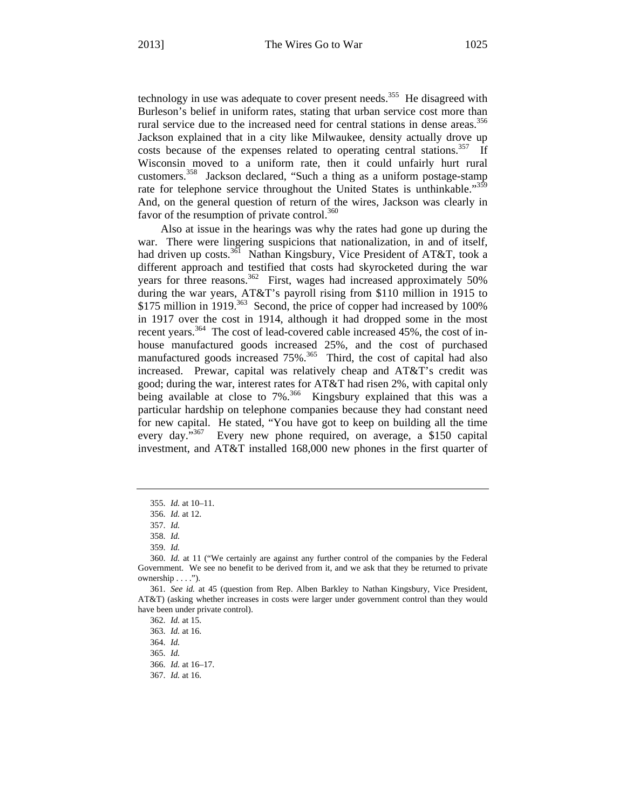technology in use was adequate to cover present needs.<sup>355</sup> He disagreed with Burleson's belief in uniform rates, stating that urban service cost more than rural service due to the increased need for central stations in dense areas.<sup>356</sup> Jackson explained that in a city like Milwaukee, density actually drove up costs because of the expenses related to operating central stations.<sup>357</sup> If Wisconsin moved to a uniform rate, then it could unfairly hurt rural customers.358 Jackson declared, "Such a thing as a uniform postage-stamp rate for telephone service throughout the United States is unthinkable."359 And, on the general question of return of the wires, Jackson was clearly in favor of the resumption of private control. $360$ 

Also at issue in the hearings was why the rates had gone up during the war. There were lingering suspicions that nationalization, in and of itself, had driven up costs.<sup>361</sup> Nathan Kingsbury, Vice President of AT&T, took a different approach and testified that costs had skyrocketed during the war years for three reasons.<sup>362</sup> First, wages had increased approximately 50% during the war years, AT&T's payroll rising from \$110 million in 1915 to \$175 million in 1919.<sup>363</sup> Second, the price of copper had increased by 100% in 1917 over the cost in 1914, although it had dropped some in the most recent years.<sup>364</sup> The cost of lead-covered cable increased 45%, the cost of inhouse manufactured goods increased 25%, and the cost of purchased manufactured goods increased 75%.<sup>365</sup> Third, the cost of capital had also increased. Prewar, capital was relatively cheap and AT&T's credit was good; during the war, interest rates for AT&T had risen 2%, with capital only being available at close to 7%<sup>366</sup> Kingsbury explained that this was a particular hardship on telephone companies because they had constant need for new capital. He stated, "You have got to keep on building all the time every day."<sup>367</sup> Every new phone required, on average, a \$150 capital investment, and AT&T installed 168,000 new phones in the first quarter of

<sup>355.</sup> *Id.* at 10–11.

<sup>356.</sup> *Id.* at 12.

<sup>357.</sup> *Id.*

<sup>358.</sup> *Id.*

<sup>359.</sup> *Id.*

<sup>360.</sup> *Id.* at 11 ("We certainly are against any further control of the companies by the Federal Government. We see no benefit to be derived from it, and we ask that they be returned to private ownership . . . .").

<sup>361.</sup> *See id.* at 45 (question from Rep. Alben Barkley to Nathan Kingsbury, Vice President, AT&T) (asking whether increases in costs were larger under government control than they would have been under private control).

<sup>362.</sup> *Id.* at 15.

<sup>363.</sup> *Id.* at 16.

<sup>364.</sup> *Id.* 

<sup>365.</sup> *Id.* 

<sup>366.</sup> *Id.* at 16–17.

<sup>367.</sup> *Id.* at 16.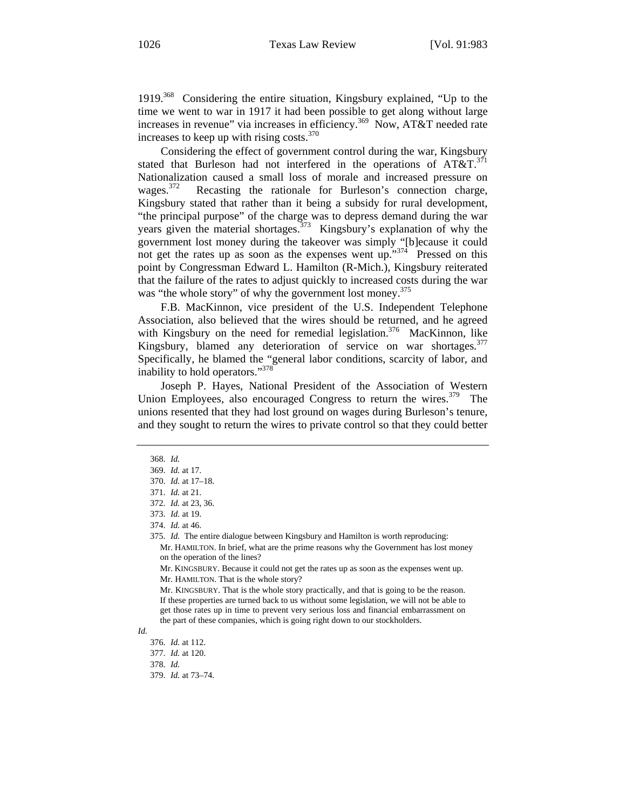1919.368 Considering the entire situation, Kingsbury explained, "Up to the time we went to war in 1917 it had been possible to get along without large increases in revenue" via increases in efficiency.<sup>369</sup> Now, AT&T needed rate increases to keep up with rising costs. $370$ 

Considering the effect of government control during the war, Kingsbury stated that Burleson had not interfered in the operations of  $AT&T.^{371}$ Nationalization caused a small loss of morale and increased pressure on wages.<sup>372</sup> Recasting the rationale for Burleson's connection charge, Kingsbury stated that rather than it being a subsidy for rural development, "the principal purpose" of the charge was to depress demand during the war years given the material shortages.<sup>373</sup> Kingsbury's explanation of why the government lost money during the takeover was simply "[b]ecause it could not get the rates up as soon as the expenses went up."374 Pressed on this point by Congressman Edward L. Hamilton (R-Mich.), Kingsbury reiterated that the failure of the rates to adjust quickly to increased costs during the war was "the whole story" of why the government lost money.<sup>375</sup>

F.B. MacKinnon, vice president of the U.S. Independent Telephone Association, also believed that the wires should be returned, and he agreed with Kingsbury on the need for remedial legislation.<sup>376</sup> MacKinnon, like Kingsbury, blamed any deterioration of service on war shortages.<sup>377</sup> Specifically, he blamed the "general labor conditions, scarcity of labor, and inability to hold operators."<sup>378</sup>

Joseph P. Hayes, National President of the Association of Western Union Employees, also encouraged Congress to return the wires.<sup>379</sup> The unions resented that they had lost ground on wages during Burleson's tenure, and they sought to return the wires to private control so that they could better

Mr. KINGSBURY. Because it could not get the rates up as soon as the expenses went up. Mr. HAMILTON. That is the whole story?

379. *Id.* at 73–74.

<sup>368.</sup> *Id.* 

<sup>369.</sup> *Id.* at 17.

<sup>370.</sup> *Id.* at 17–18.

<sup>371.</sup> *Id.* at 21.

<sup>372.</sup> *Id.* at 23, 36.

<sup>373.</sup> *Id.* at 19.

<sup>374.</sup> *Id.* at 46.

<sup>375.</sup> *Id.* The entire dialogue between Kingsbury and Hamilton is worth reproducing: Mr. HAMILTON. In brief, what are the prime reasons why the Government has lost money on the operation of the lines?

Mr. KINGSBURY. That is the whole story practically, and that is going to be the reason. If these properties are turned back to us without some legislation, we will not be able to get those rates up in time to prevent very serious loss and financial embarrassment on the part of these companies, which is going right down to our stockholders.

*Id.* 

<sup>376.</sup> *Id.* at 112.

<sup>377.</sup> *Id.* at 120.

<sup>378.</sup> *Id.*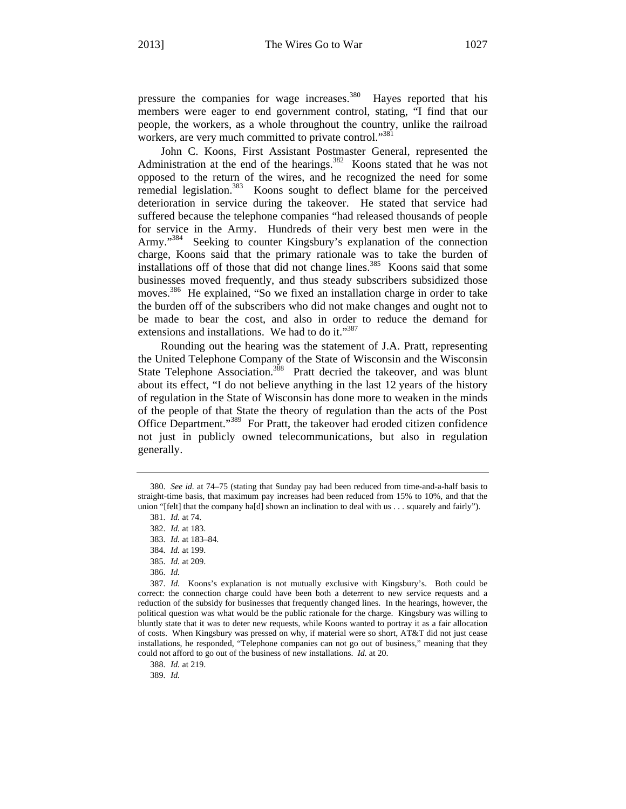pressure the companies for wage increases.<sup>380</sup> Hayes reported that his members were eager to end government control, stating, "I find that our people, the workers, as a whole throughout the country, unlike the railroad workers, are very much committed to private control."<sup>381</sup>

John C. Koons, First Assistant Postmaster General, represented the Administration at the end of the hearings.<sup>382</sup> Koons stated that he was not opposed to the return of the wires, and he recognized the need for some remedial legislation.<sup>383</sup> Koons sought to deflect blame for the perceived deterioration in service during the takeover. He stated that service had suffered because the telephone companies "had released thousands of people for service in the Army. Hundreds of their very best men were in the Army."<sup>384</sup> Seeking to counter Kingsbury's explanation of the connection charge, Koons said that the primary rationale was to take the burden of installations off of those that did not change lines.<sup>385</sup> Koons said that some businesses moved frequently, and thus steady subscribers subsidized those moves.386 He explained, "So we fixed an installation charge in order to take the burden off of the subscribers who did not make changes and ought not to be made to bear the cost, and also in order to reduce the demand for extensions and installations. We had to do it."<sup>387</sup>

Rounding out the hearing was the statement of J.A. Pratt, representing the United Telephone Company of the State of Wisconsin and the Wisconsin State Telephone Association.<sup>388</sup> Pratt decried the takeover, and was blunt about its effect, "I do not believe anything in the last 12 years of the history of regulation in the State of Wisconsin has done more to weaken in the minds of the people of that State the theory of regulation than the acts of the Post Office Department."389 For Pratt, the takeover had eroded citizen confidence not just in publicly owned telecommunications, but also in regulation generally.

388. *Id.* at 219.

389. *Id.*

<sup>380.</sup> *See id.* at 74–75 (stating that Sunday pay had been reduced from time-and-a-half basis to straight-time basis, that maximum pay increases had been reduced from 15% to 10%, and that the union "[felt] that the company ha[d] shown an inclination to deal with us . . . squarely and fairly").

<sup>381.</sup> *Id.* at 74.

<sup>382.</sup> *Id.* at 183.

<sup>383.</sup> *Id.* at 183–84.

<sup>384.</sup> *Id.* at 199.

<sup>385.</sup> *Id.* at 209.

<sup>386.</sup> *Id.* 

<sup>387.</sup> *Id.* Koons's explanation is not mutually exclusive with Kingsbury's. Both could be correct: the connection charge could have been both a deterrent to new service requests and a reduction of the subsidy for businesses that frequently changed lines. In the hearings, however, the political question was what would be the public rationale for the charge. Kingsbury was willing to bluntly state that it was to deter new requests, while Koons wanted to portray it as a fair allocation of costs. When Kingsbury was pressed on why, if material were so short, AT&T did not just cease installations, he responded, "Telephone companies can not go out of business," meaning that they could not afford to go out of the business of new installations. *Id.* at 20.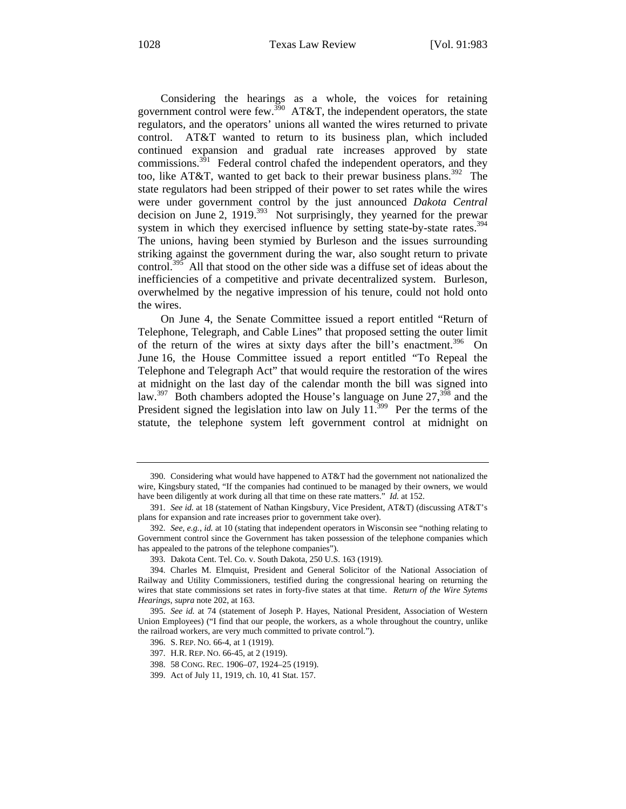Considering the hearings as a whole, the voices for retaining government control were few.<sup>390</sup> AT&T, the independent operators, the state regulators, and the operators' unions all wanted the wires returned to private control. AT&T wanted to return to its business plan, which included continued expansion and gradual rate increases approved by state commissions. $391$  Federal control chafed the independent operators, and they too, like AT&T, wanted to get back to their prewar business plans.<sup>392</sup> The state regulators had been stripped of their power to set rates while the wires were under government control by the just announced *Dakota Central*  decision on June 2,  $1919^{393}$  Not surprisingly, they yearned for the prewar system in which they exercised influence by setting state-by-state rates.<sup>394</sup> The unions, having been stymied by Burleson and the issues surrounding striking against the government during the war, also sought return to private control.<sup>395</sup> All that stood on the other side was a diffuse set of ideas about the inefficiencies of a competitive and private decentralized system. Burleson, overwhelmed by the negative impression of his tenure, could not hold onto the wires.

On June 4, the Senate Committee issued a report entitled "Return of Telephone, Telegraph, and Cable Lines" that proposed setting the outer limit of the return of the wires at sixty days after the bill's enactment.<sup>396</sup> On June 16, the House Committee issued a report entitled "To Repeal the Telephone and Telegraph Act" that would require the restoration of the wires at midnight on the last day of the calendar month the bill was signed into law.<sup>397</sup> Both chambers adopted the House's language on June  $27$ ,  $398$  and the President signed the legislation into law on July  $11^{399}$  Per the terms of the statute, the telephone system left government control at midnight on

<sup>390.</sup> Considering what would have happened to AT&T had the government not nationalized the wire, Kingsbury stated, "If the companies had continued to be managed by their owners, we would have been diligently at work during all that time on these rate matters." *Id.* at 152.

<sup>391.</sup> *See id.* at 18 (statement of Nathan Kingsbury, Vice President, AT&T) (discussing AT&T's plans for expansion and rate increases prior to government take over).

<sup>392.</sup> *See, e.g.*, *id.* at 10 (stating that independent operators in Wisconsin see "nothing relating to Government control since the Government has taken possession of the telephone companies which has appealed to the patrons of the telephone companies").

<sup>393.</sup> Dakota Cent. Tel. Co. v. South Dakota, 250 U.S. 163 (1919).

<sup>394.</sup> Charles M. Elmquist, President and General Solicitor of the National Association of Railway and Utility Commissioners, testified during the congressional hearing on returning the wires that state commissions set rates in forty-five states at that time. *Return of the Wire Sytems Hearings*, *supra* note 202, at 163.

<sup>395.</sup> *See id.* at 74 (statement of Joseph P. Hayes, National President, Association of Western Union Employees) ("I find that our people, the workers, as a whole throughout the country, unlike the railroad workers, are very much committed to private control.").

<sup>396.</sup> S. REP. NO. 66-4, at 1 (1919).

<sup>397.</sup> H.R. REP. NO. 66-45, at 2 (1919).

<sup>398. 58</sup> CONG. REC. 1906–07, 1924–25 (1919).

<sup>399.</sup> Act of July 11, 1919, ch. 10, 41 Stat. 157.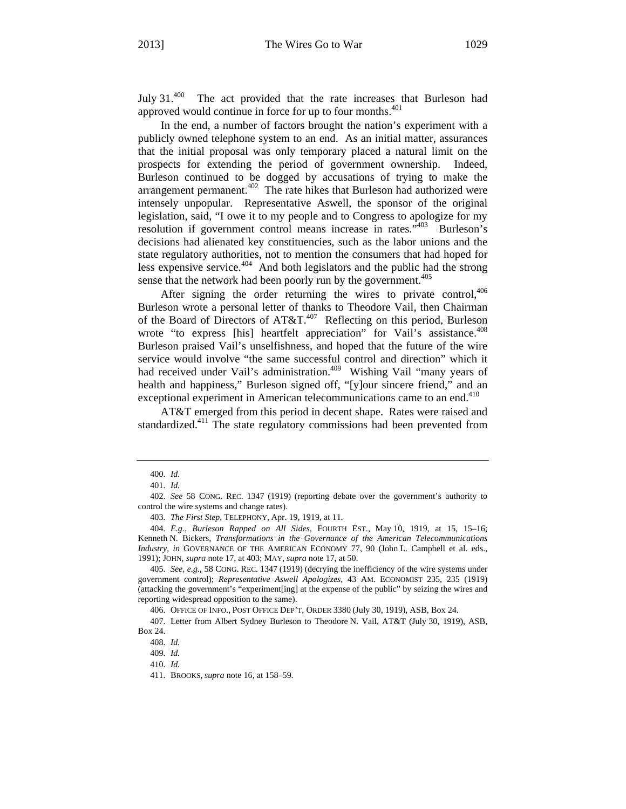July 31.400 The act provided that the rate increases that Burleson had approved would continue in force for up to four months.<sup>401</sup>

In the end, a number of factors brought the nation's experiment with a publicly owned telephone system to an end. As an initial matter, assurances that the initial proposal was only temporary placed a natural limit on the prospects for extending the period of government ownership. Indeed, Burleson continued to be dogged by accusations of trying to make the arrangement permanent.<sup>402</sup> The rate hikes that Burleson had authorized were intensely unpopular. Representative Aswell, the sponsor of the original legislation, said, "I owe it to my people and to Congress to apologize for my resolution if government control means increase in rates.<sup>5403</sup> Burleson's decisions had alienated key constituencies, such as the labor unions and the state regulatory authorities, not to mention the consumers that had hoped for less expensive service.<sup>404</sup> And both legislators and the public had the strong sense that the network had been poorly run by the government.<sup>405</sup>

After signing the order returning the wires to private control,  $406$ Burleson wrote a personal letter of thanks to Theodore Vail, then Chairman of the Board of Directors of  $AT&T<sup>407</sup>$  Reflecting on this period, Burleson wrote "to express [his] heartfelt appreciation" for Vail's assistance.<sup>408</sup> Burleson praised Vail's unselfishness, and hoped that the future of the wire service would involve "the same successful control and direction" which it had received under Vail's administration.<sup>409</sup> Wishing Vail "many years of health and happiness," Burleson signed off, "[y]our sincere friend," and an exceptional experiment in American telecommunications came to an end.<sup>410</sup>

AT&T emerged from this period in decent shape. Rates were raised and standardized.<sup>411</sup> The state regulatory commissions had been prevented from

406. OFFICE OF INFO., POST OFFICE DEP'T, ORDER 3380 (July 30, 1919), ASB, Box 24.

<sup>400.</sup> *Id.*

<sup>401.</sup> *Id.*

<sup>402.</sup> *See* 58 CONG. REC. 1347 (1919) (reporting debate over the government's authority to control the wire systems and change rates).

<sup>403.</sup> *The First Step*, TELEPHONY, Apr. 19, 1919, at 11.

<sup>404.</sup> *E.g.*, *Burleson Rapped on All Sides*, FOURTH EST., May 10, 1919, at 15, 15–16; Kenneth N. Bickers, *Transformations in the Governance of the American Telecommunications Industry*, *in* GOVERNANCE OF THE AMERICAN ECONOMY 77, 90 (John L. Campbell et al. eds., 1991); JOHN, *supra* note 17, at 403; MAY, *supra* note 17, at 50.

<sup>405.</sup> *See, e.g.*, 58 CONG. REC. 1347 (1919) (decrying the inefficiency of the wire systems under government control); *Representative Aswell Apologizes*, 43 AM. ECONOMIST 235, 235 (1919) (attacking the government's "experiment[ing] at the expense of the public" by seizing the wires and reporting widespread opposition to the same).

<sup>407.</sup> Letter from Albert Sydney Burleson to Theodore N. Vail, AT&T (July 30, 1919), ASB, Box 24.

<sup>408.</sup> *Id.* 

<sup>409.</sup> *Id.* 

<sup>410.</sup> *Id.* 

<sup>411.</sup> BROOKS, *supra* note 16, at 158–59.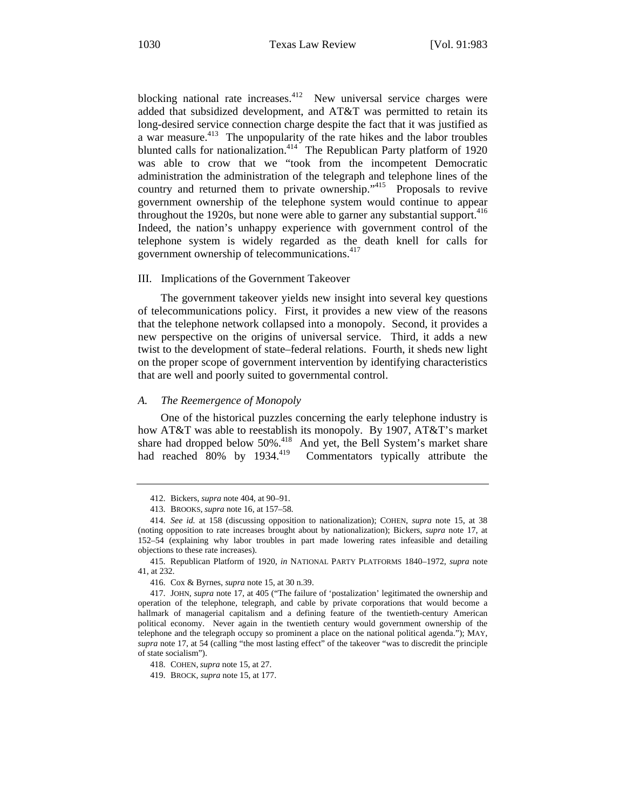blocking national rate increases. $412$  New universal service charges were added that subsidized development, and AT&T was permitted to retain its long-desired service connection charge despite the fact that it was justified as a war measure.<sup>413</sup> The unpopularity of the rate hikes and the labor troubles blunted calls for nationalization.<sup>414</sup> The Republican Party platform of 1920 was able to crow that we "took from the incompetent Democratic administration the administration of the telegraph and telephone lines of the country and returned them to private ownership."<sup>415</sup> Proposals to revive government ownership of the telephone system would continue to appear throughout the 1920s, but none were able to garner any substantial support.<sup>416</sup> Indeed, the nation's unhappy experience with government control of the telephone system is widely regarded as the death knell for calls for government ownership of telecommunications.<sup>417</sup>

#### III. Implications of the Government Takeover

The government takeover yields new insight into several key questions of telecommunications policy. First, it provides a new view of the reasons that the telephone network collapsed into a monopoly. Second, it provides a new perspective on the origins of universal service. Third, it adds a new twist to the development of state–federal relations. Fourth, it sheds new light on the proper scope of government intervention by identifying characteristics that are well and poorly suited to governmental control.

#### *A. The Reemergence of Monopoly*

One of the historical puzzles concerning the early telephone industry is how AT&T was able to reestablish its monopoly. By 1907, AT&T's market share had dropped below 50%.<sup>418</sup> And yet, the Bell System's market share had reached 80% by 1934.<sup>419</sup> Commentators typically attribute the

<sup>412.</sup> Bickers, *supra* note 404, at 90–91.

<sup>413.</sup> BROOKS, *supra* note 16, at 157–58.

<sup>414.</sup> *See id.* at 158 (discussing opposition to nationalization); COHEN, *supra* note 15, at 38 (noting opposition to rate increases brought about by nationalization); Bickers, *supra* note 17, at 152–54 (explaining why labor troubles in part made lowering rates infeasible and detailing objections to these rate increases).

<sup>415.</sup> Republican Platform of 1920, *in* NATIONAL PARTY PLATFORMS 1840–1972, *supra* note 41, at 232.

<sup>416.</sup> Cox & Byrnes, *supra* note 15, at 30 n.39.

<sup>417.</sup> JOHN, *supra* note 17, at 405 ("The failure of 'postalization' legitimated the ownership and operation of the telephone, telegraph, and cable by private corporations that would become a hallmark of managerial capitalism and a defining feature of the twentieth-century American political economy. Never again in the twentieth century would government ownership of the telephone and the telegraph occupy so prominent a place on the national political agenda."); MAY, *supra* note 17, at 54 (calling "the most lasting effect" of the takeover "was to discredit the principle of state socialism").

<sup>418.</sup> COHEN, *supra* note 15, at 27.

<sup>419.</sup> BROCK, *supra* note 15, at 177.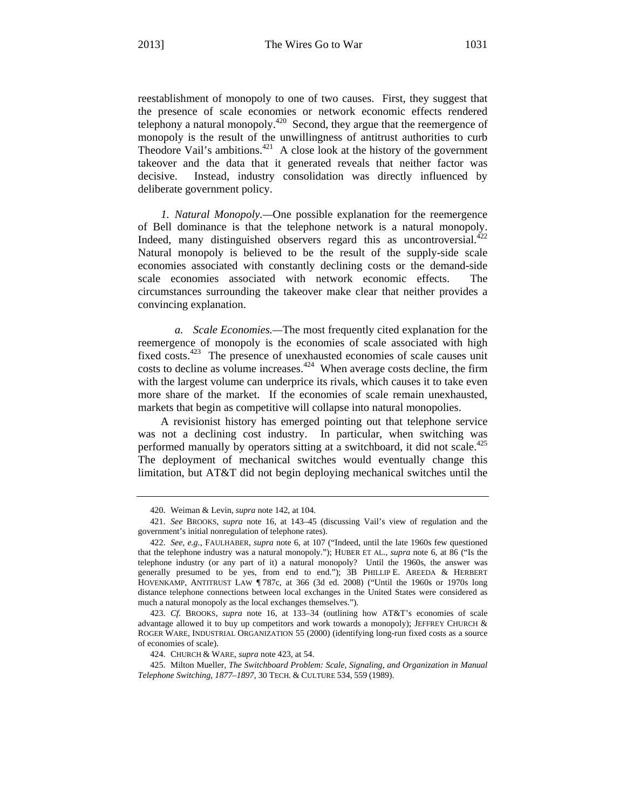reestablishment of monopoly to one of two causes. First, they suggest that the presence of scale economies or network economic effects rendered telephony a natural monopoly.<sup>420</sup> Second, they argue that the reemergence of monopoly is the result of the unwillingness of antitrust authorities to curb Theodore Vail's ambitions.<sup>421</sup> A close look at the history of the government takeover and the data that it generated reveals that neither factor was decisive. Instead, industry consolidation was directly influenced by deliberate government policy.

*1. Natural Monopoly.—*One possible explanation for the reemergence of Bell dominance is that the telephone network is a natural monopoly. Indeed, many distinguished observers regard this as uncontroversial. $422$ Natural monopoly is believed to be the result of the supply-side scale economies associated with constantly declining costs or the demand-side scale economies associated with network economic effects. The circumstances surrounding the takeover make clear that neither provides a convincing explanation.

*a. Scale Economies.—*The most frequently cited explanation for the reemergence of monopoly is the economies of scale associated with high fixed costs.<sup>423</sup> The presence of unexhausted economies of scale causes unit costs to decline as volume increases.<sup> $424$ </sup> When average costs decline, the firm with the largest volume can underprice its rivals, which causes it to take even more share of the market. If the economies of scale remain unexhausted, markets that begin as competitive will collapse into natural monopolies.

A revisionist history has emerged pointing out that telephone service was not a declining cost industry. In particular, when switching was performed manually by operators sitting at a switchboard, it did not scale.<sup>425</sup> The deployment of mechanical switches would eventually change this limitation, but AT&T did not begin deploying mechanical switches until the

<sup>420.</sup> Weiman & Levin, *supra* note 142, at 104.

<sup>421.</sup> *See* BROOKS, *supra* note 16, at 143–45 (discussing Vail's view of regulation and the government's initial nonregulation of telephone rates).

<sup>422.</sup> *See, e.g.*, FAULHABER, *supra* note 6, at 107 ("Indeed, until the late 1960s few questioned that the telephone industry was a natural monopoly."); HUBER ET AL., *supra* note 6, at 86 ("Is the telephone industry (or any part of it) a natural monopoly? Until the 1960s, the answer was generally presumed to be yes, from end to end."); 3B PHILLIP E. AREEDA & HERBERT HOVENKAMP, ANTITRUST LAW ¶ 787c, at 366 (3d ed. 2008) ("Until the 1960s or 1970s long distance telephone connections between local exchanges in the United States were considered as much a natural monopoly as the local exchanges themselves.").

<sup>423.</sup> *Cf.* BROOKS, *supra* note 16, at 133–34 (outlining how AT&T's economies of scale advantage allowed it to buy up competitors and work towards a monopoly); JEFFREY CHURCH  $\&$ ROGER WARE, INDUSTRIAL ORGANIZATION 55 (2000) (identifying long-run fixed costs as a source of economies of scale).

<sup>424.</sup> CHURCH & WARE, *supra* note 423, at 54.

<sup>425.</sup> Milton Mueller, *The Switchboard Problem: Scale, Signaling, and Organization in Manual Telephone Switching, 1877–1897*, 30 TECH. & CULTURE 534, 559 (1989).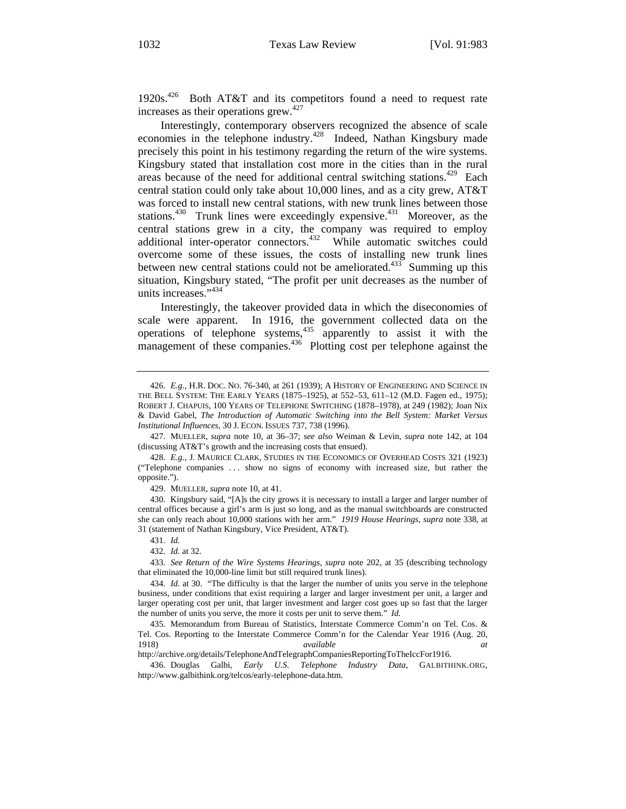1920s.<sup>426</sup> Both AT&T and its competitors found a need to request rate increases as their operations grew.<sup>427</sup>

Interestingly, contemporary observers recognized the absence of scale economies in the telephone industry.<sup>428</sup> Indeed, Nathan Kingsbury made precisely this point in his testimony regarding the return of the wire systems. Kingsbury stated that installation cost more in the cities than in the rural areas because of the need for additional central switching stations.<sup>429</sup> Each central station could only take about 10,000 lines, and as a city grew, AT&T was forced to install new central stations, with new trunk lines between those stations.<sup>430</sup> Trunk lines were exceedingly expensive.<sup>431</sup> Moreover, as the central stations grew in a city, the company was required to employ additional inter-operator connectors.<sup>432</sup> While automatic switches could overcome some of these issues, the costs of installing new trunk lines between new central stations could not be ameliorated.<sup>433</sup> Summing up this situation, Kingsbury stated, "The profit per unit decreases as the number of units increases.",434

Interestingly, the takeover provided data in which the diseconomies of scale were apparent. In 1916, the government collected data on the operations of telephone systems,  $435$  apparently to assist it with the management of these companies.<sup>436</sup> Plotting cost per telephone against the

429. MUELLER, *supra* note 10, at 41.

430. Kingsbury said, "[A]s the city grows it is necessary to install a larger and larger number of central offices because a girl's arm is just so long, and as the manual switchboards are constructed she can only reach about 10,000 stations with her arm." *1919 House Hearings*, *supra* note 338, at 31 (statement of Nathan Kingsbury, Vice President, AT&T).

http://archive.org/details/TelephoneAndTelegraphCompaniesReportingToTheIccFor1916.

<sup>426.</sup> *E.g.*, H.R. DOC. NO. 76-340, at 261 (1939); A HISTORY OF ENGINEERING AND SCIENCE IN THE BELL SYSTEM: THE EARLY YEARS (1875–1925), at 552–53, 611–12 (M.D. Fagen ed., 1975); ROBERT J. CHAPUIS, 100 YEARS OF TELEPHONE SWITCHING (1878–1978), at 249 (1982); Joan Nix & David Gabel, *The Introduction of Automatic Switching into the Bell System: Market Versus Institutional Influences*, 30 J. ECON. ISSUES 737, 738 (1996).

<sup>427.</sup> MUELLER, *supra* note 10, at 36–37; *see also* Weiman & Levin, *supra* note 142, at 104 (discussing AT&T's growth and the increasing costs that ensued).

<sup>428.</sup> *E.g.*, J. MAURICE CLARK, STUDIES IN THE ECONOMICS OF OVERHEAD COSTS 321 (1923) ("Telephone companies . . . show no signs of economy with increased size, but rather the opposite.").

<sup>431.</sup> *Id.* 

<sup>432.</sup> *Id.* at 32.

<sup>433.</sup> *See Return of the Wire Systems Hearings*, *supra* note 202, at 35 (describing technology that eliminated the 10,000-line limit but still required trunk lines).

<sup>434.</sup> *Id.* at 30. "The difficulty is that the larger the number of units you serve in the telephone business, under conditions that exist requiring a larger and larger investment per unit, a larger and larger operating cost per unit, that larger investment and larger cost goes up so fast that the larger the number of units you serve, the more it costs per unit to serve them." *Id.* 

<sup>435.</sup> Memorandum from Bureau of Statistics, Interstate Commerce Comm'n on Tel. Cos. & Tel. Cos. Reporting to the Interstate Commerce Comm'n for the Calendar Year 1916 (Aug. 20, 1918) *available at* 

<sup>436.</sup> Douglas Galbi, *Early U.S. Telephone Industry Data*, GALBITHINK.ORG, http://www.galbithink.org/telcos/early-telephone-data.htm.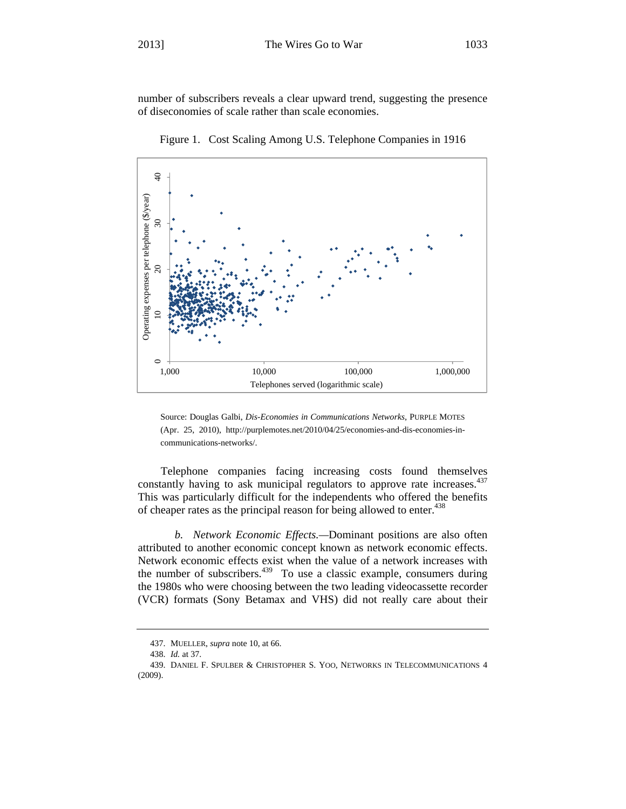number of subscribers reveals a clear upward trend, suggesting the presence of diseconomies of scale rather than scale economies.



Figure 1. Cost Scaling Among U.S. Telephone Companies in 1916

Source: Douglas Galbi, *Dis-Economies in Communications Networks*, PURPLE MOTES (Apr. 25, 2010), http://purplemotes.net/2010/04/25/economies-and-dis-economies-incommunications-networks/.

Telephone companies facing increasing costs found themselves constantly having to ask municipal regulators to approve rate increases.<sup>437</sup> This was particularly difficult for the independents who offered the benefits of cheaper rates as the principal reason for being allowed to enter.<sup>438</sup>

*b. Network Economic Effects.—*Dominant positions are also often attributed to another economic concept known as network economic effects. Network economic effects exist when the value of a network increases with the number of subscribers.<sup>439</sup> To use a classic example, consumers during the 1980s who were choosing between the two leading videocassette recorder (VCR) formats (Sony Betamax and VHS) did not really care about their

<sup>437.</sup> MUELLER, *supra* note 10, at 66.

<sup>438.</sup> *Id.* at 37.

<sup>439.</sup> DANIEL F. SPULBER & CHRISTOPHER S. YOO, NETWORKS IN TELECOMMUNICATIONS 4  $(2009).$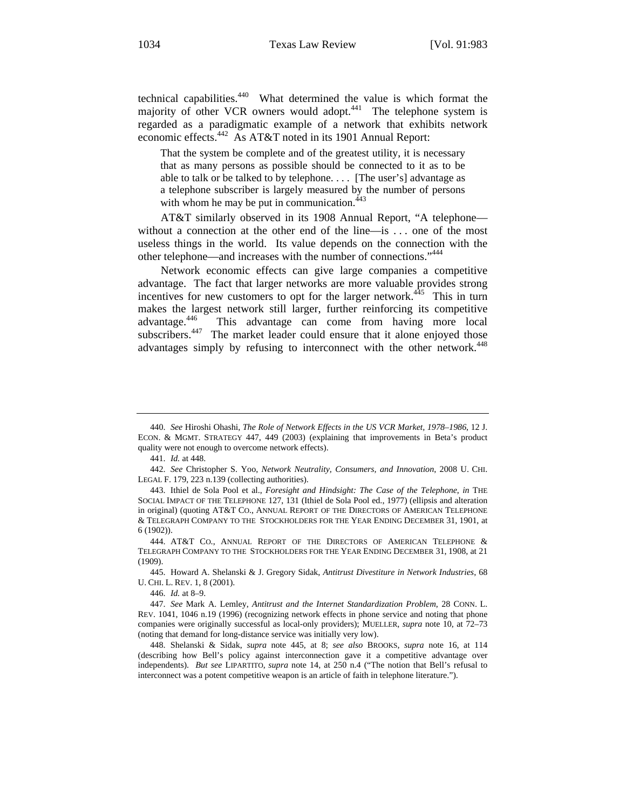technical capabilities.440 What determined the value is which format the majority of other VCR owners would adopt.<sup>441</sup> The telephone system is regarded as a paradigmatic example of a network that exhibits network economic effects.442 As AT&T noted in its 1901 Annual Report:

That the system be complete and of the greatest utility, it is necessary that as many persons as possible should be connected to it as to be able to talk or be talked to by telephone. . . . [The user's] advantage as a telephone subscriber is largely measured by the number of persons with whom he may be put in communication. $443$ 

AT&T similarly observed in its 1908 Annual Report, "A telephone without a connection at the other end of the line—is . . . one of the most useless things in the world. Its value depends on the connection with the other telephone—and increases with the number of connections."444

Network economic effects can give large companies a competitive advantage. The fact that larger networks are more valuable provides strong incentives for new customers to opt for the larger network. $445$  This in turn makes the largest network still larger, further reinforcing its competitive advantage.446 This advantage can come from having more local subscribers.<sup>447</sup> The market leader could ensure that it alone enjoyed those advantages simply by refusing to interconnect with the other network.<sup>448</sup>

<sup>440.</sup> *See* Hiroshi Ohashi, *The Role of Network Effects in the US VCR Market, 1978–1986*, 12 J. ECON. & MGMT. STRATEGY 447, 449 (2003) (explaining that improvements in Beta's product quality were not enough to overcome network effects).

<sup>441.</sup> *Id.* at 448.

<sup>442.</sup> *See* Christopher S. Yoo, *Network Neutrality, Consumers, and Innovation*, 2008 U. CHI. LEGAL F. 179, 223 n.139 (collecting authorities).

<sup>443.</sup> Ithiel de Sola Pool et al., *Foresight and Hindsight: The Case of the Telephone*, *in* THE SOCIAL IMPACT OF THE TELEPHONE 127, 131 (Ithiel de Sola Pool ed., 1977) (ellipsis and alteration in original) (quoting AT&T CO., ANNUAL REPORT OF THE DIRECTORS OF AMERICAN TELEPHONE & TELEGRAPH COMPANY TO THE STOCKHOLDERS FOR THE YEAR ENDING DECEMBER 31, 1901, at 6 (1902)).

<sup>444.</sup> AT&T CO., ANNUAL REPORT OF THE DIRECTORS OF AMERICAN TELEPHONE & TELEGRAPH COMPANY TO THE STOCKHOLDERS FOR THE YEAR ENDING DECEMBER 31, 1908, at 21 (1909).

<sup>445.</sup> Howard A. Shelanski & J. Gregory Sidak, *Antitrust Divestiture in Network Industries*, 68 U. CHI. L. REV. 1, 8 (2001).

<sup>446.</sup> *Id.* at 8–9.

<sup>447.</sup> *See* Mark A. Lemley, *Antitrust and the Internet Standardization Problem*, 28 CONN. L. REV. 1041, 1046 n.19 (1996) (recognizing network effects in phone service and noting that phone companies were originally successful as local-only providers); MUELLER, *supra* note 10, at 72–73 (noting that demand for long-distance service was initially very low).

<sup>448.</sup> Shelanski & Sidak, *supra* note 445, at 8; *see also* BROOKS, *supra* note 16, at 114 (describing how Bell's policy against interconnection gave it a competitive advantage over independents). *But see* LIPARTITO, *supra* note 14, at 250 n.4 ("The notion that Bell's refusal to interconnect was a potent competitive weapon is an article of faith in telephone literature.").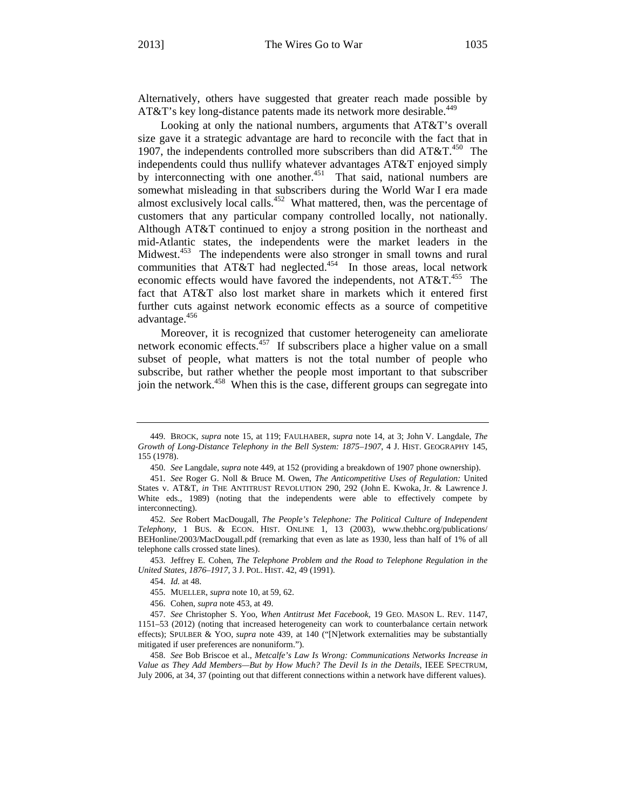Alternatively, others have suggested that greater reach made possible by AT&T's key long-distance patents made its network more desirable.<sup>449</sup>

Looking at only the national numbers, arguments that AT&T's overall size gave it a strategic advantage are hard to reconcile with the fact that in 1907, the independents controlled more subscribers than did  $AT&T.<sup>450</sup>$  The independents could thus nullify whatever advantages AT&T enjoyed simply by interconnecting with one another.<sup>451</sup> That said, national numbers are somewhat misleading in that subscribers during the World War I era made almost exclusively local calls.<sup>452</sup> What mattered, then, was the percentage of customers that any particular company controlled locally, not nationally. Although AT&T continued to enjoy a strong position in the northeast and mid-Atlantic states, the independents were the market leaders in the Midwest.<sup>453</sup> The independents were also stronger in small towns and rural communities that  $AT&T$  had neglected.<sup>454</sup> In those areas, local network economic effects would have favored the independents, not  $AT&T.^{455}$  The fact that AT&T also lost market share in markets which it entered first further cuts against network economic effects as a source of competitive advantage.<sup>456</sup>

Moreover, it is recognized that customer heterogeneity can ameliorate network economic effects.<sup>457</sup> If subscribers place a higher value on a small subset of people, what matters is not the total number of people who subscribe, but rather whether the people most important to that subscriber join the network.<sup>458</sup> When this is the case, different groups can segregate into

<sup>449.</sup> BROCK, *supra* note 15, at 119; FAULHABER, *supra* note 14, at 3; John V. Langdale, *The Growth of Long-Distance Telephony in the Bell System: 1875–1907*, 4 J. HIST. GEOGRAPHY 145, 155 (1978).

<sup>450.</sup> *See* Langdale, *supra* note 449, at 152 (providing a breakdown of 1907 phone ownership).

<sup>451.</sup> *See* Roger G. Noll & Bruce M. Owen, *The Anticompetitive Uses of Regulation:* United States v. AT&T, *in* THE ANTITRUST REVOLUTION 290, 292 (John E. Kwoka, Jr. & Lawrence J. White eds., 1989) (noting that the independents were able to effectively compete by interconnecting).

<sup>452.</sup> *See* Robert MacDougall, *The People's Telephone: The Political Culture of Independent Telephony*, 1 BUS. & ECON. HIST. ONLINE 1, 13 (2003), www.thebhc.org/publications/ BEHonline/2003/MacDougall.pdf (remarking that even as late as 1930, less than half of 1% of all telephone calls crossed state lines).

<sup>453.</sup> Jeffrey E. Cohen, *The Telephone Problem and the Road to Telephone Regulation in the United States, 1876–1917*, 3 J. POL. HIST. 42, 49 (1991).

<sup>454.</sup> *Id.* at 48.

<sup>455.</sup> MUELLER, *supra* note 10, at 59, 62.

<sup>456.</sup> Cohen, *supra* note 453, at 49.

<sup>457.</sup> *See* Christopher S. Yoo, *When Antitrust Met Facebook*, 19 GEO. MASON L. REV. 1147, 1151–53 (2012) (noting that increased heterogeneity can work to counterbalance certain network effects); SPULBER & YOO, *supra* note 439, at 140 ("[N]etwork externalities may be substantially mitigated if user preferences are nonuniform.").

<sup>458.</sup> *See* Bob Briscoe et al., *Metcalfe's Law Is Wrong: Communications Networks Increase in Value as They Add Members—But by How Much? The Devil Is in the Details*, IEEE SPECTRUM, July 2006, at 34, 37 (pointing out that different connections within a network have different values).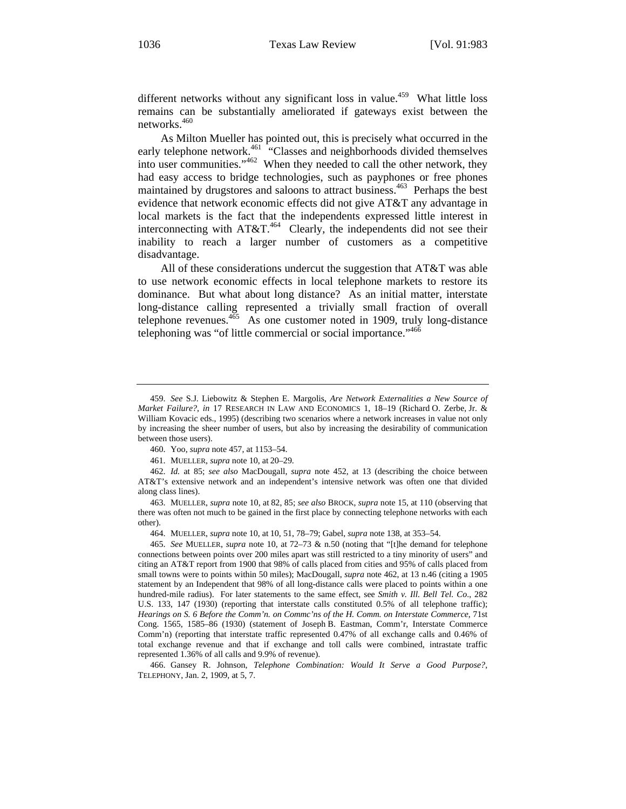different networks without any significant loss in value.<sup>459</sup> What little loss remains can be substantially ameliorated if gateways exist between the networks.<sup>460</sup>

As Milton Mueller has pointed out, this is precisely what occurred in the early telephone network.<sup>461</sup> "Classes and neighborhoods divided themselves into user communities."462 When they needed to call the other network, they had easy access to bridge technologies, such as payphones or free phones maintained by drugstores and saloons to attract business.<sup>463</sup> Perhaps the best evidence that network economic effects did not give AT&T any advantage in local markets is the fact that the independents expressed little interest in interconnecting with AT&T.464 Clearly, the independents did not see their inability to reach a larger number of customers as a competitive disadvantage.

All of these considerations undercut the suggestion that AT&T was able to use network economic effects in local telephone markets to restore its dominance. But what about long distance? As an initial matter, interstate long-distance calling represented a trivially small fraction of overall telephone revenues.<sup>465</sup> As one customer noted in 1909, truly long-distance telephoning was "of little commercial or social importance."<sup>466</sup>

<sup>459.</sup> *See* S.J. Liebowitz & Stephen E. Margolis, *Are Network Externalities a New Source of Market Failure?*, *in* 17 RESEARCH IN LAW AND ECONOMICS 1, 18–19 (Richard O. Zerbe, Jr. & William Kovacic eds., 1995) (describing two scenarios where a network increases in value not only by increasing the sheer number of users, but also by increasing the desirability of communication between those users).

<sup>460.</sup> Yoo, *supra* note 457, at 1153–54.

<sup>461.</sup> MUELLER, *supra* note 10, at 20–29.

<sup>462.</sup> *Id.* at 85; *see also* MacDougall, *supra* note 452, at 13 (describing the choice between AT&T's extensive network and an independent's intensive network was often one that divided along class lines).

<sup>463.</sup> MUELLER, *supra* note 10, at 82, 85; *see also* BROCK, *supra* note 15, at 110 (observing that there was often not much to be gained in the first place by connecting telephone networks with each other).

<sup>464.</sup> MUELLER, *supra* note 10, at 10, 51, 78–79; Gabel, *supra* note 138, at 353–54.

<sup>465.</sup> *See* MUELLER, *supra* note 10, at 72–73 & n.50 (noting that "[t]he demand for telephone connections between points over 200 miles apart was still restricted to a tiny minority of users" and citing an AT&T report from 1900 that 98% of calls placed from cities and 95% of calls placed from small towns were to points within 50 miles); MacDougall, *supra* note 462, at 13 n.46 (citing a 1905 statement by an Independent that 98% of all long-distance calls were placed to points within a one hundred-mile radius). For later statements to the same effect, see *Smith v. Ill. Bell Tel. Co*., 282 U.S. 133, 147 (1930) (reporting that interstate calls constituted 0.5% of all telephone traffic); *Hearings on S. 6 Before the Comm'n. on Commc'ns of the H. Comm. on Interstate Commerce*, 71st Cong. 1565, 1585–86 (1930) (statement of Joseph B. Eastman, Comm'r, Interstate Commerce Comm'n) (reporting that interstate traffic represented 0.47% of all exchange calls and 0.46% of total exchange revenue and that if exchange and toll calls were combined, intrastate traffic represented 1.36% of all calls and 9.9% of revenue).

<sup>466.</sup> Gansey R. Johnson, *Telephone Combination: Would It Serve a Good Purpose?*, TELEPHONY, Jan. 2, 1909, at 5, 7.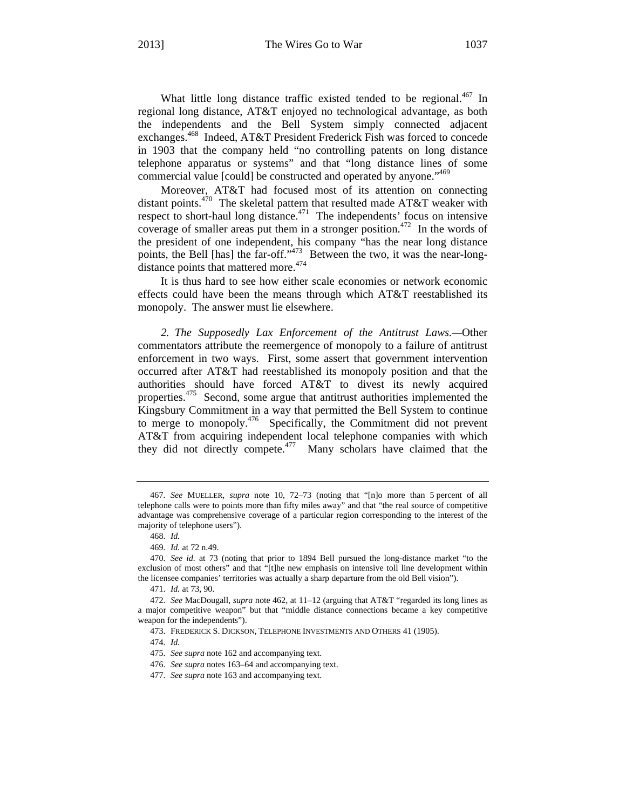What little long distance traffic existed tended to be regional. $467$  In regional long distance, AT&T enjoyed no technological advantage, as both the independents and the Bell System simply connected adjacent exchanges.<sup>468</sup> Indeed, AT&T President Frederick Fish was forced to concede in 1903 that the company held "no controlling patents on long distance telephone apparatus or systems" and that "long distance lines of some commercial value [could] be constructed and operated by anyone."<sup>469</sup>

Moreover, AT&T had focused most of its attention on connecting distant points.<sup>470</sup> The skeletal pattern that resulted made AT&T weaker with respect to short-haul long distance.<sup>471</sup> The independents' focus on intensive coverage of smaller areas put them in a stronger position.<sup>472</sup> In the words of the president of one independent, his company "has the near long distance points, the Bell [has] the far-off."<sup>473</sup> Between the two, it was the near-longdistance points that mattered more.<sup>474</sup>

It is thus hard to see how either scale economies or network economic effects could have been the means through which AT&T reestablished its monopoly. The answer must lie elsewhere.

*2. The Supposedly Lax Enforcement of the Antitrust Laws.—*Other commentators attribute the reemergence of monopoly to a failure of antitrust enforcement in two ways. First, some assert that government intervention occurred after AT&T had reestablished its monopoly position and that the authorities should have forced AT&T to divest its newly acquired properties.<sup>475</sup> Second, some argue that antitrust authorities implemented the Kingsbury Commitment in a way that permitted the Bell System to continue to merge to monopoly.476 Specifically, the Commitment did not prevent AT&T from acquiring independent local telephone companies with which they did not directly compete.<sup>477</sup> Many scholars have claimed that the

474. *Id.*

<sup>467.</sup> *See* MUELLER, *supra* note 10, 72–73 (noting that "[n]o more than 5 percent of all telephone calls were to points more than fifty miles away" and that "the real source of competitive advantage was comprehensive coverage of a particular region corresponding to the interest of the majority of telephone users").

<sup>468.</sup> *Id.*

<sup>469.</sup> *Id.* at 72 n.49.

<sup>470.</sup> *See id.* at 73 (noting that prior to 1894 Bell pursued the long-distance market "to the exclusion of most others" and that "[t]he new emphasis on intensive toll line development within the licensee companies' territories was actually a sharp departure from the old Bell vision").

<sup>471.</sup> *Id.* at 73, 90.

<sup>472.</sup> *See* MacDougall, *supra* note 462, at 11–12 (arguing that AT&T "regarded its long lines as a major competitive weapon" but that "middle distance connections became a key competitive weapon for the independents").

<sup>473.</sup> FREDERICK S. DICKSON, TELEPHONE INVESTMENTS AND OTHERS 41 (1905).

<sup>475.</sup> *See supra* note 162 and accompanying text.

<sup>476.</sup> *See supra* notes 163–64 and accompanying text.

<sup>477.</sup> *See supra* note 163 and accompanying text.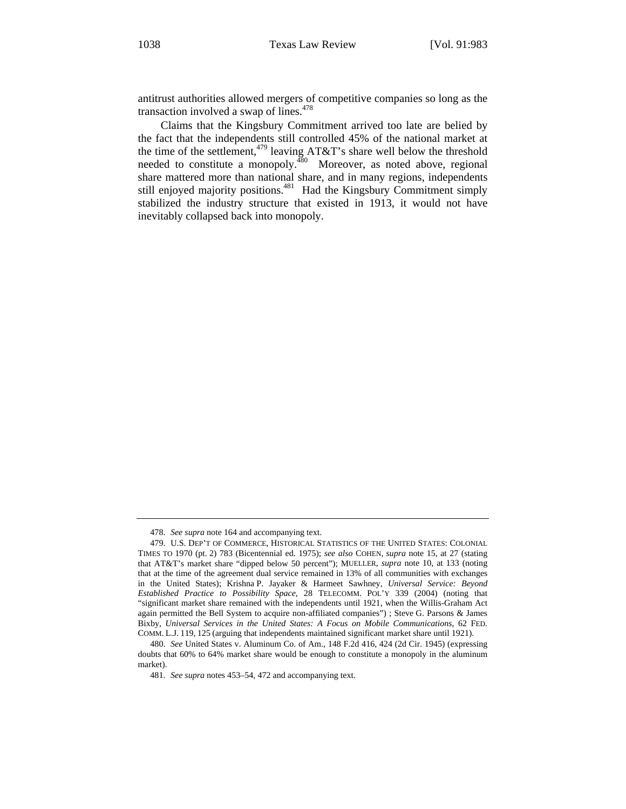antitrust authorities allowed mergers of competitive companies so long as the transaction involved a swap of lines.<sup>478</sup>

Claims that the Kingsbury Commitment arrived too late are belied by the fact that the independents still controlled 45% of the national market at the time of the settlement,<sup>479</sup> leaving AT&T's share well below the threshold needed to constitute a monopoly.<sup>480</sup> Moreover, as noted above, regional share mattered more than national share, and in many regions, independents still enjoyed majority positions.<sup>481</sup> Had the Kingsbury Commitment simply stabilized the industry structure that existed in 1913, it would not have inevitably collapsed back into monopoly.

<sup>478.</sup> *See supra* note 164 and accompanying text.

<sup>479.</sup> U.S. DEP'T OF COMMERCE, HISTORICAL STATISTICS OF THE UNITED STATES: COLONIAL TIMES TO 1970 (pt. 2) 783 (Bicentennial ed. 1975); *see also* COHEN, *supra* note 15, at 27 (stating that AT&T's market share "dipped below 50 percent"); MUELLER, *supra* note 10, at 133 (noting that at the time of the agreement dual service remained in 13% of all communities with exchanges in the United States); Krishna P. Jayaker & Harmeet Sawhney, *Universal Service: Beyond Established Practice to Possibility Space*, 28 TELECOMM. POL'Y 339 (2004) (noting that "significant market share remained with the independents until 1921, when the Willis-Graham Act again permitted the Bell System to acquire non-affiliated companies") ; Steve G. Parsons & James Bixby, *Universal Services in the United States: A Focus on Mobile Communications*, 62 FED. COMM. L.J. 119, 125 (arguing that independents maintained significant market share until 1921).

<sup>480.</sup> *See* United States v. Aluminum Co. of Am., 148 F.2d 416, 424 (2d Cir. 1945) (expressing doubts that 60% to 64% market share would be enough to constitute a monopoly in the aluminum market).

<sup>481.</sup> *See supra* notes 453–54, 472 and accompanying text.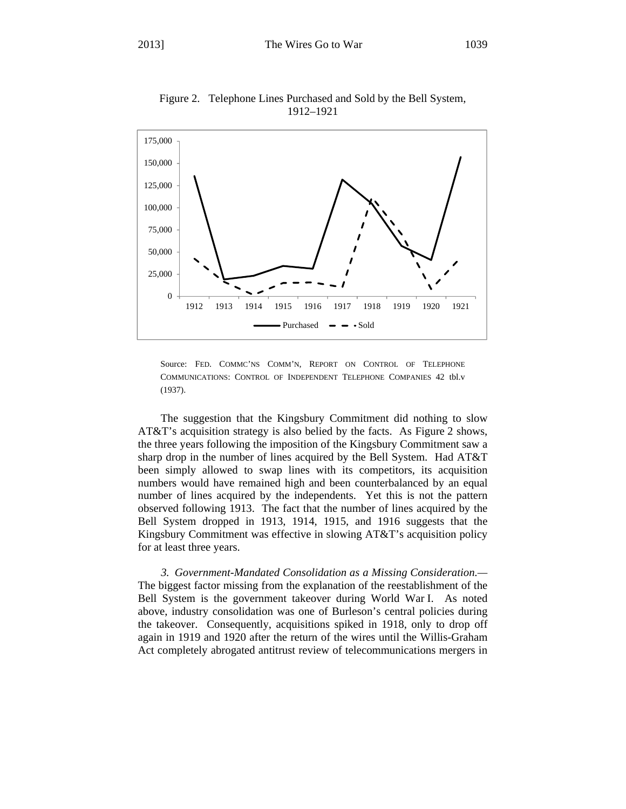

Figure 2. Telephone Lines Purchased and Sold by the Bell System, 1912–1921

Source: FED. COMMC'NS COMM'N, REPORT ON CONTROL OF TELEPHONE COMMUNICATIONS: CONTROL OF INDEPENDENT TELEPHONE COMPANIES 42 tbl.v (1937).

The suggestion that the Kingsbury Commitment did nothing to slow AT&T's acquisition strategy is also belied by the facts. As Figure 2 shows, the three years following the imposition of the Kingsbury Commitment saw a sharp drop in the number of lines acquired by the Bell System. Had AT&T been simply allowed to swap lines with its competitors, its acquisition numbers would have remained high and been counterbalanced by an equal number of lines acquired by the independents. Yet this is not the pattern observed following 1913. The fact that the number of lines acquired by the Bell System dropped in 1913, 1914, 1915, and 1916 suggests that the Kingsbury Commitment was effective in slowing AT&T's acquisition policy for at least three years.

*3. Government-Mandated Consolidation as a Missing Consideration.—* The biggest factor missing from the explanation of the reestablishment of the Bell System is the government takeover during World War I. As noted above, industry consolidation was one of Burleson's central policies during the takeover. Consequently, acquisitions spiked in 1918, only to drop off again in 1919 and 1920 after the return of the wires until the Willis-Graham Act completely abrogated antitrust review of telecommunications mergers in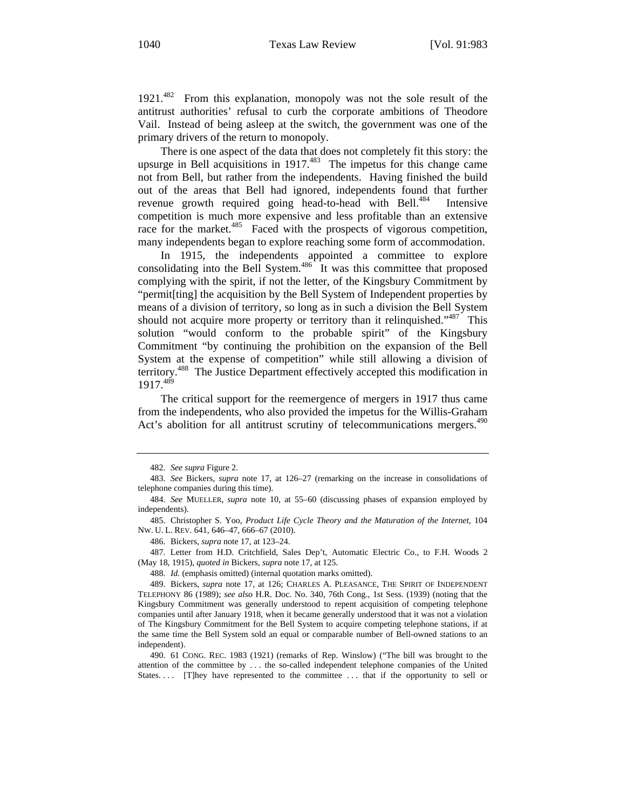1921.482 From this explanation, monopoly was not the sole result of the antitrust authorities' refusal to curb the corporate ambitions of Theodore Vail. Instead of being asleep at the switch, the government was one of the primary drivers of the return to monopoly.

There is one aspect of the data that does not completely fit this story: the upsurge in Bell acquisitions in  $1917<sup>483</sup>$  The impetus for this change came not from Bell, but rather from the independents. Having finished the build out of the areas that Bell had ignored, independents found that further revenue growth required going head-to-head with Bell.<sup>484</sup> Intensive competition is much more expensive and less profitable than an extensive race for the market.<sup>485</sup> Faced with the prospects of vigorous competition, many independents began to explore reaching some form of accommodation.

In 1915, the independents appointed a committee to explore consolidating into the Bell System.<sup>486</sup> It was this committee that proposed complying with the spirit, if not the letter, of the Kingsbury Commitment by "permit[ting] the acquisition by the Bell System of Independent properties by means of a division of territory, so long as in such a division the Bell System should not acquire more property or territory than it relinquished."<sup>487</sup> This solution "would conform to the probable spirit" of the Kingsbury Commitment "by continuing the prohibition on the expansion of the Bell System at the expense of competition" while still allowing a division of territory.488 The Justice Department effectively accepted this modification in 1917.489

The critical support for the reemergence of mergers in 1917 thus came from the independents, who also provided the impetus for the Willis-Graham Act's abolition for all antitrust scrutiny of telecommunications mergers.<sup>490</sup>

486. Bickers, *supra* note 17, at 123–24.

487. Letter from H.D. Critchfield, Sales Dep't, Automatic Electric Co., to F.H. Woods 2 (May 18, 1915), *quoted in* Bickers, *supra* note 17, at 125.

488. *Id.* (emphasis omitted) (internal quotation marks omitted).

<sup>482.</sup> *See supra* Figure 2.

<sup>483.</sup> *See* Bickers, *supra* note 17, at 126–27 (remarking on the increase in consolidations of telephone companies during this time).

<sup>484.</sup> *See* MUELLER, *supra* note 10, at 55–60 (discussing phases of expansion employed by independents).

<sup>485.</sup> Christopher S. Yoo, *Product Life Cycle Theory and the Maturation of the Internet*, 104 NW. U. L. REV. 641, 646–47, 666–67 (2010).

<sup>489.</sup> Bickers, *supra* note 17, at 126; CHARLES A. PLEASANCE, THE SPIRIT OF INDEPENDENT TELEPHONY 86 (1989); *see also* H.R. Doc. No. 340, 76th Cong., 1st Sess. (1939) (noting that the Kingsbury Commitment was generally understood to repent acquisition of competing telephone companies until after January 1918, when it became generally understood that it was not a violation of The Kingsbury Commitment for the Bell System to acquire competing telephone stations, if at the same time the Bell System sold an equal or comparable number of Bell-owned stations to an independent).

<sup>490. 61</sup> CONG. REC. 1983 (1921) (remarks of Rep. Winslow) ("The bill was brought to the attention of the committee by . . . the so-called independent telephone companies of the United States.... [T]hey have represented to the committee ... that if the opportunity to sell or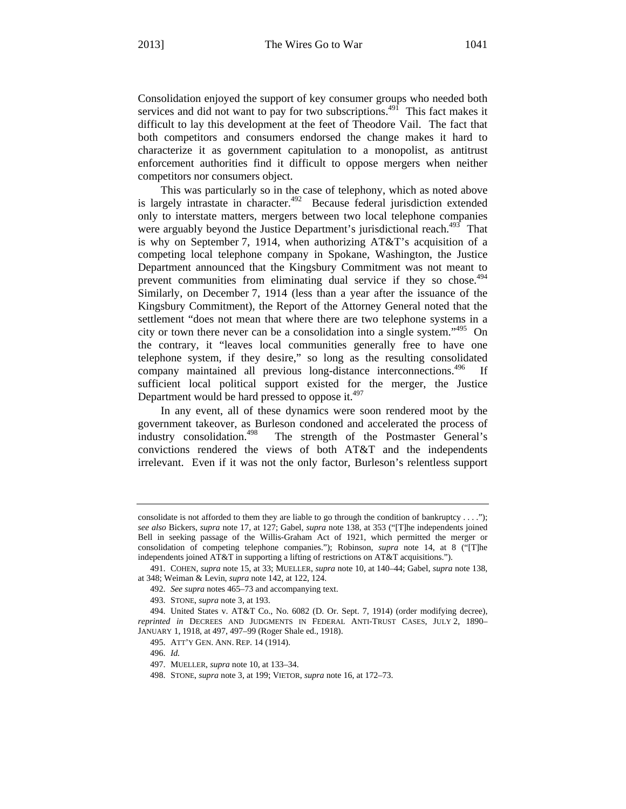Consolidation enjoyed the support of key consumer groups who needed both services and did not want to pay for two subscriptions.<sup>491</sup> This fact makes it difficult to lay this development at the feet of Theodore Vail. The fact that both competitors and consumers endorsed the change makes it hard to characterize it as government capitulation to a monopolist, as antitrust enforcement authorities find it difficult to oppose mergers when neither competitors nor consumers object.

This was particularly so in the case of telephony, which as noted above is largely intrastate in character.<sup>492</sup> Because federal jurisdiction extended only to interstate matters, mergers between two local telephone companies were arguably beyond the Justice Department's jurisdictional reach.<sup>493</sup> That is why on September 7, 1914, when authorizing AT&T's acquisition of a competing local telephone company in Spokane, Washington, the Justice Department announced that the Kingsbury Commitment was not meant to prevent communities from eliminating dual service if they so chose.<sup>494</sup> Similarly, on December 7, 1914 (less than a year after the issuance of the Kingsbury Commitment), the Report of the Attorney General noted that the settlement "does not mean that where there are two telephone systems in a city or town there never can be a consolidation into a single system."495 On the contrary, it "leaves local communities generally free to have one telephone system, if they desire," so long as the resulting consolidated company maintained all previous long-distance interconnections.<sup>496</sup> If sufficient local political support existed for the merger, the Justice Department would be hard pressed to oppose it. $497$ 

In any event, all of these dynamics were soon rendered moot by the government takeover, as Burleson condoned and accelerated the process of industry consolidation.<sup>498</sup> The strength of the Postmaster General's convictions rendered the views of both AT&T and the independents irrelevant. Even if it was not the only factor, Burleson's relentless support

consolidate is not afforded to them they are liable to go through the condition of bankruptcy  $\dots$ "); *see also* Bickers, *supra* note 17, at 127; Gabel, *supra* note 138, at 353 ("[T]he independents joined Bell in seeking passage of the Willis-Graham Act of 1921, which permitted the merger or consolidation of competing telephone companies."); Robinson, *supra* note 14, at 8 ("[T]he independents joined AT&T in supporting a lifting of restrictions on AT&T acquisitions.").

<sup>491.</sup> COHEN, *supra* note 15, at 33; MUELLER, *supra* note 10, at 140–44; Gabel, *supra* note 138, at 348; Weiman & Levin, *supra* note 142, at 122, 124.

<sup>492.</sup> *See supra* notes 465–73 and accompanying text.

<sup>493.</sup> STONE, *supra* note 3, at 193.

<sup>494.</sup> United States v. AT&T Co., No. 6082 (D. Or. Sept. 7, 1914) (order modifying decree), *reprinted in* DECREES AND JUDGMENTS IN FEDERAL ANTI-TRUST CASES, JULY 2, 1890– JANUARY 1, 1918, at 497, 497–99 (Roger Shale ed., 1918).

<sup>495.</sup> ATT'Y GEN. ANN. REP. 14 (1914).

<sup>496.</sup> *Id.* 

<sup>497.</sup> MUELLER, *supra* note 10, at 133–34.

<sup>498.</sup> STONE, *supra* note 3, at 199; VIETOR, *supra* note 16, at 172–73.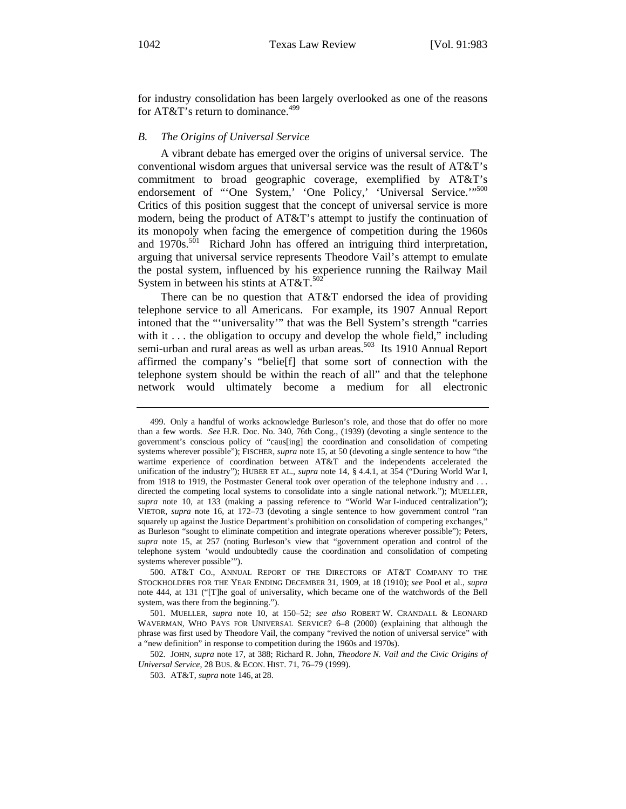for industry consolidation has been largely overlooked as one of the reasons for AT&T's return to dominance.<sup>499</sup>

#### *B. The Origins of Universal Service*

A vibrant debate has emerged over the origins of universal service. The conventional wisdom argues that universal service was the result of AT&T's commitment to broad geographic coverage, exemplified by AT&T's endorsement of "'One System,' 'One Policy,' 'Universal Service.'"<sup>500</sup> Critics of this position suggest that the concept of universal service is more modern, being the product of AT&T's attempt to justify the continuation of its monopoly when facing the emergence of competition during the 1960s and 1970s.<sup>501</sup> Richard John has offered an intriguing third interpretation, arguing that universal service represents Theodore Vail's attempt to emulate the postal system, influenced by his experience running the Railway Mail System in between his stints at  $AT&T$ .<sup>502</sup>

There can be no question that AT&T endorsed the idea of providing telephone service to all Americans. For example, its 1907 Annual Report intoned that the "'universality'" that was the Bell System's strength "carries with it ... the obligation to occupy and develop the whole field," including semi-urban and rural areas as well as urban areas.<sup>503</sup> Its 1910 Annual Report affirmed the company's "belie[f] that some sort of connection with the telephone system should be within the reach of all" and that the telephone network would ultimately become a medium for all electronic

502. JOHN, *supra* note 17, at 388; Richard R. John, *Theodore N. Vail and the Civic Origins of Universal Service*, 28 BUS. & ECON. HIST. 71, 76–79 (1999).

<sup>499.</sup> Only a handful of works acknowledge Burleson's role, and those that do offer no more than a few words. *See* H.R. Doc. No. 340, 76th Cong., (1939) (devoting a single sentence to the government's conscious policy of "caus[ing] the coordination and consolidation of competing systems wherever possible"); FISCHER, *supra* note 15, at 50 (devoting a single sentence to how "the wartime experience of coordination between AT&T and the independents accelerated the unification of the industry"); HUBER ET AL., *supra* note 14, § 4.4.1, at 354 ("During World War I, from 1918 to 1919, the Postmaster General took over operation of the telephone industry and . . . directed the competing local systems to consolidate into a single national network."); MUELLER, *supra* note 10, at 133 (making a passing reference to "World War I-induced centralization"); VIETOR, *supra* note 16, at 172–73 (devoting a single sentence to how government control "ran squarely up against the Justice Department's prohibition on consolidation of competing exchanges," as Burleson "sought to eliminate competition and integrate operations wherever possible"); Peters, *supra* note 15, at 257 (noting Burleson's view that "government operation and control of the telephone system 'would undoubtedly cause the coordination and consolidation of competing systems wherever possible'").

<sup>500.</sup> AT&T CO., ANNUAL REPORT OF THE DIRECTORS OF AT&T COMPANY TO THE STOCKHOLDERS FOR THE YEAR ENDING DECEMBER 31, 1909, at 18 (1910); *see* Pool et al., *supra*  note 444, at 131 ("[T]he goal of universality, which became one of the watchwords of the Bell system, was there from the beginning.").

<sup>501.</sup> MUELLER, *supra* note 10, at 150–52; *see also* ROBERT W. CRANDALL & LEONARD WAVERMAN, WHO PAYS FOR UNIVERSAL SERVICE? 6–8 (2000) (explaining that although the phrase was first used by Theodore Vail, the company "revived the notion of universal service" with a "new definition" in response to competition during the 1960s and 1970s).

<sup>503.</sup> AT&T, *supra* note 146, at 28.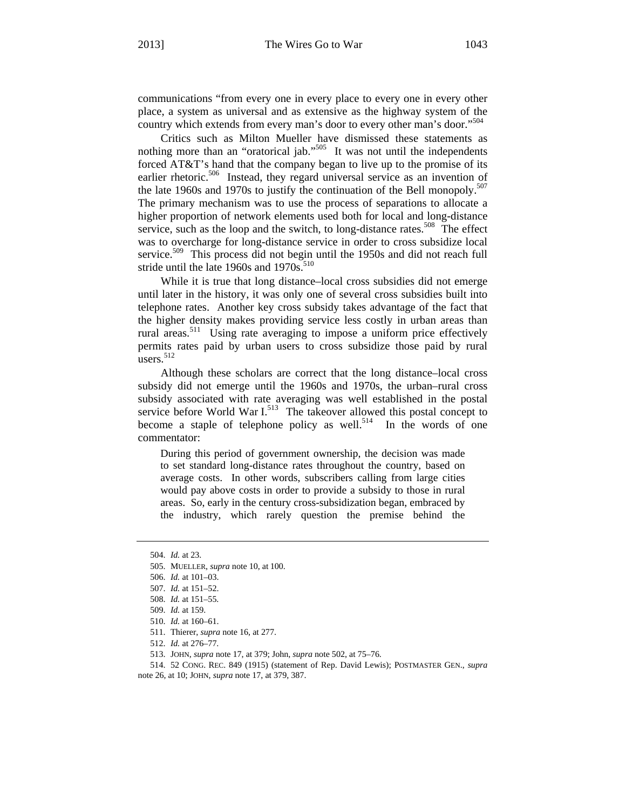communications "from every one in every place to every one in every other place, a system as universal and as extensive as the highway system of the country which extends from every man's door to every other man's door."<sup>504</sup>

Critics such as Milton Mueller have dismissed these statements as nothing more than an "oratorical jab."<sup>505</sup> It was not until the independents forced AT&T's hand that the company began to live up to the promise of its earlier rhetoric.<sup>506</sup> Instead, they regard universal service as an invention of the late 1960s and 1970s to justify the continuation of the Bell monopoly.<sup>507</sup> The primary mechanism was to use the process of separations to allocate a higher proportion of network elements used both for local and long-distance service, such as the loop and the switch, to long-distance rates.<sup>508</sup> The effect was to overcharge for long-distance service in order to cross subsidize local service.<sup>509</sup> This process did not begin until the 1950s and did not reach full stride until the late 1960s and 1970s.<sup>510</sup>

While it is true that long distance–local cross subsidies did not emerge until later in the history, it was only one of several cross subsidies built into telephone rates. Another key cross subsidy takes advantage of the fact that the higher density makes providing service less costly in urban areas than rural areas.<sup>511</sup> Using rate averaging to impose a uniform price effectively permits rates paid by urban users to cross subsidize those paid by rural users.<sup>512</sup>

Although these scholars are correct that the long distance–local cross subsidy did not emerge until the 1960s and 1970s, the urban–rural cross subsidy associated with rate averaging was well established in the postal service before World War  $I<sub>513</sub>$  The takeover allowed this postal concept to become a staple of telephone policy as well.<sup>514</sup> In the words of one commentator:

During this period of government ownership, the decision was made to set standard long-distance rates throughout the country, based on average costs. In other words, subscribers calling from large cities would pay above costs in order to provide a subsidy to those in rural areas. So, early in the century cross-subsidization began, embraced by the industry, which rarely question the premise behind the

- 506. *Id.* at 101–03.
- 507. *Id.* at 151–52.

514. 52 CONG. REC. 849 (1915) (statement of Rep. David Lewis); POSTMASTER GEN., *supra* note 26, at 10; JOHN, *supra* note 17, at 379, 387.

<sup>504.</sup> *Id.* at 23.

<sup>505.</sup> MUELLER, *supra* note 10, at 100.

<sup>508.</sup> *Id.* at 151–55.

<sup>509.</sup> *Id.* at 159.

<sup>510.</sup> *Id.* at 160–61.

<sup>511.</sup> Thierer, *supra* note 16, at 277.

<sup>512.</sup> *Id.* at 276–77.

<sup>513.</sup> JOHN, *supra* note 17, at 379; John, *supra* note 502, at 75–76.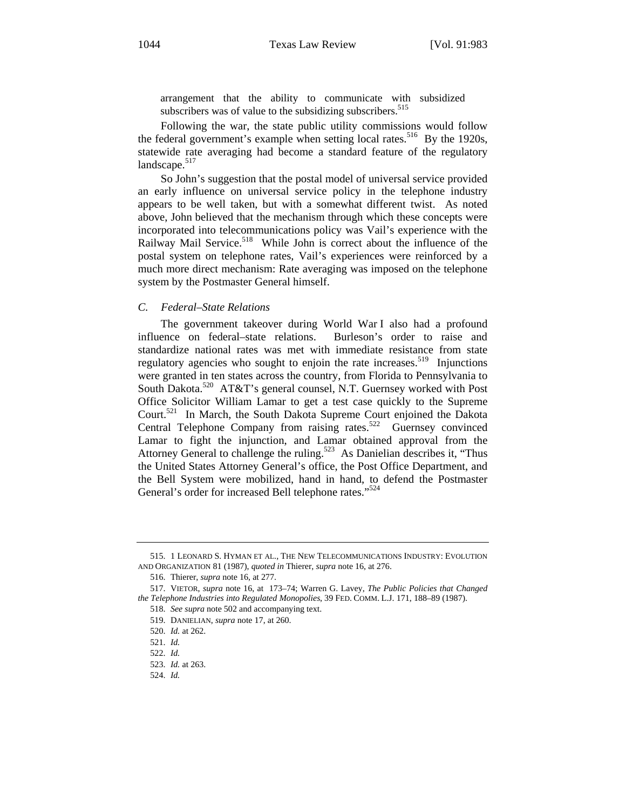arrangement that the ability to communicate with subsidized subscribers was of value to the subsidizing subscribers.<sup>515</sup>

Following the war, the state public utility commissions would follow the federal government's example when setting local rates.<sup>516</sup> By the 1920s, statewide rate averaging had become a standard feature of the regulatory landscape.<sup>517</sup>

So John's suggestion that the postal model of universal service provided an early influence on universal service policy in the telephone industry appears to be well taken, but with a somewhat different twist. As noted above, John believed that the mechanism through which these concepts were incorporated into telecommunications policy was Vail's experience with the Railway Mail Service.<sup>518</sup> While John is correct about the influence of the postal system on telephone rates, Vail's experiences were reinforced by a much more direct mechanism: Rate averaging was imposed on the telephone system by the Postmaster General himself.

#### *C. Federal–State Relations*

The government takeover during World War I also had a profound influence on federal–state relations. Burleson's order to raise and standardize national rates was met with immediate resistance from state regulatory agencies who sought to enjoin the rate increases.<sup>519</sup> Injunctions were granted in ten states across the country, from Florida to Pennsylvania to South Dakota.<sup>520</sup> AT&T's general counsel, N.T. Guernsey worked with Post Office Solicitor William Lamar to get a test case quickly to the Supreme Court.521 In March, the South Dakota Supreme Court enjoined the Dakota Central Telephone Company from raising rates.<sup>522</sup> Guernsey convinced Lamar to fight the injunction, and Lamar obtained approval from the Attorney General to challenge the ruling.<sup>523</sup> As Danielian describes it, "Thus the United States Attorney General's office, the Post Office Department, and the Bell System were mobilized, hand in hand, to defend the Postmaster General's order for increased Bell telephone rates."<sup>524</sup>

<sup>515. 1</sup> LEONARD S. HYMAN ET AL., THE NEW TELECOMMUNICATIONS INDUSTRY: EVOLUTION AND ORGANIZATION 81 (1987), *quoted in* Thierer, *supra* note 16, at 276.

<sup>516.</sup> Thierer, *supra* note 16, at 277.

<sup>517.</sup> VIETOR, *supra* note 16, at 173–74; Warren G. Lavey, *The Public Policies that Changed the Telephone Industries into Regulated Monopolies*, 39 FED. COMM. L.J. 171, 188–89 (1987).

<sup>518.</sup> *See supra* note 502 and accompanying text.

<sup>519.</sup> DANIELIAN, *supra* note 17, at 260.

<sup>520.</sup> *Id.* at 262.

<sup>521.</sup> *Id.*

<sup>522.</sup> *Id.* 

<sup>523.</sup> *Id.* at 263.

<sup>524.</sup> *Id.*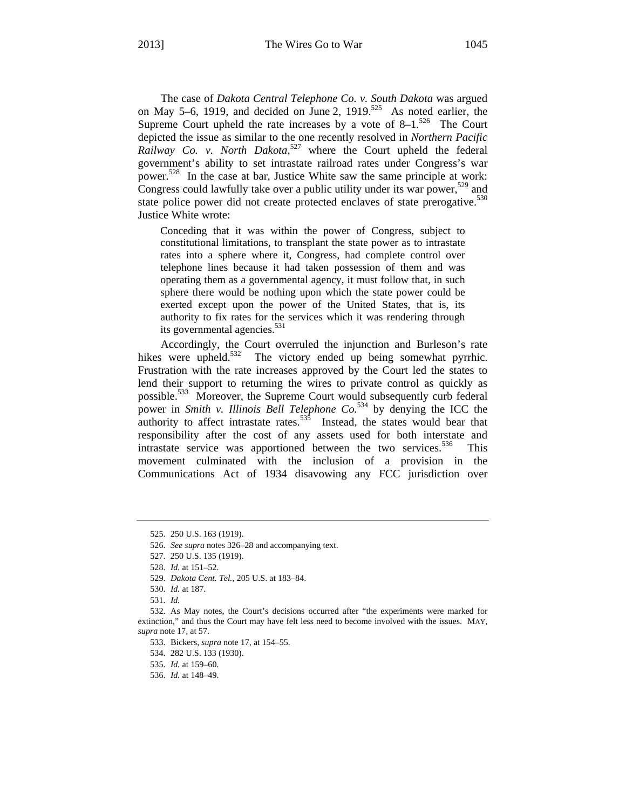The case of *Dakota Central Telephone Co. v. South Dakota* was argued on May 5–6, 1919, and decided on June 2, 1919.<sup>525</sup> As noted earlier, the Supreme Court upheld the rate increases by a vote of  $8-1$ .<sup>526</sup> The Court depicted the issue as similar to the one recently resolved in *Northern Pacific*  Railway Co. v. North Dakota,<sup>527</sup> where the Court upheld the federal government's ability to set intrastate railroad rates under Congress's war power.<sup>528</sup> In the case at bar, Justice White saw the same principle at work: Congress could lawfully take over a public utility under its war power,  $529$  and state police power did not create protected enclaves of state prerogative.<sup>530</sup> Justice White wrote:

Conceding that it was within the power of Congress, subject to constitutional limitations, to transplant the state power as to intrastate rates into a sphere where it, Congress, had complete control over telephone lines because it had taken possession of them and was operating them as a governmental agency, it must follow that, in such sphere there would be nothing upon which the state power could be exerted except upon the power of the United States, that is, its authority to fix rates for the services which it was rendering through its governmental agencies.<sup>531</sup>

Accordingly, the Court overruled the injunction and Burleson's rate hikes were upheld.<sup>532</sup> The victory ended up being somewhat pyrrhic. Frustration with the rate increases approved by the Court led the states to lend their support to returning the wires to private control as quickly as possible.533 Moreover, the Supreme Court would subsequently curb federal power in *Smith v. Illinois Bell Telephone Co.*534 by denying the ICC the authority to affect intrastate rates. $535$  Instead, the states would bear that responsibility after the cost of any assets used for both interstate and intrastate service was apportioned between the two services.<sup>536</sup> This movement culminated with the inclusion of a provision in the Communications Act of 1934 disavowing any FCC jurisdiction over

<sup>525. 250</sup> U.S. 163 (1919).

<sup>526.</sup> *See supra* notes 326–28 and accompanying text.

<sup>527. 250</sup> U.S. 135 (1919).

<sup>528.</sup> *Id.* at 151–52.

<sup>529.</sup> *Dakota Cent. Tel.*, 205 U.S. at 183–84.

<sup>530.</sup> *Id.* at 187.

<sup>531.</sup> *Id.*

<sup>532.</sup> As May notes, the Court's decisions occurred after "the experiments were marked for extinction," and thus the Court may have felt less need to become involved with the issues. MAY, *supra* note 17, at 57.

<sup>533.</sup> Bickers, *supra* note 17, at 154–55.

<sup>534. 282</sup> U.S. 133 (1930).

<sup>535.</sup> *Id.* at 159–60.

<sup>536.</sup> *Id.* at 148–49.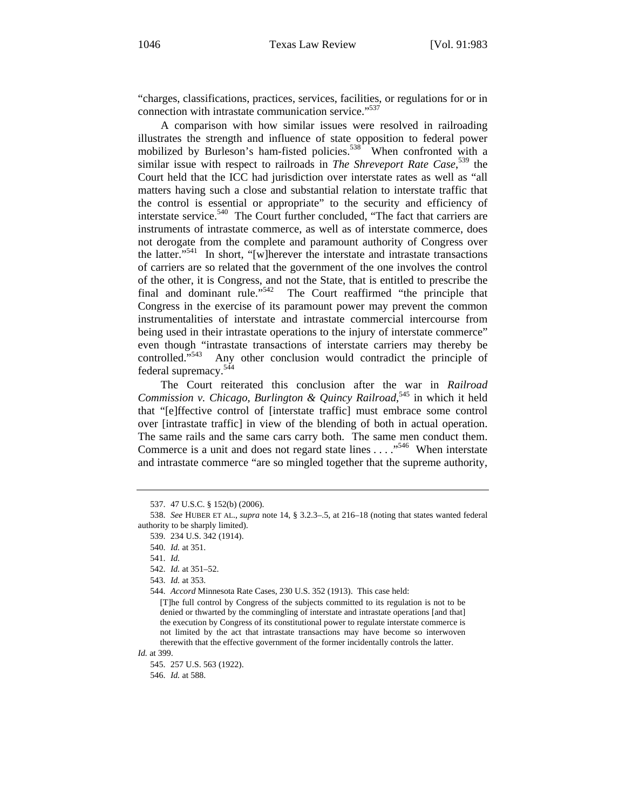"charges, classifications, practices, services, facilities, or regulations for or in connection with intrastate communication service."<sup>537</sup>

A comparison with how similar issues were resolved in railroading illustrates the strength and influence of state opposition to federal power mobilized by Burleson's ham-fisted policies.<sup>538</sup> When confronted with a similar issue with respect to railroads in *The Shreveport Rate Case*, 539 the Court held that the ICC had jurisdiction over interstate rates as well as "all matters having such a close and substantial relation to interstate traffic that the control is essential or appropriate" to the security and efficiency of interstate service.<sup>540</sup> The Court further concluded, "The fact that carriers are instruments of intrastate commerce, as well as of interstate commerce, does not derogate from the complete and paramount authority of Congress over the latter."<sup>541</sup> In short, "[w]herever the interstate and intrastate transactions of carriers are so related that the government of the one involves the control of the other, it is Congress, and not the State, that is entitled to prescribe the final and dominant rule."<sup>542</sup> The Court reaffirmed "the principle that Congress in the exercise of its paramount power may prevent the common instrumentalities of interstate and intrastate commercial intercourse from being used in their intrastate operations to the injury of interstate commerce" even though "intrastate transactions of interstate carriers may thereby be controlled."<sup>543</sup> Any other conclusion would contradict the principle of federal supremacy.<sup>544</sup>

The Court reiterated this conclusion after the war in *Railroad*  Commission v. Chicago, Burlington & Quincy Railroad,<sup>545</sup> in which it held that "[e]ffective control of [interstate traffic] must embrace some control over [intrastate traffic] in view of the blending of both in actual operation. The same rails and the same cars carry both. The same men conduct them. Commerce is a unit and does not regard state lines  $\dots$   $\cdot$  ...  $\cdot$  When interstate and intrastate commerce "are so mingled together that the supreme authority,

542. *Id.* at 351–52.

544. *Accord* Minnesota Rate Cases, 230 U.S. 352 (1913). This case held:

[T]he full control by Congress of the subjects committed to its regulation is not to be denied or thwarted by the commingling of interstate and intrastate operations [and that] the execution by Congress of its constitutional power to regulate interstate commerce is not limited by the act that intrastate transactions may have become so interwoven therewith that the effective government of the former incidentally controls the latter.

*Id.* at 399.

546. *Id.* at 588.

<sup>537. 47</sup> U.S.C. § 152(b) (2006).

<sup>538.</sup> *See* HUBER ET AL., *supra* note 14, § 3.2.3–.5, at 216–18 (noting that states wanted federal authority to be sharply limited).

<sup>539. 234</sup> U.S. 342 (1914).

<sup>540.</sup> *Id.* at 351.

<sup>541.</sup> *Id.* 

<sup>543.</sup> *Id.* at 353.

<sup>545. 257</sup> U.S. 563 (1922).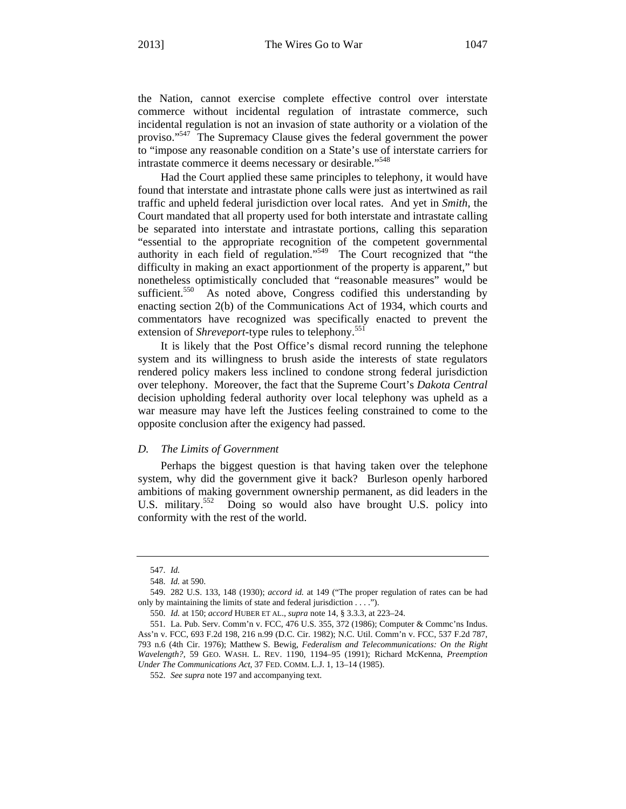the Nation, cannot exercise complete effective control over interstate commerce without incidental regulation of intrastate commerce, such incidental regulation is not an invasion of state authority or a violation of the proviso."547 The Supremacy Clause gives the federal government the power to "impose any reasonable condition on a State's use of interstate carriers for intrastate commerce it deems necessary or desirable."<sup>548</sup>

Had the Court applied these same principles to telephony, it would have found that interstate and intrastate phone calls were just as intertwined as rail traffic and upheld federal jurisdiction over local rates. And yet in *Smith*, the Court mandated that all property used for both interstate and intrastate calling be separated into interstate and intrastate portions, calling this separation "essential to the appropriate recognition of the competent governmental authority in each field of regulation."549 The Court recognized that "the difficulty in making an exact apportionment of the property is apparent," but nonetheless optimistically concluded that "reasonable measures" would be sufficient.<sup>550</sup> As noted above, Congress codified this understanding by enacting section 2(b) of the Communications Act of 1934, which courts and commentators have recognized was specifically enacted to prevent the extension of *Shreveport*-type rules to telephony.<sup>551</sup>

It is likely that the Post Office's dismal record running the telephone system and its willingness to brush aside the interests of state regulators rendered policy makers less inclined to condone strong federal jurisdiction over telephony. Moreover, the fact that the Supreme Court's *Dakota Central* decision upholding federal authority over local telephony was upheld as a war measure may have left the Justices feeling constrained to come to the opposite conclusion after the exigency had passed.

#### *D. The Limits of Government*

Perhaps the biggest question is that having taken over the telephone system, why did the government give it back? Burleson openly harbored ambitions of making government ownership permanent, as did leaders in the U.S. military.<sup>552</sup> Doing so would also have brought U.S. policy into conformity with the rest of the world.

<sup>547.</sup> *Id.* 

<sup>548.</sup> *Id.* at 590.

<sup>549. 282</sup> U.S. 133, 148 (1930); *accord id.* at 149 ("The proper regulation of rates can be had only by maintaining the limits of state and federal jurisdiction . . . .").

<sup>550.</sup> *Id.* at 150; *accord* HUBER ET AL., *supra* note 14, § 3.3.3, at 223–24.

<sup>551.</sup> La. Pub. Serv. Comm'n v. FCC, 476 U.S. 355, 372 (1986); Computer & Commc'ns Indus. Ass'n v. FCC, 693 F.2d 198, 216 n.99 (D.C. Cir. 1982); N.C. Util. Comm'n v. FCC, 537 F.2d 787, 793 n.6 (4th Cir. 1976); Matthew S. Bewig, *Federalism and Telecommunications: On the Right Wavelength?*, 59 GEO. WASH. L. REV. 1190, 1194–95 (1991); Richard McKenna, *Preemption Under The Communications Act*, 37 FED. COMM. L.J. 1, 13–14 (1985).

<sup>552.</sup> *See supra* note 197 and accompanying text.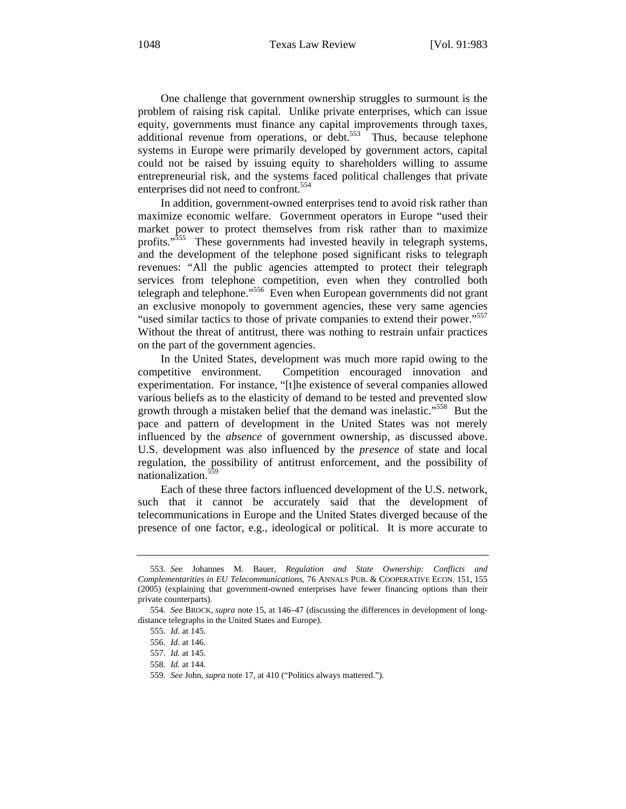One challenge that government ownership struggles to surmount is the problem of raising risk capital. Unlike private enterprises, which can issue equity, governments must finance any capital improvements through taxes, additional revenue from operations, or debt.<sup>553</sup> Thus, because telephone systems in Europe were primarily developed by government actors, capital could not be raised by issuing equity to shareholders willing to assume entrepreneurial risk, and the systems faced political challenges that private enterprises did not need to confront.<sup>554</sup>

In addition, government-owned enterprises tend to avoid risk rather than maximize economic welfare. Government operators in Europe "used their market power to protect themselves from risk rather than to maximize profits."555 These governments had invested heavily in telegraph systems, and the development of the telephone posed significant risks to telegraph revenues: "All the public agencies attempted to protect their telegraph services from telephone competition, even when they controlled both telegraph and telephone."556 Even when European governments did not grant an exclusive monopoly to government agencies, these very same agencies "used similar tactics to those of private companies to extend their power."<sup>557</sup> Without the threat of antitrust, there was nothing to restrain unfair practices on the part of the government agencies.

In the United States, development was much more rapid owing to the competitive environment. Competition encouraged innovation and experimentation. For instance, "[t]he existence of several companies allowed various beliefs as to the elasticity of demand to be tested and prevented slow growth through a mistaken belief that the demand was inelastic."<sup>558</sup> But the pace and pattern of development in the United States was not merely influenced by the *absence* of government ownership, as discussed above. U.S. development was also influenced by the *presence* of state and local regulation, the possibility of antitrust enforcement, and the possibility of nationalization.559

Each of these three factors influenced development of the U.S. network, such that it cannot be accurately said that the development of telecommunications in Europe and the United States diverged because of the presence of one factor, e.g., ideological or political. It is more accurate to

<sup>553.</sup> *See* Johannes M. Bauer, *Regulation and State Ownership: Conflicts and Complementarities in EU Telecommunications*, 76 ANNALS PUB. & COOPERATIVE ECON. 151, 155 (2005) (explaining that government-owned enterprises have fewer financing options than their private counterparts).

<sup>554.</sup> *See* BROCK, *supra* note 15, at 146–47 (discussing the differences in development of longdistance telegraphs in the United States and Europe).

<sup>555.</sup> *Id.* at 145.

<sup>556.</sup> *Id.* at 146.

<sup>557.</sup> *Id.* at 145.

<sup>558.</sup> *Id.* at 144.

<sup>559.</sup> *See* John, *supra* note 17, at 410 ("Politics always mattered.").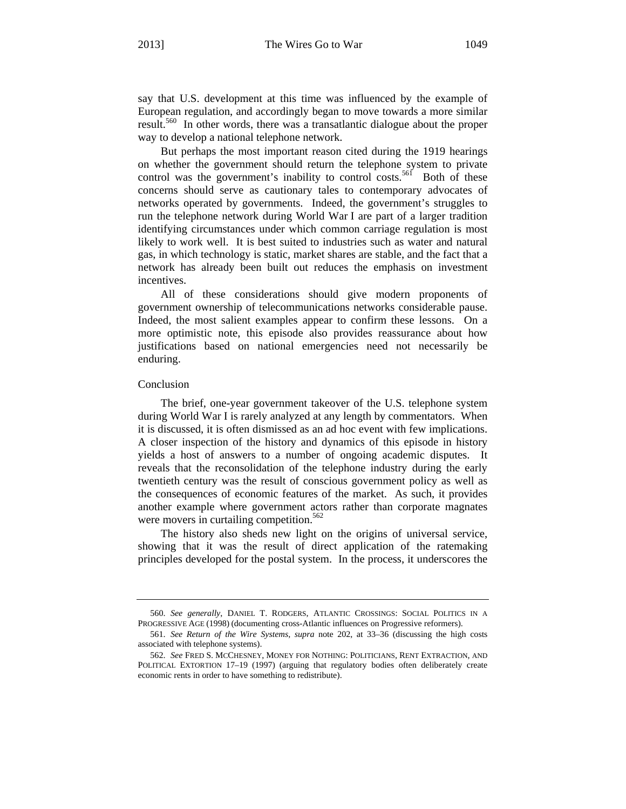say that U.S. development at this time was influenced by the example of European regulation, and accordingly began to move towards a more similar result.560 In other words, there was a transatlantic dialogue about the proper way to develop a national telephone network.

But perhaps the most important reason cited during the 1919 hearings on whether the government should return the telephone system to private control was the government's inability to control costs.<sup>561</sup> Both of these concerns should serve as cautionary tales to contemporary advocates of networks operated by governments. Indeed, the government's struggles to run the telephone network during World War I are part of a larger tradition identifying circumstances under which common carriage regulation is most likely to work well. It is best suited to industries such as water and natural gas, in which technology is static, market shares are stable, and the fact that a network has already been built out reduces the emphasis on investment incentives.

All of these considerations should give modern proponents of government ownership of telecommunications networks considerable pause. Indeed, the most salient examples appear to confirm these lessons. On a more optimistic note, this episode also provides reassurance about how justifications based on national emergencies need not necessarily be enduring.

#### Conclusion

The brief, one-year government takeover of the U.S. telephone system during World War I is rarely analyzed at any length by commentators. When it is discussed, it is often dismissed as an ad hoc event with few implications. A closer inspection of the history and dynamics of this episode in history yields a host of answers to a number of ongoing academic disputes. It reveals that the reconsolidation of the telephone industry during the early twentieth century was the result of conscious government policy as well as the consequences of economic features of the market. As such, it provides another example where government actors rather than corporate magnates were movers in curtailing competition.<sup>562</sup>

The history also sheds new light on the origins of universal service, showing that it was the result of direct application of the ratemaking principles developed for the postal system. In the process, it underscores the

<sup>560.</sup> *See generally*, DANIEL T. RODGERS, ATLANTIC CROSSINGS: SOCIAL POLITICS IN A PROGRESSIVE AGE (1998) (documenting cross-Atlantic influences on Progressive reformers).

<sup>561.</sup> *See Return of the Wire Systems*, *supra* note 202, at 33–36 (discussing the high costs associated with telephone systems).

<sup>562.</sup> *See* FRED S. MCCHESNEY, MONEY FOR NOTHING: POLITICIANS, RENT EXTRACTION, AND POLITICAL EXTORTION 17–19 (1997) (arguing that regulatory bodies often deliberately create economic rents in order to have something to redistribute).